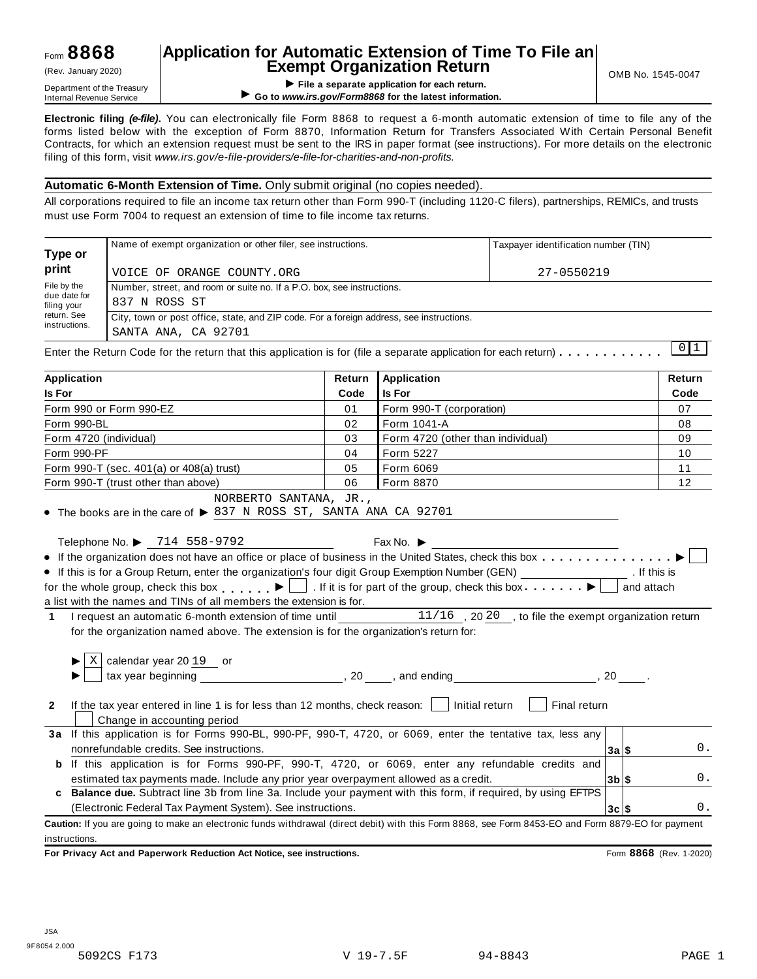# **Application for Automatic Extension of Time To File an Exempt Organization Return** (Rev. January 2020) OMB No. 1545-0047

**EXEMPL OF GET APPLY THE APPLY THE APPLY THE APPLY THE APPLY THE APPLY THE APPLY THE APPLY THE APPLY THE APPLY THE APPLY THE APPLY THE APPLY THE APPLY THE APPLY THE APPLY THE APPLY THE APPLY THE APPLY THE APPLY THE APPLY T** 

▶ Go to www.irs.gov/Form8868 for the latest information.

**Electronic filing** *(e-file)***.** You can electronically file Form 8868 to request a 6-month automatic extension of time to file any of the forms listed below with the exception of Form 8870, Information Return for Transfers Associated With Certain Personal Benefit Contracts, for which an extension request must be sent to the IRS in paper format (see instructions). For more details on the electronic filing of this form, visit *www.irs.gov/e-file-providers/e-file-for-charities-and-non-profits.*

#### **Automatic 6-Month Extension of Time.** Only submit original (no copies needed).

All corporations required to file an income tax return other than Form 990-T (including 1120-C filers), partnerships, REMICs, and trusts must use Form 7004 to request an extension of time to file income tax returns.

| Type or                                    | Name of exempt organization or other filer, see instructions.                                                   | Taxpayer identification number (TIN) |  |  |  |  |  |
|--------------------------------------------|-----------------------------------------------------------------------------------------------------------------|--------------------------------------|--|--|--|--|--|
| print                                      | VOICE OF ORANGE COUNTY.ORG                                                                                      | $27 - 0550219$                       |  |  |  |  |  |
| File by the<br>due date for<br>filing your | Number, street, and room or suite no. If a P.O. box, see instructions.<br>837 N ROSS ST                         |                                      |  |  |  |  |  |
| return. See<br>instructions.               | City, town or post office, state, and ZIP code. For a foreign address, see instructions.<br>SANTA ANA, CA 92701 |                                      |  |  |  |  |  |
|                                            | Enter the Return Code for the return that this annisotion is for (file a senarate annisotion for each return)   |                                      |  |  |  |  |  |

Enter the Return Code for the return that this application is for (file a separate application for each return)

| <b>Application</b>                                                                                                                                                                                                                                                                                                                                                                                                                                                                                                                                                                                                                                                                           | Return | <b>Application</b>                |                 |            | Return |  |  |
|----------------------------------------------------------------------------------------------------------------------------------------------------------------------------------------------------------------------------------------------------------------------------------------------------------------------------------------------------------------------------------------------------------------------------------------------------------------------------------------------------------------------------------------------------------------------------------------------------------------------------------------------------------------------------------------------|--------|-----------------------------------|-----------------|------------|--------|--|--|
| <b>Is For</b>                                                                                                                                                                                                                                                                                                                                                                                                                                                                                                                                                                                                                                                                                | Code   | <b>Is For</b>                     |                 |            |        |  |  |
| Form 990 or Form 990-EZ                                                                                                                                                                                                                                                                                                                                                                                                                                                                                                                                                                                                                                                                      | 01     | Form 990-T (corporation)          |                 |            | 07     |  |  |
| Form 990-BL                                                                                                                                                                                                                                                                                                                                                                                                                                                                                                                                                                                                                                                                                  | 02     | Form 1041-A                       |                 |            | 08     |  |  |
| Form 4720 (individual)                                                                                                                                                                                                                                                                                                                                                                                                                                                                                                                                                                                                                                                                       | 03     | Form 4720 (other than individual) |                 |            | 09     |  |  |
| Form 990-PF                                                                                                                                                                                                                                                                                                                                                                                                                                                                                                                                                                                                                                                                                  | 04     | Form 5227                         |                 |            | 10     |  |  |
| Form 990-T (sec. 401(a) or 408(a) trust)                                                                                                                                                                                                                                                                                                                                                                                                                                                                                                                                                                                                                                                     | 05     | Form 6069                         |                 |            | 11     |  |  |
| Form 990-T (trust other than above)                                                                                                                                                                                                                                                                                                                                                                                                                                                                                                                                                                                                                                                          | 06     | Form 8870                         |                 |            | 12     |  |  |
| Telephone No. ▶ 714 558-9792<br>• If the organization does not have an office or place of business in the United States, check this box<br>• If this is for a Group Return, enter the organization's four digit Group Exemption Number (GEN) _________________. If this is<br>for the whole group, check this box $\Box$ If it is for part of the group, check this box $\Box$<br>a list with the names and TINs of all members the extension is for.<br>I request an automatic 6-month extension of time until ______________11/16_, 20 20_, to file the exempt organization return<br>$\mathbf 1$<br>for the organization named above. The extension is for the organization's return for: |        | Fax No. $\blacktriangleright$     |                 | and attach |        |  |  |
| If the tax year entered in line 1 is for less than 12 months, check reason:                                  <br>$\mathbf{2}$<br>Change in accounting period<br>3a If this application is for Forms 990-BL, 990-PF, 990-T, 4720, or 6069, enter the tentative tax, less any                                                                                                                                                                                                                                                                                                                                                                                                                  |        | Final return                      |                 |            |        |  |  |
| nonrefundable credits. See instructions.                                                                                                                                                                                                                                                                                                                                                                                                                                                                                                                                                                                                                                                     |        |                                   | 3a S            |            | 0.     |  |  |
| If this application is for Forms 990-PF, 990-T, 4720, or 6069, enter any refundable credits and<br>b                                                                                                                                                                                                                                                                                                                                                                                                                                                                                                                                                                                         |        |                                   |                 |            |        |  |  |
| estimated tax payments made. Include any prior year overpayment allowed as a credit.                                                                                                                                                                                                                                                                                                                                                                                                                                                                                                                                                                                                         |        |                                   | $3b$ $\sqrt{5}$ |            | 0.     |  |  |
| c Balance due. Subtract line 3b from line 3a. Include your payment with this form, if required, by using EFTPS                                                                                                                                                                                                                                                                                                                                                                                                                                                                                                                                                                               |        |                                   |                 |            |        |  |  |
| (Electronic Federal Tax Payment System). See instructions.                                                                                                                                                                                                                                                                                                                                                                                                                                                                                                                                                                                                                                   |        |                                   | 3c S            |            | 0.     |  |  |
| Caution: If you are going to make an electronic funds withdrawal (direct debit) with this Form 8868, see Form 8453-EO and Form 8879-EO for payment                                                                                                                                                                                                                                                                                                                                                                                                                                                                                                                                           |        |                                   |                 |            |        |  |  |
| instructions.                                                                                                                                                                                                                                                                                                                                                                                                                                                                                                                                                                                                                                                                                |        |                                   |                 |            |        |  |  |
|                                                                                                                                                                                                                                                                                                                                                                                                                                                                                                                                                                                                                                                                                              |        |                                   |                 |            |        |  |  |

**For Privacy Act and Paperwork Reduction Act Notice, see instructions.** Form **8868** (Rev. 1-2020)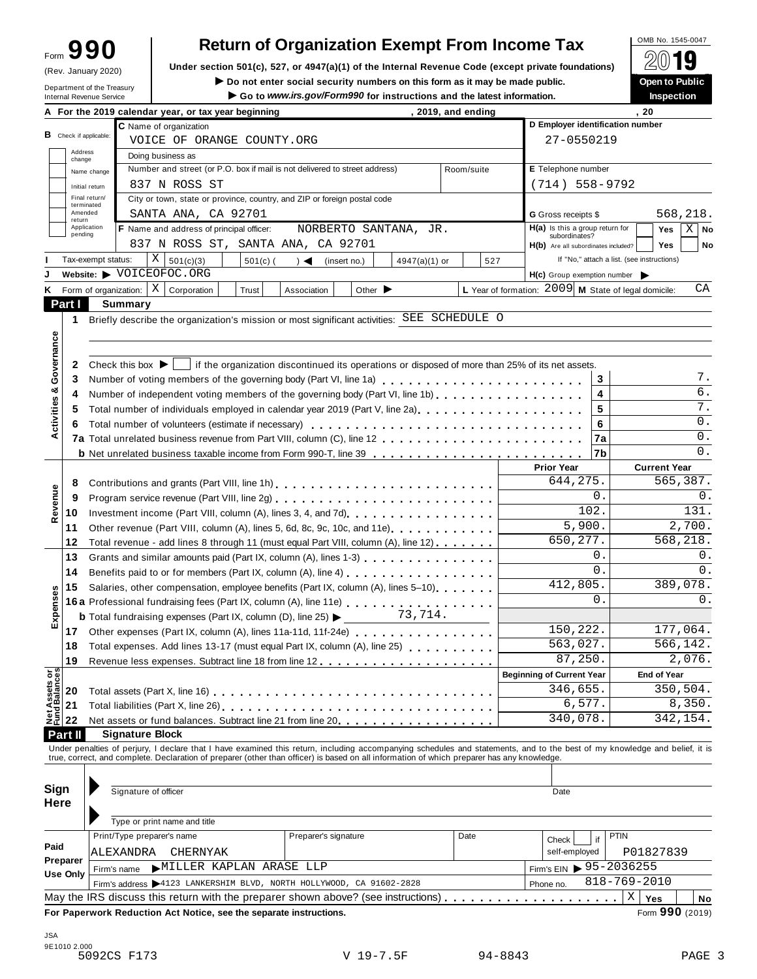# Form **990**

(Rev. January 2020)

# **Return of Organization Exempt From Income Tax**  $\frac{\text{OMB NO. 1545-0047}}{9 \text{A}}$

**Under section 501(c), 527, or 4947(a)(1) of the Internal Revenue Code (except private foundations)** À¾µ½

Department of the Treasury

I **Do not enter social security numbers on this form as it may be made public. Open to Public**

|                                      | Department of the Treasury<br>Internal Revenue Service                           |                                                                  |                                                                                                                                                                                                                                | $\blacktriangleright$ Do not enter social security numbers on this form as it may be made public.<br>Go to www.irs.gov/Form990 for instructions and the latest information. |                                                      |                    |                        |                                                        |                                            | <b>Open to Public</b><br><b>Inspection</b> |                  |
|--------------------------------------|----------------------------------------------------------------------------------|------------------------------------------------------------------|--------------------------------------------------------------------------------------------------------------------------------------------------------------------------------------------------------------------------------|-----------------------------------------------------------------------------------------------------------------------------------------------------------------------------|------------------------------------------------------|--------------------|------------------------|--------------------------------------------------------|--------------------------------------------|--------------------------------------------|------------------|
|                                      |                                                                                  |                                                                  | A For the 2019 calendar year, or tax year beginning                                                                                                                                                                            |                                                                                                                                                                             |                                                      | , 2019, and ending |                        |                                                        |                                            | . 20                                       |                  |
|                                      |                                                                                  |                                                                  | C Name of organization                                                                                                                                                                                                         |                                                                                                                                                                             |                                                      |                    |                        | D Employer identification number                       |                                            |                                            |                  |
|                                      | <b>B</b> Check if applicable:                                                    |                                                                  | VOICE OF ORANGE COUNTY.ORG                                                                                                                                                                                                     |                                                                                                                                                                             |                                                      |                    |                        | 27-0550219                                             |                                            |                                            |                  |
|                                      | Address<br>change                                                                |                                                                  | Doing business as                                                                                                                                                                                                              |                                                                                                                                                                             |                                                      |                    |                        |                                                        |                                            |                                            |                  |
|                                      | Name change                                                                      |                                                                  | Number and street (or P.O. box if mail is not delivered to street address)                                                                                                                                                     |                                                                                                                                                                             |                                                      | Room/suite         |                        | E Telephone number                                     |                                            |                                            |                  |
|                                      | Initial return                                                                   |                                                                  | 837 N ROSS ST                                                                                                                                                                                                                  |                                                                                                                                                                             |                                                      |                    |                        | $(714) 558 - 9792$                                     |                                            |                                            |                  |
|                                      | Final return/                                                                    |                                                                  | City or town, state or province, country, and ZIP or foreign postal code                                                                                                                                                       |                                                                                                                                                                             |                                                      |                    |                        |                                                        |                                            |                                            |                  |
|                                      | terminated<br>Amended                                                            |                                                                  | SANTA ANA, CA 92701                                                                                                                                                                                                            |                                                                                                                                                                             |                                                      |                    |                        | G Gross receipts \$                                    |                                            | 568,218.                                   |                  |
| return                               | Application<br>pending                                                           |                                                                  | F Name and address of principal officer:                                                                                                                                                                                       | $H(a)$ is this a group return for                                                                                                                                           |                                                      | Yes                | $X \mid$ No            |                                                        |                                            |                                            |                  |
|                                      |                                                                                  |                                                                  | 837 N ROSS ST, SANTA ANA, CA 92701                                                                                                                                                                                             |                                                                                                                                                                             | subordinates?<br>H(b) Are all subordinates included? |                    | <b>Yes</b>             | No                                                     |                                            |                                            |                  |
|                                      | Tax-exempt status:                                                               |                                                                  | ΧI<br>501(c)(3)<br>$501(c)$ (                                                                                                                                                                                                  | $\rightarrow$ $\blacktriangleleft$<br>(insert no.)                                                                                                                          | 4947(a)(1) or                                        |                    | 527                    |                                                        | If "No," attach a list. (see instructions) |                                            |                  |
|                                      |                                                                                  |                                                                  | Website: > VOICEOFOC.ORG                                                                                                                                                                                                       |                                                                                                                                                                             |                                                      |                    |                        | $H(c)$ Group exemption number $\triangleright$         |                                            |                                            |                  |
| Κ                                    | Form of organization:                                                            | X <sub>1</sub>                                                   | Corporation<br>Trust                                                                                                                                                                                                           | Association<br>Other $\blacktriangleright$                                                                                                                                  |                                                      |                    |                        | L Year of formation: $2009$ M State of legal domicile: |                                            |                                            | СA               |
| Part I                               |                                                                                  | <b>Summary</b>                                                   |                                                                                                                                                                                                                                |                                                                                                                                                                             |                                                      |                    |                        |                                                        |                                            |                                            |                  |
| 1                                    |                                                                                  |                                                                  | Briefly describe the organization's mission or most significant activities: SEE SCHEDULE O                                                                                                                                     |                                                                                                                                                                             |                                                      |                    |                        |                                                        |                                            |                                            |                  |
|                                      |                                                                                  |                                                                  |                                                                                                                                                                                                                                |                                                                                                                                                                             |                                                      |                    |                        |                                                        |                                            |                                            |                  |
| <b>Activities &amp; Governance</b>   |                                                                                  |                                                                  |                                                                                                                                                                                                                                |                                                                                                                                                                             |                                                      |                    |                        |                                                        |                                            |                                            |                  |
| 2                                    |                                                                                  | Check this box $\blacktriangleright$                             |                                                                                                                                                                                                                                | if the organization discontinued its operations or disposed of more than 25% of its net assets.                                                                             |                                                      |                    |                        |                                                        |                                            |                                            |                  |
| 3                                    |                                                                                  |                                                                  | Number of voting members of the governing body (Part VI, line 1a)                                                                                                                                                              |                                                                                                                                                                             |                                                      |                    |                        |                                                        | 3                                          |                                            | 7.               |
| 4                                    |                                                                                  |                                                                  | Number of independent voting members of the governing body (Part VI, line 1b)                                                                                                                                                  |                                                                                                                                                                             |                                                      |                    |                        |                                                        | 4                                          |                                            | б.               |
| 5                                    |                                                                                  |                                                                  |                                                                                                                                                                                                                                |                                                                                                                                                                             |                                                      |                    |                        |                                                        | 5                                          |                                            | $\overline{7}$ . |
|                                      |                                                                                  |                                                                  | Total number of individuals employed in calendar year 2019 (Part V, line 2a)                                                                                                                                                   |                                                                                                                                                                             |                                                      |                    |                        |                                                        | 6                                          |                                            | 0.               |
| 6                                    |                                                                                  |                                                                  |                                                                                                                                                                                                                                |                                                                                                                                                                             |                                                      |                    |                        |                                                        |                                            |                                            | 0.               |
|                                      |                                                                                  |                                                                  |                                                                                                                                                                                                                                |                                                                                                                                                                             |                                                      |                    |                        |                                                        | 7a                                         |                                            | 0.               |
|                                      |                                                                                  |                                                                  | <b>b</b> Net unrelated business taxable income from Form 990-T, line 39                                                                                                                                                        |                                                                                                                                                                             |                                                      |                    |                        |                                                        | 7b                                         |                                            |                  |
|                                      |                                                                                  |                                                                  |                                                                                                                                                                                                                                |                                                                                                                                                                             |                                                      |                    |                        | <b>Prior Year</b><br>644,275.                          |                                            | <b>Current Year</b><br>565,387.            |                  |
| 8                                    |                                                                                  |                                                                  |                                                                                                                                                                                                                                |                                                                                                                                                                             |                                                      |                    |                        |                                                        | 0.                                         |                                            |                  |
| 9                                    |                                                                                  |                                                                  |                                                                                                                                                                                                                                |                                                                                                                                                                             |                                                      |                    |                        |                                                        |                                            |                                            | 0.               |
| Revenue<br>10                        | 102.<br>Other revenue (Part VIII, column (A), lines 5, 6d, 8c, 9c, 10c, and 11e) |                                                                  |                                                                                                                                                                                                                                |                                                                                                                                                                             |                                                      |                    | 131.                   |                                                        |                                            |                                            |                  |
| 11                                   |                                                                                  |                                                                  |                                                                                                                                                                                                                                |                                                                                                                                                                             | 5,900.                                               |                    | 2,700.                 |                                                        |                                            |                                            |                  |
| 12                                   |                                                                                  |                                                                  | Total revenue - add lines 8 through 11 (must equal Part VIII, column (A), line 12)                                                                                                                                             |                                                                                                                                                                             |                                                      |                    |                        | 650,277.                                               |                                            | 568,218.                                   |                  |
| 13                                   |                                                                                  | Grants and similar amounts paid (Part IX, column (A), lines 1-3) |                                                                                                                                                                                                                                | 0.                                                                                                                                                                          |                                                      | 0.                 |                        |                                                        |                                            |                                            |                  |
| 14                                   |                                                                                  |                                                                  |                                                                                                                                                                                                                                |                                                                                                                                                                             |                                                      |                    |                        |                                                        | $\overline{0}$ .                           |                                            | 0.               |
| 15                                   |                                                                                  |                                                                  | Salaries, other compensation, employee benefits (Part IX, column (A), lines 5-10)                                                                                                                                              |                                                                                                                                                                             |                                                      |                    |                        | 412,805.                                               |                                            | 389,078.                                   |                  |
| Expenses                             |                                                                                  |                                                                  |                                                                                                                                                                                                                                |                                                                                                                                                                             |                                                      |                    |                        |                                                        | $\overline{0}$ .                           |                                            | 0.               |
|                                      |                                                                                  |                                                                  | <b>b</b> Total fundraising expenses (Part IX, column (D), line 25) $\blacktriangleright$                                                                                                                                       |                                                                                                                                                                             | 73,714.                                              |                    |                        |                                                        |                                            |                                            |                  |
| 17                                   |                                                                                  |                                                                  | Other expenses (Part IX, column (A), lines 11a-11d, 11f-24e)                                                                                                                                                                   |                                                                                                                                                                             |                                                      |                    |                        | 150,222.                                               |                                            | 177,064.                                   |                  |
| 18                                   |                                                                                  |                                                                  | Total expenses. Add lines 13-17 (must equal Part IX, column (A), line 25)                                                                                                                                                      |                                                                                                                                                                             |                                                      |                    |                        | 563,027.                                               |                                            | 566,142.                                   |                  |
| 19                                   |                                                                                  |                                                                  |                                                                                                                                                                                                                                |                                                                                                                                                                             |                                                      |                    |                        | 87,250.                                                |                                            | 2,076.                                     |                  |
|                                      |                                                                                  |                                                                  |                                                                                                                                                                                                                                |                                                                                                                                                                             |                                                      |                    |                        | <b>Beginning of Current Year</b>                       |                                            | <b>End of Year</b>                         |                  |
| Net Assets or<br>Fund Balances<br>20 |                                                                                  |                                                                  |                                                                                                                                                                                                                                |                                                                                                                                                                             |                                                      |                    |                        | 346,655.                                               |                                            | 350,504.                                   |                  |
| 21                                   |                                                                                  |                                                                  |                                                                                                                                                                                                                                |                                                                                                                                                                             |                                                      |                    |                        | 6,577.                                                 |                                            | 8,350.                                     |                  |
| 22                                   |                                                                                  |                                                                  | Net assets or fund balances. Subtract line 21 from line 20.                                                                                                                                                                    |                                                                                                                                                                             |                                                      |                    |                        | 340,078.                                               |                                            | 342,154.                                   |                  |
| Part II                              |                                                                                  | <b>Signature Block</b>                                           |                                                                                                                                                                                                                                |                                                                                                                                                                             |                                                      |                    |                        |                                                        |                                            |                                            |                  |
|                                      |                                                                                  |                                                                  | Under penalties of perjury, I declare that I have examined this return, including accompanying schedules and statements, and to the best of my knowledge and belief, it is true, correct, and complete. Declaration of prepare |                                                                                                                                                                             |                                                      |                    |                        |                                                        |                                            |                                            |                  |
|                                      |                                                                                  |                                                                  |                                                                                                                                                                                                                                |                                                                                                                                                                             |                                                      |                    |                        |                                                        |                                            |                                            |                  |
|                                      |                                                                                  |                                                                  |                                                                                                                                                                                                                                |                                                                                                                                                                             |                                                      |                    |                        |                                                        |                                            |                                            |                  |
| Sign                                 |                                                                                  | Signature of officer                                             |                                                                                                                                                                                                                                |                                                                                                                                                                             |                                                      |                    |                        |                                                        |                                            |                                            |                  |
| <b>Here</b>                          |                                                                                  |                                                                  |                                                                                                                                                                                                                                |                                                                                                                                                                             |                                                      |                    |                        |                                                        |                                            |                                            |                  |
|                                      |                                                                                  |                                                                  | Type or print name and title                                                                                                                                                                                                   |                                                                                                                                                                             |                                                      |                    |                        |                                                        |                                            |                                            |                  |
|                                      | Print/Type preparer's name<br>Preparer's signature<br>Date<br>if<br>Check        |                                                                  |                                                                                                                                                                                                                                |                                                                                                                                                                             |                                                      |                    |                        |                                                        | <b>PTIN</b>                                |                                            |                  |
| Paid                                 |                                                                                  |                                                                  | ALEXANDRA CHERNYAK                                                                                                                                                                                                             |                                                                                                                                                                             |                                                      |                    |                        | self-employed                                          |                                            | P01827839                                  |                  |
|                                      | Preparer<br>MILLER KAPLAN ARASE LLP<br>Firm's name                               |                                                                  |                                                                                                                                                                                                                                |                                                                                                                                                                             |                                                      |                    | Firm's EIN ▶95-2036255 |                                                        |                                            |                                            |                  |
|                                      |                                                                                  |                                                                  |                                                                                                                                                                                                                                |                                                                                                                                                                             |                                                      |                    |                        |                                                        |                                            |                                            |                  |
| Use Only                             |                                                                                  |                                                                  |                                                                                                                                                                                                                                |                                                                                                                                                                             |                                                      |                    |                        |                                                        |                                            |                                            |                  |
|                                      |                                                                                  |                                                                  | Firm's address >4123 LANKERSHIM BLVD, NORTH HOLLYWOOD, CA 91602-2828                                                                                                                                                           |                                                                                                                                                                             |                                                      |                    |                        | Phone no.                                              | $818 - 769 - 2010$<br>Χ                    | Yes                                        | No               |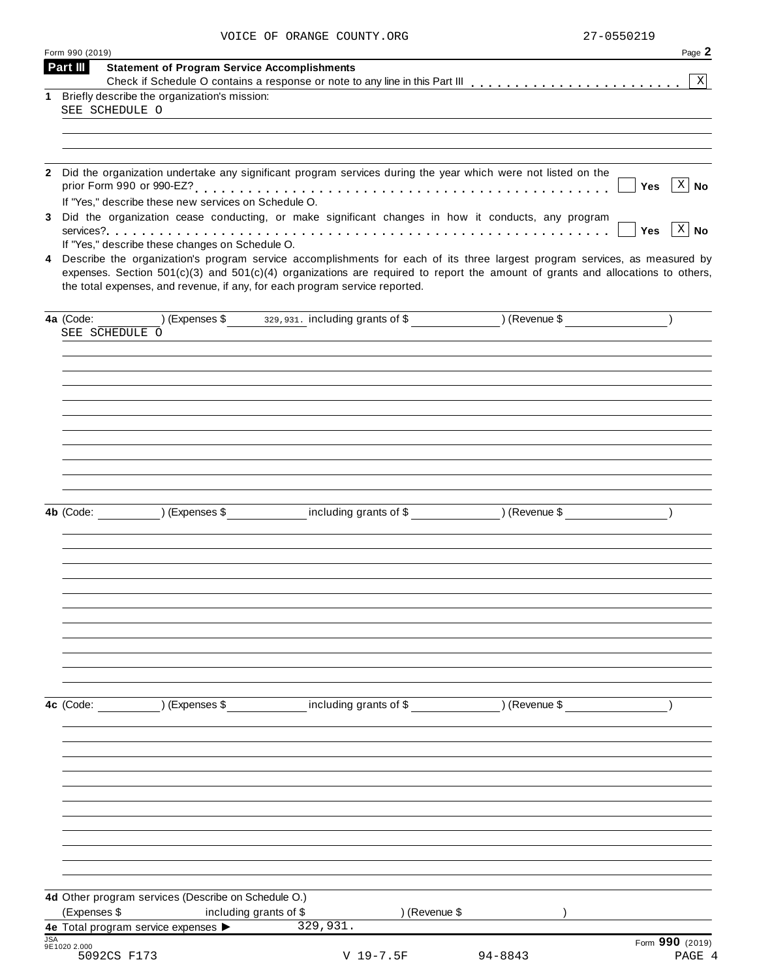|            | Form 990 (2019) |                                                      |                                                                                                                                                                                                                   |             | Page 2               |
|------------|-----------------|------------------------------------------------------|-------------------------------------------------------------------------------------------------------------------------------------------------------------------------------------------------------------------|-------------|----------------------|
|            | Part III        | <b>Statement of Program Service Accomplishments</b>  |                                                                                                                                                                                                                   |             |                      |
|            |                 | 1 Briefly describe the organization's mission:       |                                                                                                                                                                                                                   |             | $\mathbf X$          |
|            |                 | SEE SCHEDULE O                                       |                                                                                                                                                                                                                   |             |                      |
|            |                 |                                                      |                                                                                                                                                                                                                   |             |                      |
|            |                 |                                                      |                                                                                                                                                                                                                   |             |                      |
|            |                 |                                                      |                                                                                                                                                                                                                   |             |                      |
| 2          |                 |                                                      | Did the organization undertake any significant program services during the year which were not listed on the                                                                                                      |             |                      |
|            |                 |                                                      |                                                                                                                                                                                                                   |             | $ X $ No<br>Yes      |
|            |                 | If "Yes," describe these new services on Schedule O. |                                                                                                                                                                                                                   |             |                      |
| 3          |                 |                                                      | Did the organization cease conducting, or make significant changes in how it conducts, any program                                                                                                                |             | $\lceil x \rceil$ No |
|            |                 | If "Yes," describe these changes on Schedule O.      |                                                                                                                                                                                                                   |             | <b>Yes</b>           |
|            |                 |                                                      | 4 Describe the organization's program service accomplishments for each of its three largest program services, as measured by                                                                                      |             |                      |
|            |                 |                                                      | expenses. Section $501(c)(3)$ and $501(c)(4)$ organizations are required to report the amount of grants and allocations to others,<br>the total expenses, and revenue, if any, for each program service reported. |             |                      |
|            | 4a (Code:       |                                                      | $(\text{Expenses }$ \$ 329,931. including grants of \$ ) (Revenue \$ )                                                                                                                                            |             |                      |
|            |                 | SEE SCHEDULE O                                       |                                                                                                                                                                                                                   |             |                      |
|            |                 |                                                      |                                                                                                                                                                                                                   |             |                      |
|            |                 |                                                      |                                                                                                                                                                                                                   |             |                      |
|            |                 |                                                      |                                                                                                                                                                                                                   |             |                      |
|            |                 |                                                      |                                                                                                                                                                                                                   |             |                      |
|            |                 |                                                      |                                                                                                                                                                                                                   |             |                      |
|            |                 |                                                      |                                                                                                                                                                                                                   |             |                      |
|            |                 |                                                      |                                                                                                                                                                                                                   |             |                      |
|            |                 |                                                      |                                                                                                                                                                                                                   |             |                      |
|            |                 |                                                      |                                                                                                                                                                                                                   |             |                      |
|            |                 |                                                      |                                                                                                                                                                                                                   |             |                      |
|            |                 |                                                      | 4b (Code: ) (Expenses \$ including grants of \$ ) (Revenue \$                                                                                                                                                     |             |                      |
|            |                 |                                                      |                                                                                                                                                                                                                   |             |                      |
|            |                 |                                                      |                                                                                                                                                                                                                   |             |                      |
|            |                 |                                                      |                                                                                                                                                                                                                   |             |                      |
|            |                 |                                                      |                                                                                                                                                                                                                   |             |                      |
|            |                 |                                                      |                                                                                                                                                                                                                   |             |                      |
|            |                 |                                                      |                                                                                                                                                                                                                   |             |                      |
|            |                 |                                                      |                                                                                                                                                                                                                   |             |                      |
|            |                 |                                                      |                                                                                                                                                                                                                   |             |                      |
|            |                 |                                                      |                                                                                                                                                                                                                   |             |                      |
|            |                 |                                                      |                                                                                                                                                                                                                   |             |                      |
|            | 4c (Code:       |                                                      | (Expenses \$ including grants of \$ ) (Revenue \$                                                                                                                                                                 |             |                      |
|            |                 |                                                      |                                                                                                                                                                                                                   |             |                      |
|            |                 |                                                      |                                                                                                                                                                                                                   |             |                      |
|            |                 |                                                      |                                                                                                                                                                                                                   |             |                      |
|            |                 |                                                      |                                                                                                                                                                                                                   |             |                      |
|            |                 |                                                      |                                                                                                                                                                                                                   |             |                      |
|            |                 |                                                      |                                                                                                                                                                                                                   |             |                      |
|            |                 |                                                      |                                                                                                                                                                                                                   |             |                      |
|            |                 |                                                      |                                                                                                                                                                                                                   |             |                      |
|            |                 |                                                      |                                                                                                                                                                                                                   |             |                      |
|            |                 |                                                      |                                                                                                                                                                                                                   |             |                      |
|            |                 |                                                      |                                                                                                                                                                                                                   |             |                      |
|            |                 | 4d Other program services (Describe on Schedule O.)  |                                                                                                                                                                                                                   |             |                      |
|            | (Expenses \$    | including grants of \$                               | ) (Revenue \$                                                                                                                                                                                                     |             |                      |
|            |                 | 4e Total program service expenses >                  | 329,931.                                                                                                                                                                                                          |             |                      |
| <b>JSA</b> | 9E1020 2.000    |                                                      |                                                                                                                                                                                                                   |             | Form 990 (2019)      |
|            |                 | 5092CS F173                                          | $V$ 19-7.5F                                                                                                                                                                                                       | $94 - 8843$ | PAGE 4               |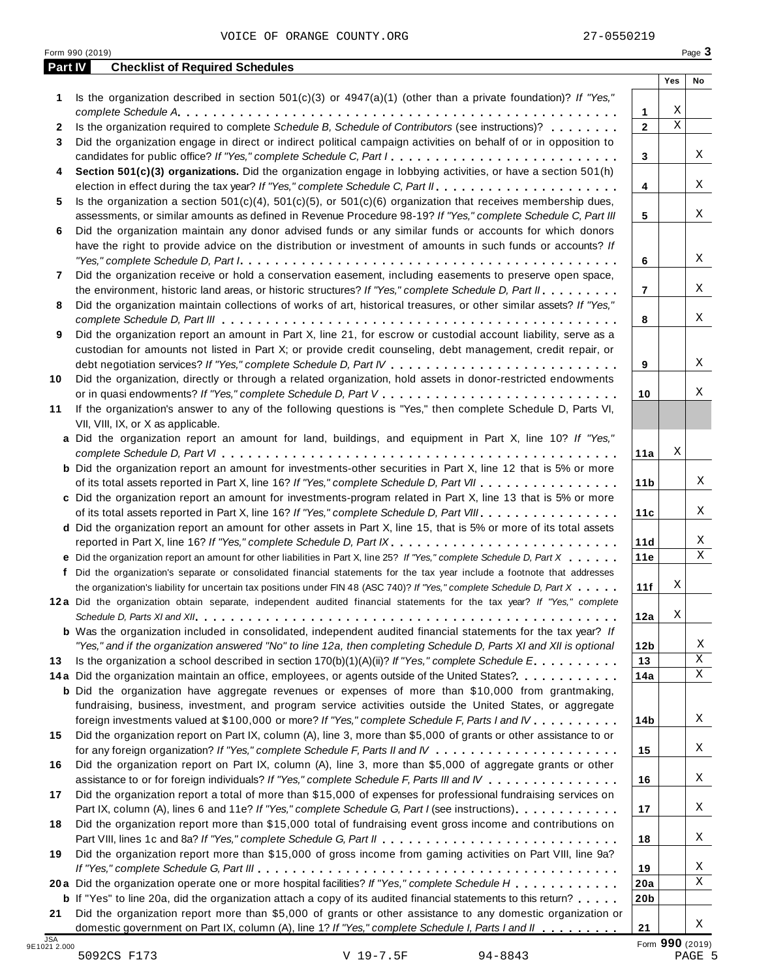| 1              | Is the organization described in section $501(c)(3)$ or $4947(a)(1)$ (other than a private foundation)? If "Yes,"         |                 |             |   |
|----------------|---------------------------------------------------------------------------------------------------------------------------|-----------------|-------------|---|
|                |                                                                                                                           | $\mathbf{1}$    | Χ           |   |
| $\mathbf{2}$   | Is the organization required to complete Schedule B, Schedule of Contributors (see instructions)?                         | $\mathbf{2}$    | $\mathbf X$ |   |
| 3              | Did the organization engage in direct or indirect political campaign activities on behalf of or in opposition to          |                 |             |   |
|                |                                                                                                                           | 3               |             |   |
| 4              | Section 501(c)(3) organizations. Did the organization engage in lobbying activities, or have a section 501(h)             |                 |             |   |
|                | election in effect during the tax year? If "Yes," complete Schedule C, Part II.                                           | 4               |             |   |
| 5.             | Is the organization a section $501(c)(4)$ , $501(c)(5)$ , or $501(c)(6)$ organization that receives membership dues,      |                 |             |   |
|                | assessments, or similar amounts as defined in Revenue Procedure 98-19? If "Yes," complete Schedule C, Part III            | 5               |             |   |
| 6              | Did the organization maintain any donor advised funds or any similar funds or accounts for which donors                   |                 |             |   |
|                | have the right to provide advice on the distribution or investment of amounts in such funds or accounts? If               |                 |             |   |
|                |                                                                                                                           | 6               |             |   |
| 7              | Did the organization receive or hold a conservation easement, including easements to preserve open space,                 |                 |             |   |
|                |                                                                                                                           |                 |             |   |
|                | the environment, historic land areas, or historic structures? If "Yes," complete Schedule D, Part II.                     | $\overline{7}$  |             |   |
| 8              | Did the organization maintain collections of works of art, historical treasures, or other similar assets? If "Yes,"       |                 |             |   |
|                |                                                                                                                           | 8               |             | X |
| 9              | Did the organization report an amount in Part X, line 21, for escrow or custodial account liability, serve as a           |                 |             |   |
|                | custodian for amounts not listed in Part X; or provide credit counseling, debt management, credit repair, or              |                 |             |   |
|                |                                                                                                                           | 9               |             |   |
| 10             | Did the organization, directly or through a related organization, hold assets in donor-restricted endowments              |                 |             |   |
|                |                                                                                                                           | 10              |             |   |
| 11             | If the organization's answer to any of the following questions is "Yes," then complete Schedule D, Parts VI,              |                 |             |   |
|                | VII, VIII, IX, or X as applicable.                                                                                        |                 |             |   |
|                | a Did the organization report an amount for land, buildings, and equipment in Part X, line 10? If "Yes,"                  |                 |             |   |
|                |                                                                                                                           | 11a             | Χ           |   |
|                | <b>b</b> Did the organization report an amount for investments-other securities in Part X, line 12 that is 5% or more     |                 |             |   |
|                | of its total assets reported in Part X, line 16? If "Yes," complete Schedule D, Part VII                                  | 11 <sub>b</sub> |             |   |
|                | c Did the organization report an amount for investments-program related in Part X, line 13 that is 5% or more             |                 |             |   |
|                | of its total assets reported in Part X, line 16? If "Yes," complete Schedule D, Part VIII                                 | 11c             |             |   |
|                | d Did the organization report an amount for other assets in Part X, line 15, that is 5% or more of its total assets       |                 |             |   |
|                | reported in Part X, line 16? If "Yes," complete Schedule D, Part IX.                                                      | 11d             |             |   |
|                | e Did the organization report an amount for other liabilities in Part X, line 25? If "Yes," complete Schedule D, Part X   | 11e             |             |   |
|                | f Did the organization's separate or consolidated financial statements for the tax year include a footnote that addresses |                 |             |   |
|                | the organization's liability for uncertain tax positions under FIN 48 (ASC 740)? If "Yes," complete Schedule D, Part X    | 11f             | Χ           |   |
|                | 12a Did the organization obtain separate, independent audited financial statements for the tax year? If "Yes," complete   |                 |             |   |
|                |                                                                                                                           | 12a             | Χ           |   |
|                | <b>b</b> Was the organization included in consolidated, independent audited financial statements for the tax year? If     |                 |             |   |
|                | "Yes," and if the organization answered "No" to line 12a, then completing Schedule D, Parts XI and XII is optional        | 12 <sub>b</sub> |             |   |
| 13             | Is the organization a school described in section $170(b)(1)(A)(ii)$ ? If "Yes," complete Schedule E                      | 13              |             |   |
|                | 14a Did the organization maintain an office, employees, or agents outside of the United States?.                          | 14a             |             |   |
|                | <b>b</b> Did the organization have aggregate revenues or expenses of more than \$10,000 from grantmaking,                 |                 |             |   |
|                | fundraising, business, investment, and program service activities outside the United States, or aggregate                 |                 |             |   |
|                | foreign investments valued at \$100,000 or more? If "Yes," complete Schedule F, Parts I and IV                            | 14b             |             |   |
| 15             | Did the organization report on Part IX, column (A), line 3, more than \$5,000 of grants or other assistance to or         |                 |             |   |
|                |                                                                                                                           | 15              |             |   |
| 16             | Did the organization report on Part IX, column (A), line 3, more than \$5,000 of aggregate grants or other                |                 |             |   |
|                | assistance to or for foreign individuals? If "Yes," complete Schedule F, Parts III and IV                                 | 16              |             |   |
|                | Did the organization report a total of more than \$15,000 of expenses for professional fundraising services on            |                 |             |   |
|                |                                                                                                                           |                 |             |   |
|                | Part IX, column (A), lines 6 and 11e? If "Yes," complete Schedule G, Part I (see instructions)                            | 17              |             |   |
|                | Did the organization report more than \$15,000 total of fundraising event gross income and contributions on               |                 |             |   |
|                |                                                                                                                           | 18              |             |   |
|                | Did the organization report more than \$15,000 of gross income from gaming activities on Part VIII, line 9a?              |                 |             |   |
|                |                                                                                                                           | 19              |             |   |
|                | 20a Did the organization operate one or more hospital facilities? If "Yes," complete Schedule H                           | 20a             |             |   |
| 17<br>18<br>19 | <b>b</b> If "Yes" to line 20a, did the organization attach a copy of its audited financial statements to this return?     | 20 <sub>b</sub> |             |   |
| 21             | Did the organization report more than \$5,000 of grants or other assistance to any domestic organization or               |                 |             |   |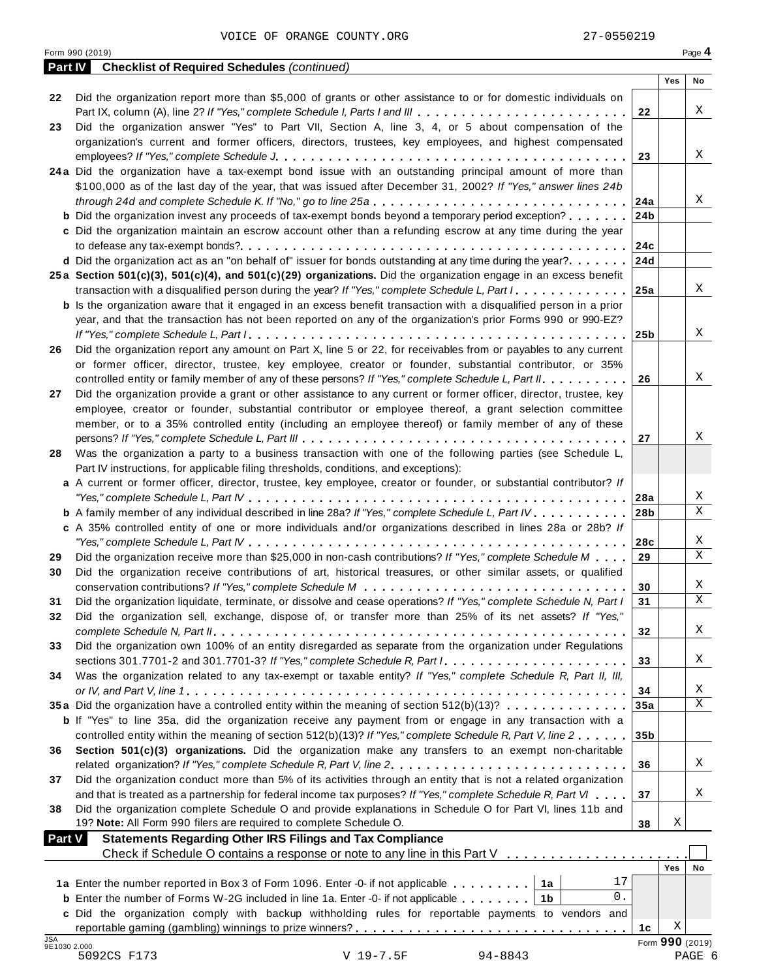|               | Form 990 (2019)                                                                                                                                                                              |                 |     | Page 4          |
|---------------|----------------------------------------------------------------------------------------------------------------------------------------------------------------------------------------------|-----------------|-----|-----------------|
|               | <b>Checklist of Required Schedules (continued)</b><br><b>Part IV</b>                                                                                                                         |                 |     |                 |
|               |                                                                                                                                                                                              |                 | Yes | No              |
| 22            | Did the organization report more than \$5,000 of grants or other assistance to or for domestic individuals on<br>Part IX, column (A), line 2? If "Yes," complete Schedule I, Parts I and III | 22              |     | X               |
| 23            | Did the organization answer "Yes" to Part VII, Section A, line 3, 4, or 5 about compensation of the                                                                                          |                 |     |                 |
|               | organization's current and former officers, directors, trustees, key employees, and highest compensated                                                                                      |                 |     |                 |
|               |                                                                                                                                                                                              | 23              |     | X               |
|               | 24a Did the organization have a tax-exempt bond issue with an outstanding principal amount of more than                                                                                      |                 |     |                 |
|               | \$100,000 as of the last day of the year, that was issued after December 31, 2002? If "Yes," answer lines 24b                                                                                |                 |     |                 |
|               | through 24d and complete Schedule K. If "No," go to line 25a                                                                                                                                 | 24a             |     | Χ               |
|               | <b>b</b> Did the organization invest any proceeds of tax-exempt bonds beyond a temporary period exception?                                                                                   | 24 <sub>b</sub> |     |                 |
|               | c Did the organization maintain an escrow account other than a refunding escrow at any time during the year                                                                                  |                 |     |                 |
|               |                                                                                                                                                                                              | 24c             |     |                 |
|               | d Did the organization act as an "on behalf of" issuer for bonds outstanding at any time during the year?                                                                                    | 24d             |     |                 |
|               | 25a Section 501(c)(3), 501(c)(4), and 501(c)(29) organizations. Did the organization engage in an excess benefit                                                                             |                 |     |                 |
|               | transaction with a disqualified person during the year? If "Yes," complete Schedule L, Part I                                                                                                | 25a             |     | X               |
|               | <b>b</b> Is the organization aware that it engaged in an excess benefit transaction with a disqualified person in a prior                                                                    |                 |     |                 |
|               | year, and that the transaction has not been reported on any of the organization's prior Forms 990 or 990-EZ?                                                                                 |                 |     |                 |
|               |                                                                                                                                                                                              | 25b             |     | X               |
| 26            | Did the organization report any amount on Part X, line 5 or 22, for receivables from or payables to any current                                                                              |                 |     |                 |
|               | or former officer, director, trustee, key employee, creator or founder, substantial contributor, or 35%                                                                                      |                 |     |                 |
|               | controlled entity or family member of any of these persons? If "Yes," complete Schedule L, Part II.                                                                                          | 26              |     | X               |
| 27            | Did the organization provide a grant or other assistance to any current or former officer, director, trustee, key                                                                            |                 |     |                 |
|               | employee, creator or founder, substantial contributor or employee thereof, a grant selection committee                                                                                       |                 |     |                 |
|               | member, or to a 35% controlled entity (including an employee thereof) or family member of any of these                                                                                       |                 |     |                 |
|               |                                                                                                                                                                                              | 27              |     | X               |
| 28            | Was the organization a party to a business transaction with one of the following parties (see Schedule L,                                                                                    |                 |     |                 |
|               | Part IV instructions, for applicable filing thresholds, conditions, and exceptions):                                                                                                         |                 |     |                 |
|               | a A current or former officer, director, trustee, key employee, creator or founder, or substantial contributor? If                                                                           |                 |     |                 |
|               |                                                                                                                                                                                              | 28a             |     | X               |
|               | <b>b</b> A family member of any individual described in line 28a? If "Yes," complete Schedule L, Part IV.                                                                                    | 28 <sub>b</sub> |     | X               |
|               | c A 35% controlled entity of one or more individuals and/or organizations described in lines 28a or 28b? If                                                                                  |                 |     |                 |
|               |                                                                                                                                                                                              | 28c             |     | Χ               |
| 29            | Did the organization receive more than \$25,000 in non-cash contributions? If "Yes," complete Schedule M                                                                                     | 29              |     | X               |
| 30            | Did the organization receive contributions of art, historical treasures, or other similar assets, or qualified                                                                               |                 |     |                 |
|               |                                                                                                                                                                                              | 30              |     | Χ               |
| 31            | Did the organization liquidate, terminate, or dissolve and cease operations? If "Yes," complete Schedule N, Part I                                                                           | 31              |     | $\mathbf X$     |
| 32            | Did the organization sell, exchange, dispose of, or transfer more than 25% of its net assets? If "Yes,"                                                                                      |                 |     |                 |
|               |                                                                                                                                                                                              | 32              |     | Χ               |
| 33            | Did the organization own 100% of an entity disregarded as separate from the organization under Regulations                                                                                   |                 |     |                 |
|               | sections 301.7701-2 and 301.7701-3? If "Yes," complete Schedule R, Part /                                                                                                                    | 33              |     | Χ               |
| 34            | Was the organization related to any tax-exempt or taxable entity? If "Yes," complete Schedule R, Part II, III,                                                                               |                 |     |                 |
|               |                                                                                                                                                                                              | 34              |     | Χ               |
|               | 35a Did the organization have a controlled entity within the meaning of section 512(b)(13)?                                                                                                  | 35a             |     | X               |
|               | <b>b</b> If "Yes" to line 35a, did the organization receive any payment from or engage in any transaction with a                                                                             |                 |     |                 |
|               | controlled entity within the meaning of section 512(b)(13)? If "Yes," complete Schedule R, Part V, line 2                                                                                    | 35 <sub>b</sub> |     |                 |
| 36            | Section 501(c)(3) organizations. Did the organization make any transfers to an exempt non-charitable                                                                                         |                 |     |                 |
|               | related organization? If "Yes," complete Schedule R, Part V, line 2.                                                                                                                         | 36              |     | Χ               |
| 37            | Did the organization conduct more than 5% of its activities through an entity that is not a related organization                                                                             |                 |     |                 |
|               | and that is treated as a partnership for federal income tax purposes? If "Yes," complete Schedule R, Part VI                                                                                 | 37              |     | Χ               |
| 38            | Did the organization complete Schedule O and provide explanations in Schedule O for Part VI, lines 11b and                                                                                   |                 |     |                 |
|               | 19? Note: All Form 990 filers are required to complete Schedule O.                                                                                                                           | 38              | Χ   |                 |
| <b>Part V</b> | <b>Statements Regarding Other IRS Filings and Tax Compliance</b>                                                                                                                             |                 |     |                 |
|               | Check if Schedule O contains a response or note to any line in this Part V                                                                                                                   |                 | Yes | No              |
|               | 17<br>1a                                                                                                                                                                                     |                 |     |                 |
|               | 0.<br><b>b</b> Enter the number of Forms W-2G included in line 1a. Enter -0- if not applicable $\ldots \ldots$   1b                                                                          |                 |     |                 |
|               | c Did the organization comply with backup withholding rules for reportable payments to vendors and                                                                                           |                 |     |                 |
|               |                                                                                                                                                                                              | 1c              | Χ   |                 |
| JSA           |                                                                                                                                                                                              |                 |     | Form 990 (2019) |
| 9E1030 2.000  | 5092CS F173<br>V 19-7.5F<br>94-8843                                                                                                                                                          |                 |     | PAGE 6          |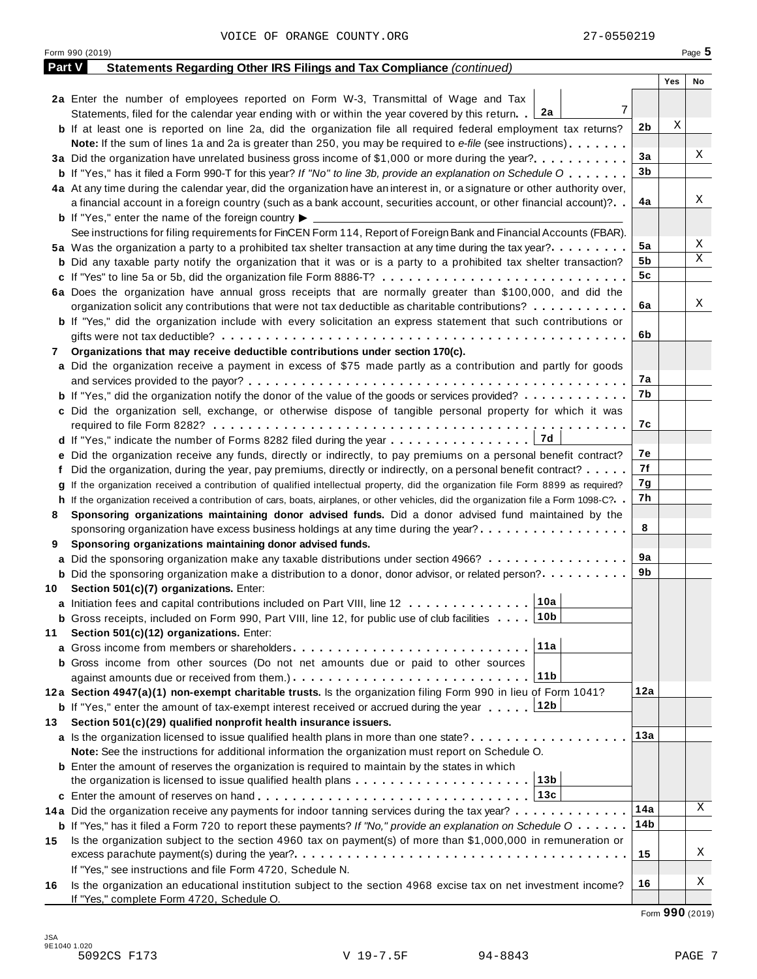|        | Form 990 (2019)                                                                                                                              |     |     | Page 5 |
|--------|----------------------------------------------------------------------------------------------------------------------------------------------|-----|-----|--------|
| Part V | Statements Regarding Other IRS Filings and Tax Compliance (continued)                                                                        |     |     |        |
|        |                                                                                                                                              |     | Yes | No     |
|        | 2a Enter the number of employees reported on Form W-3, Transmittal of Wage and Tax                                                           |     |     |        |
|        | 7<br>Statements, filed for the calendar year ending with or within the year covered by this return. $2a$                                     |     |     |        |
|        | <b>b</b> If at least one is reported on line 2a, did the organization file all required federal employment tax returns?                      | 2b  | Χ   |        |
|        | <b>Note:</b> If the sum of lines 1a and 2a is greater than 250, you may be required to e-file (see instructions).                            |     |     |        |
|        | 3a Did the organization have unrelated business gross income of \$1,000 or more during the year?                                             | 3a  |     | Χ      |
|        | <b>b</b> If "Yes," has it filed a Form 990-T for this year? If "No" to line 3b, provide an explanation on Schedule O                         | 3b  |     |        |
|        | 4a At any time during the calendar year, did the organization have an interest in, or a signature or other authority over,                   |     |     |        |
|        | a financial account in a foreign country (such as a bank account, securities account, or other financial account)?                           | 4a  |     | Χ      |
|        | <b>b</b> If "Yes," enter the name of the foreign country $\blacktriangleright$                                                               |     |     |        |
|        | See instructions for filing requirements for FinCEN Form 114, Report of Foreign Bank and Financial Accounts (FBAR).                          |     |     |        |
|        | 5a Was the organization a party to a prohibited tax shelter transaction at any time during the tax year?                                     | 5a  |     | Χ      |
|        | <b>b</b> Did any taxable party notify the organization that it was or is a party to a prohibited tax shelter transaction?                    | 5b  |     | Χ      |
|        |                                                                                                                                              | 5c  |     |        |
|        |                                                                                                                                              |     |     |        |
|        | 6a Does the organization have annual gross receipts that are normally greater than \$100,000, and did the                                    | 6a  |     | Χ      |
|        | organization solicit any contributions that were not tax deductible as charitable contributions?                                             |     |     |        |
|        | <b>b</b> If "Yes," did the organization include with every solicitation an express statement that such contributions or                      |     |     |        |
|        |                                                                                                                                              | 6b  |     |        |
| 7      | Organizations that may receive deductible contributions under section 170(c).                                                                |     |     |        |
|        | a Did the organization receive a payment in excess of \$75 made partly as a contribution and partly for goods                                |     |     |        |
|        |                                                                                                                                              | 7а  |     |        |
|        | <b>b</b> If "Yes," did the organization notify the donor of the value of the goods or services provided?                                     | 7b  |     |        |
|        | c Did the organization sell, exchange, or otherwise dispose of tangible personal property for which it was                                   |     |     |        |
|        |                                                                                                                                              | 7с  |     |        |
|        | 7d                                                                                                                                           |     |     |        |
|        | e Did the organization receive any funds, directly or indirectly, to pay premiums on a personal benefit contract?                            | 7е  |     |        |
|        | f Did the organization, during the year, pay premiums, directly or indirectly, on a personal benefit contract?                               | 7f  |     |        |
|        | If the organization received a contribution of qualified intellectual property, did the organization file Form 8899 as required?             | 7g  |     |        |
|        | h If the organization received a contribution of cars, boats, airplanes, or other vehicles, did the organization file a Form 1098-C?         | 7h  |     |        |
| 8      | Sponsoring organizations maintaining donor advised funds. Did a donor advised fund maintained by the                                         |     |     |        |
|        | sponsoring organization have excess business holdings at any time during the year?                                                           | 8   |     |        |
| 9      | Sponsoring organizations maintaining donor advised funds.                                                                                    |     |     |        |
|        | <b>a</b> Did the sponsoring organization make any taxable distributions under section 4966?                                                  | 9а  |     |        |
|        | <b>b</b> Did the sponsoring organization make a distribution to a donor, donor advisor, or related person?                                   | 9b  |     |        |
|        | 10 Section 501(c)(7) organizations. Enter:                                                                                                   |     |     |        |
|        | 10a <br>a Initiation fees and capital contributions included on Part VIII, line 12                                                           |     |     |        |
|        | 10b<br><b>b</b> Gross receipts, included on Form 990, Part VIII, line 12, for public use of club facilities                                  |     |     |        |
| 11     | Section 501(c)(12) organizations. Enter:                                                                                                     |     |     |        |
|        | 11a                                                                                                                                          |     |     |        |
|        |                                                                                                                                              |     |     |        |
|        | <b>b</b> Gross income from other sources (Do not net amounts due or paid to other sources<br>11b                                             |     |     |        |
|        |                                                                                                                                              | 12a |     |        |
|        | 12a Section 4947(a)(1) non-exempt charitable trusts. Is the organization filing Form 990 in lieu of Form 1041?                               |     |     |        |
|        | 12b<br><b>b</b> If "Yes," enter the amount of tax-exempt interest received or accrued during the year                                        |     |     |        |
| 13.    | Section 501(c)(29) qualified nonprofit health insurance issuers.                                                                             |     |     |        |
|        | a Is the organization licensed to issue qualified health plans in more than one state?                                                       | 13а |     |        |
|        | Note: See the instructions for additional information the organization must report on Schedule O.                                            |     |     |        |
|        | <b>b</b> Enter the amount of reserves the organization is required to maintain by the states in which                                        |     |     |        |
|        | 13b<br>the organization is licensed to issue qualified health plans $\dots \dots \dots \dots \dots \dots \dots$                              |     |     |        |
|        | 13c                                                                                                                                          |     |     |        |
|        | 14a Did the organization receive any payments for indoor tanning services during the tax year?                                               | 14a |     | Χ      |
|        | <b>b</b> If "Yes," has it filed a Form 720 to report these payments? If "No," provide an explanation on Schedule $0 \cdot \cdot \cdot \cdot$ | 14b |     |        |
| 15     | Is the organization subject to the section 4960 tax on payment(s) of more than \$1,000,000 in remuneration or                                |     |     |        |
|        |                                                                                                                                              | 15  |     | Χ      |
|        | If "Yes," see instructions and file Form 4720, Schedule N.                                                                                   |     |     |        |
| 16     | Is the organization an educational institution subject to the section 4968 excise tax on net investment income?                              | 16  |     | Χ      |
|        | If "Yes," complete Form 4720, Schedule O.                                                                                                    |     |     |        |

Form **990** (2019)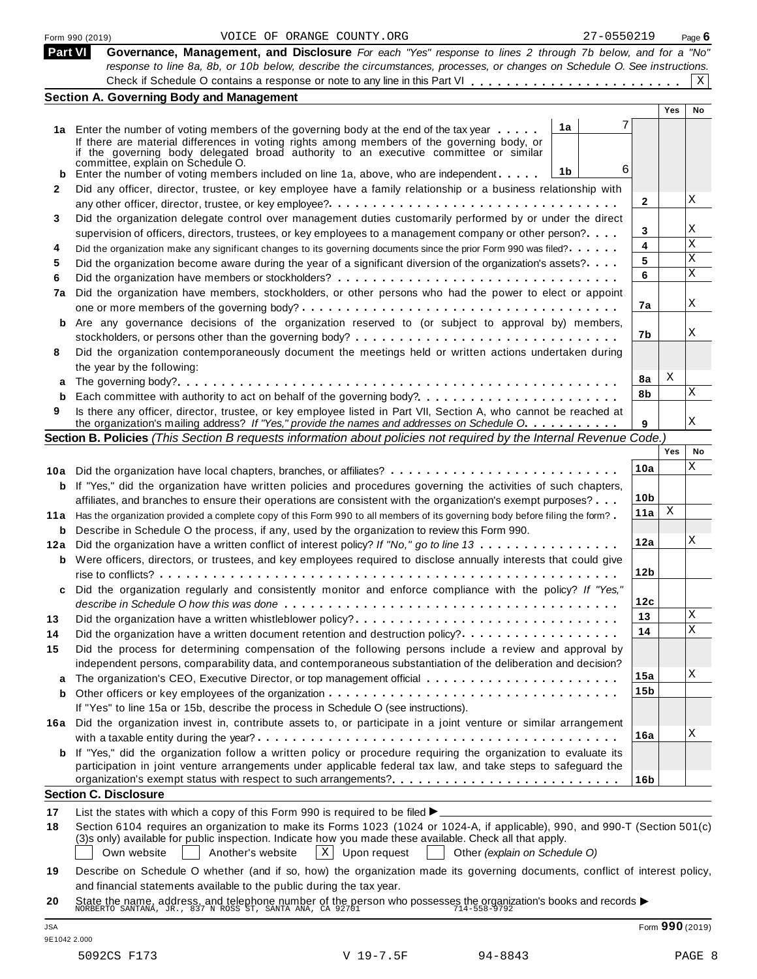|          | 27-0550219<br>VOICE OF ORANGE COUNTY.ORG<br>Form 990 (2019)                                                                                                                                                                                                                                                                                                                                                                   |                 |                 | Page $6$ |
|----------|-------------------------------------------------------------------------------------------------------------------------------------------------------------------------------------------------------------------------------------------------------------------------------------------------------------------------------------------------------------------------------------------------------------------------------|-----------------|-----------------|----------|
| Part VI  | Governance, Management, and Disclosure For each "Yes" response to lines 2 through 7b below, and for a "No"                                                                                                                                                                                                                                                                                                                    |                 |                 |          |
|          | response to line 8a, 8b, or 10b below, describe the circumstances, processes, or changes on Schedule O. See instructions.                                                                                                                                                                                                                                                                                                     |                 |                 |          |
|          |                                                                                                                                                                                                                                                                                                                                                                                                                               |                 |                 | X        |
|          | <b>Section A. Governing Body and Management</b>                                                                                                                                                                                                                                                                                                                                                                               |                 |                 |          |
|          |                                                                                                                                                                                                                                                                                                                                                                                                                               |                 | <b>Yes</b>      | No       |
|          | 7<br>1a<br>1a Enter the number of voting members of the governing body at the end of the tax year<br>If there are material differences in voting rights among members of the governing body, or<br>if the governing body delegated broad authority to an executive committee or similar<br>committée, explain on Schedule O.<br>6<br>1b<br>Enter the number of voting members included on line 1a, above, who are independent |                 |                 |          |
| 2        | Did any officer, director, trustee, or key employee have a family relationship or a business relationship with                                                                                                                                                                                                                                                                                                                |                 |                 |          |
|          |                                                                                                                                                                                                                                                                                                                                                                                                                               | 2               |                 | Χ        |
| 3        | Did the organization delegate control over management duties customarily performed by or under the direct                                                                                                                                                                                                                                                                                                                     |                 |                 |          |
|          | supervision of officers, directors, trustees, or key employees to a management company or other person?                                                                                                                                                                                                                                                                                                                       | 3               |                 | Χ        |
| 4        | Did the organization make any significant changes to its governing documents since the prior Form 990 was filed?                                                                                                                                                                                                                                                                                                              | 4               |                 | Χ        |
| 5        | Did the organization become aware during the year of a significant diversion of the organization's assets?                                                                                                                                                                                                                                                                                                                    | 5               |                 | Χ        |
| 6        |                                                                                                                                                                                                                                                                                                                                                                                                                               | 6               |                 | Χ        |
| 7a       | Did the organization have members, stockholders, or other persons who had the power to elect or appoint                                                                                                                                                                                                                                                                                                                       |                 |                 |          |
|          |                                                                                                                                                                                                                                                                                                                                                                                                                               | 7a              |                 | Χ        |
| b        | Are any governance decisions of the organization reserved to (or subject to approval by) members,                                                                                                                                                                                                                                                                                                                             |                 |                 |          |
|          |                                                                                                                                                                                                                                                                                                                                                                                                                               | 7b              |                 | Χ        |
| 8        | Did the organization contemporaneously document the meetings held or written actions undertaken during<br>the year by the following:                                                                                                                                                                                                                                                                                          |                 |                 |          |
| а        |                                                                                                                                                                                                                                                                                                                                                                                                                               | 8a              | X               |          |
| b        |                                                                                                                                                                                                                                                                                                                                                                                                                               | 8b              |                 | Χ        |
| 9        | Is there any officer, director, trustee, or key employee listed in Part VII, Section A, who cannot be reached at<br>the organization's mailing address? If "Yes," provide the names and addresses on Schedule O.                                                                                                                                                                                                              | 9               |                 | Χ        |
|          | Section B. Policies (This Section B requests information about policies not required by the Internal Revenue Code.)                                                                                                                                                                                                                                                                                                           |                 |                 |          |
|          |                                                                                                                                                                                                                                                                                                                                                                                                                               |                 | Yes             | No       |
|          |                                                                                                                                                                                                                                                                                                                                                                                                                               | 10a             |                 | Χ        |
|          | <b>b</b> If "Yes," did the organization have written policies and procedures governing the activities of such chapters,                                                                                                                                                                                                                                                                                                       |                 |                 |          |
|          | affiliates, and branches to ensure their operations are consistent with the organization's exempt purposes?                                                                                                                                                                                                                                                                                                                   | 10 <sub>b</sub> |                 |          |
|          | 11a Has the organization provided a complete copy of this Form 990 to all members of its governing body before filing the form?                                                                                                                                                                                                                                                                                               | 11a             | Χ               |          |
|          | <b>b</b> Describe in Schedule O the process, if any, used by the organization to review this Form 990.                                                                                                                                                                                                                                                                                                                        |                 |                 |          |
|          | 12a Did the organization have a written conflict of interest policy? If "No," go to line 13                                                                                                                                                                                                                                                                                                                                   | 12a             |                 | Χ        |
|          | <b>b</b> Were officers, directors, or trustees, and key employees required to disclose annually interests that could give                                                                                                                                                                                                                                                                                                     | 12 <sub>b</sub> |                 |          |
|          | Did the organization regularly and consistently monitor and enforce compliance with the policy? If "Yes,"                                                                                                                                                                                                                                                                                                                     |                 |                 |          |
|          |                                                                                                                                                                                                                                                                                                                                                                                                                               | 12c             |                 |          |
| 13       | Did the organization have a written whistleblower policy?                                                                                                                                                                                                                                                                                                                                                                     | 13              |                 | Χ        |
| 14       | Did the organization have a written document retention and destruction policy?                                                                                                                                                                                                                                                                                                                                                | 14              |                 | X        |
| 15       | Did the process for determining compensation of the following persons include a review and approval by                                                                                                                                                                                                                                                                                                                        |                 |                 |          |
|          | independent persons, comparability data, and contemporaneous substantiation of the deliberation and decision?                                                                                                                                                                                                                                                                                                                 |                 |                 |          |
|          |                                                                                                                                                                                                                                                                                                                                                                                                                               | 15a             |                 | Χ        |
| b        |                                                                                                                                                                                                                                                                                                                                                                                                                               | 15 <sub>b</sub> |                 |          |
|          | If "Yes" to line 15a or 15b, describe the process in Schedule O (see instructions).                                                                                                                                                                                                                                                                                                                                           |                 |                 |          |
|          | 16a Did the organization invest in, contribute assets to, or participate in a joint venture or similar arrangement                                                                                                                                                                                                                                                                                                            |                 |                 |          |
|          |                                                                                                                                                                                                                                                                                                                                                                                                                               | 16a             |                 | Χ        |
|          | <b>b</b> If "Yes," did the organization follow a written policy or procedure requiring the organization to evaluate its<br>participation in joint venture arrangements under applicable federal tax law, and take steps to safeguard the                                                                                                                                                                                      |                 |                 |          |
|          |                                                                                                                                                                                                                                                                                                                                                                                                                               | 16 <sub>b</sub> |                 |          |
|          | <b>Section C. Disclosure</b>                                                                                                                                                                                                                                                                                                                                                                                                  |                 |                 |          |
| 17       | List the states with which a copy of this Form 990 is required to be filed $\blacktriangleright$                                                                                                                                                                                                                                                                                                                              |                 |                 |          |
| 18       | Section 6104 requires an organization to make its Forms 1023 (1024 or 1024-A, if applicable), 990, and 990-T (Section 501(c)<br>(3)s only) available for public inspection. Indicate how you made these available. Check all that apply.<br>$X$ Upon request<br>Another's website<br>Other (explain on Schedule O)<br>Own website                                                                                             |                 |                 |          |
| 19<br>20 | Describe on Schedule O whether (and if so, how) the organization made its governing documents, conflict of interest policy,<br>and financial statements available to the public during the tax year.                                                                                                                                                                                                                          |                 |                 |          |
|          | State the name, address, and telephone number of the person who possesses the organization's books and records $\blacktriangleright$ MORBERTO SANTANA, JR., 837 N ROSS ST, SANTA ANA, CA 92701                                                                                                                                                                                                                                |                 |                 |          |
| JSA      |                                                                                                                                                                                                                                                                                                                                                                                                                               |                 | Form 990 (2019) |          |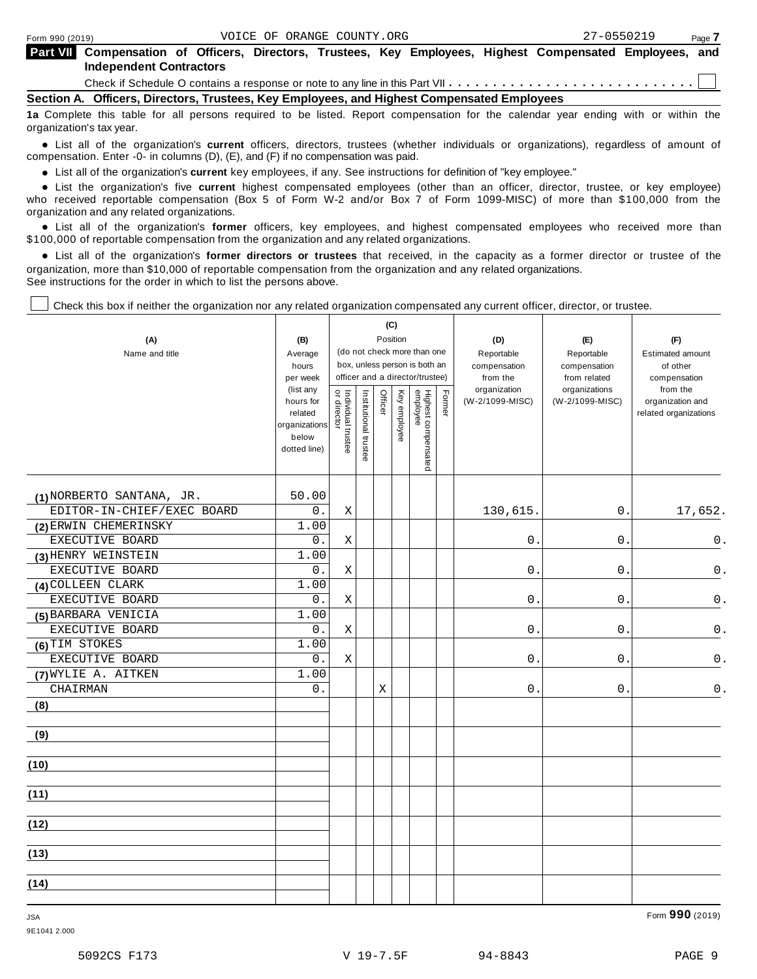Form 990 (2019) VOICE OF ORANGE COUNTY.ORG 27-0550219 <sub>Page</sub> **7** 

**Compensation of Officers, Directors, Trustees, Key Employees, Highest Compensated Employees, and Part VII Independent Contractors**

Check if Schedule O contains a response or note to any line in this Part VII  $\ldots \ldots \ldots \ldots \ldots \ldots \ldots \ldots \ldots$ 

**Section A. Officers, Directors, Trustees, Key Employees, and Highest Compensated Employees**

**1a** Complete this table for all persons required to be listed. Report compensation for the calendar year ending with or within the organization's tax year.

anization's lax year.<br>● List all of the organization's **current** officers, directors, trustees (whether individuals or organizations), regardless of amount of<br>nnensation Enter -0- in columns (D) (E) and (E) if no compensa compensation. Enter -0- in columns (D), (E), and (F) if no compensation was paid.

• List all of the organization's **current** key employees, if any. See instructions for definition of "key employee."<br>● List the experientials five expect highest expressed explores (other than an efficer director of

**Example in the organization's current** key employees, if any. See instructions for definition of key employee.<br>• List the organization's five **current** highest compensated employees (other than an officer, director, trust who received reportable compensation (Box 5 of Form W-2 and/or Box 7 of Form 1099-MISC) of more than \$100,000 from the

organization and any related organizations.<br>• List all of the organization's **former** officers, key employees, and highest compensated employees who received more than<br>\$1.00.000 of reportable componention from the erganiza \$100,000 of reportable compensation from the organization and any related organizations.

% List all of the organization's **former directors or trustees** that received, in the capacity as a former director or trustee of the organization, more than \$10,000 of reportable compensation from the organization and any related organizations. See instructions for the order in which to list the persons above.

 $\mathbf{C}$ 

Check this box if neither the organization nor any related organization compensated any current officer, director, or trustee.

| (A)<br>Name and title      | (B)<br>Average<br>hours<br>per week<br>(list any<br>hours for<br>related<br>organizations<br>below<br>dotted line) | Individual trustee<br>or director | (G)<br>Position<br>(do not check more than one<br>box, unless person is both an<br>officer and a director/trustee)<br>Highest compensated<br>employee<br>Former<br>Officer<br>Key employee<br>Institutional trustee |                           |  |  |  | (D)<br>Reportable<br>compensation<br>from the<br>organization<br>(W-2/1099-MISC) | (E)<br>Reportable<br>compensation<br>from related<br>organizations<br>(W-2/1099-MISC) | (F)<br><b>Estimated amount</b><br>of other<br>compensation<br>from the<br>organization and<br>related organizations |
|----------------------------|--------------------------------------------------------------------------------------------------------------------|-----------------------------------|---------------------------------------------------------------------------------------------------------------------------------------------------------------------------------------------------------------------|---------------------------|--|--|--|----------------------------------------------------------------------------------|---------------------------------------------------------------------------------------|---------------------------------------------------------------------------------------------------------------------|
| (1) NORBERTO SANTANA, JR.  | 50.00                                                                                                              |                                   |                                                                                                                                                                                                                     |                           |  |  |  |                                                                                  |                                                                                       |                                                                                                                     |
| EDITOR-IN-CHIEF/EXEC BOARD | 0.                                                                                                                 | X                                 |                                                                                                                                                                                                                     |                           |  |  |  | 130,615.                                                                         | $0$ .                                                                                 | 17,652.                                                                                                             |
| (2) ERWIN CHEMERINSKY      | 1.00                                                                                                               |                                   |                                                                                                                                                                                                                     |                           |  |  |  |                                                                                  |                                                                                       |                                                                                                                     |
| EXECUTIVE BOARD            | $0$ .                                                                                                              | $\mathbf X$                       |                                                                                                                                                                                                                     |                           |  |  |  | 0                                                                                | 0                                                                                     | $\mathsf 0$ .                                                                                                       |
| (3) HENRY WEINSTEIN        | 1.00                                                                                                               |                                   |                                                                                                                                                                                                                     |                           |  |  |  |                                                                                  |                                                                                       |                                                                                                                     |
| EXECUTIVE BOARD            | 0.                                                                                                                 | Χ                                 |                                                                                                                                                                                                                     |                           |  |  |  | $0$ .                                                                            | $0$ .                                                                                 | $\mathsf 0$ .                                                                                                       |
| (4) COLLEEN CLARK          | 1.00                                                                                                               |                                   |                                                                                                                                                                                                                     |                           |  |  |  |                                                                                  |                                                                                       |                                                                                                                     |
| EXECUTIVE BOARD            | 0.                                                                                                                 | Χ                                 |                                                                                                                                                                                                                     |                           |  |  |  | 0                                                                                | 0.                                                                                    | 0.                                                                                                                  |
| (5) BARBARA VENICIA        | 1.00                                                                                                               |                                   |                                                                                                                                                                                                                     |                           |  |  |  |                                                                                  |                                                                                       |                                                                                                                     |
| EXECUTIVE BOARD            | 0.                                                                                                                 | X                                 |                                                                                                                                                                                                                     |                           |  |  |  | $\mathbf{0}$ .                                                                   | 0                                                                                     | $0$ .                                                                                                               |
| (6) TIM STOKES             | 1.00                                                                                                               |                                   |                                                                                                                                                                                                                     |                           |  |  |  |                                                                                  |                                                                                       |                                                                                                                     |
| EXECUTIVE BOARD            | 0.                                                                                                                 | $\mathbf X$                       |                                                                                                                                                                                                                     |                           |  |  |  | 0                                                                                | 0                                                                                     | $0$ .                                                                                                               |
| (7) WYLIE A. AITKEN        | 1.00                                                                                                               |                                   |                                                                                                                                                                                                                     |                           |  |  |  |                                                                                  |                                                                                       |                                                                                                                     |
| CHAIRMAN                   | 0.                                                                                                                 |                                   |                                                                                                                                                                                                                     | $\boldsymbol{\mathrm{X}}$ |  |  |  | 0                                                                                | 0                                                                                     | $0$ .                                                                                                               |
| (8)                        |                                                                                                                    |                                   |                                                                                                                                                                                                                     |                           |  |  |  |                                                                                  |                                                                                       |                                                                                                                     |
| (9)                        |                                                                                                                    |                                   |                                                                                                                                                                                                                     |                           |  |  |  |                                                                                  |                                                                                       |                                                                                                                     |
| (10)                       |                                                                                                                    |                                   |                                                                                                                                                                                                                     |                           |  |  |  |                                                                                  |                                                                                       |                                                                                                                     |
| (11)                       |                                                                                                                    |                                   |                                                                                                                                                                                                                     |                           |  |  |  |                                                                                  |                                                                                       |                                                                                                                     |
| (12)                       |                                                                                                                    |                                   |                                                                                                                                                                                                                     |                           |  |  |  |                                                                                  |                                                                                       |                                                                                                                     |
| (13)                       |                                                                                                                    |                                   |                                                                                                                                                                                                                     |                           |  |  |  |                                                                                  |                                                                                       |                                                                                                                     |
| (14)                       |                                                                                                                    |                                   |                                                                                                                                                                                                                     |                           |  |  |  |                                                                                  |                                                                                       |                                                                                                                     |

9E1041 2.000

JSA Form **990** (2019)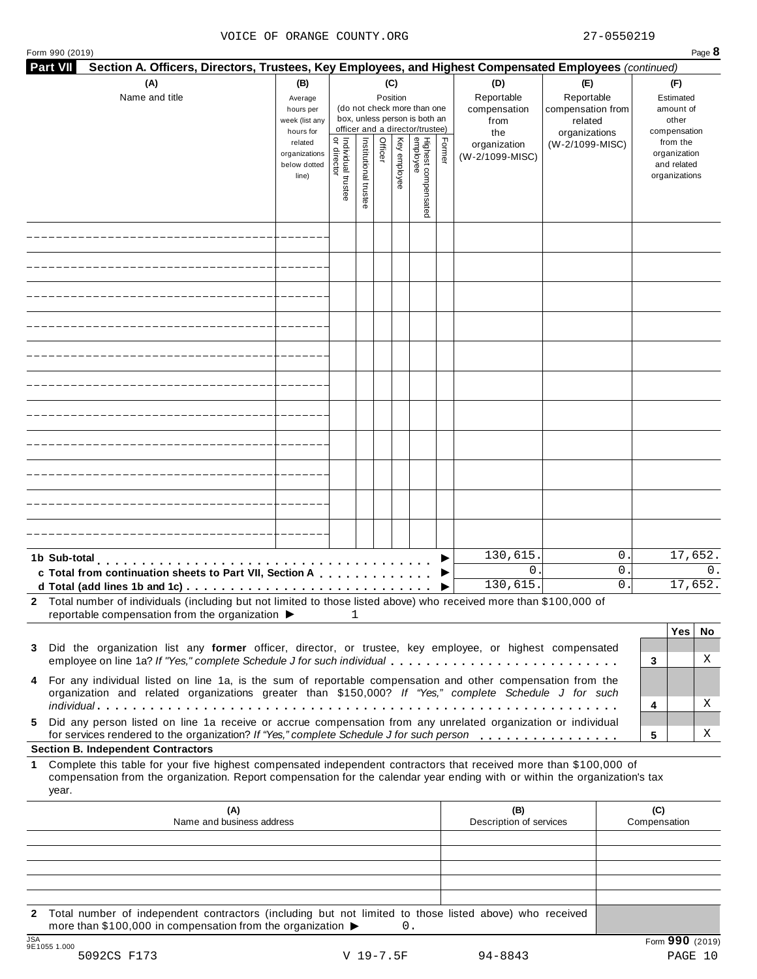#### VOICE OF ORANGE COUNTY.ORG 27-0550219

| Form 990 (2019)                                                                                                                                                                                                                                                 |                                                     |                                     |                       |          |              |                                                                                                 |        |                                           |                                                             | Page 8                                                   |
|-----------------------------------------------------------------------------------------------------------------------------------------------------------------------------------------------------------------------------------------------------------------|-----------------------------------------------------|-------------------------------------|-----------------------|----------|--------------|-------------------------------------------------------------------------------------------------|--------|-------------------------------------------|-------------------------------------------------------------|----------------------------------------------------------|
| <b>Part VII</b><br>Section A. Officers, Directors, Trustees, Key Employees, and Highest Compensated Employees (continued)<br>(A)                                                                                                                                | (B)                                                 |                                     |                       | (C)      |              |                                                                                                 |        | (D)                                       | (E)                                                         | (F)                                                      |
| Name and title                                                                                                                                                                                                                                                  | Average<br>hours per<br>week (list any<br>hours for |                                     |                       | Position |              | (do not check more than one<br>box, unless person is both an<br>officer and a director/trustee) |        | Reportable<br>compensation<br>from<br>the | Reportable<br>compensation from<br>related<br>organizations | Estimated<br>amount of<br>other<br>compensation          |
|                                                                                                                                                                                                                                                                 | related<br>organizations<br>below dotted<br>line)   | Individual trustee<br>  or director | Institutional trustee | Officer  | Key employee | Highest compensated<br>employee                                                                 | Former | organization<br>(W-2/1099-MISC)           | (W-2/1099-MISC)                                             | from the<br>organization<br>and related<br>organizations |
|                                                                                                                                                                                                                                                                 |                                                     |                                     |                       |          |              |                                                                                                 |        |                                           |                                                             |                                                          |
|                                                                                                                                                                                                                                                                 |                                                     |                                     |                       |          |              |                                                                                                 |        |                                           |                                                             |                                                          |
|                                                                                                                                                                                                                                                                 |                                                     |                                     |                       |          |              |                                                                                                 |        |                                           |                                                             |                                                          |
|                                                                                                                                                                                                                                                                 |                                                     |                                     |                       |          |              |                                                                                                 |        |                                           |                                                             |                                                          |
|                                                                                                                                                                                                                                                                 |                                                     |                                     |                       |          |              |                                                                                                 |        |                                           |                                                             |                                                          |
|                                                                                                                                                                                                                                                                 |                                                     |                                     |                       |          |              |                                                                                                 |        |                                           |                                                             |                                                          |
|                                                                                                                                                                                                                                                                 |                                                     |                                     |                       |          |              |                                                                                                 |        |                                           |                                                             |                                                          |
|                                                                                                                                                                                                                                                                 |                                                     |                                     |                       |          |              |                                                                                                 |        |                                           |                                                             |                                                          |
|                                                                                                                                                                                                                                                                 |                                                     |                                     |                       |          |              |                                                                                                 |        |                                           |                                                             |                                                          |
|                                                                                                                                                                                                                                                                 |                                                     |                                     |                       |          |              |                                                                                                 |        |                                           |                                                             |                                                          |
|                                                                                                                                                                                                                                                                 |                                                     |                                     |                       |          |              |                                                                                                 |        |                                           |                                                             |                                                          |
| 1b Sub-total<br>c Total from continuation sheets to Part VII, Section A                                                                                                                                                                                         |                                                     |                                     |                       |          |              |                                                                                                 |        | 130,615.<br>0.<br>130,615.                | 0.<br>О.<br>0.                                              | 17,652.<br>$\Omega$ .<br>17,652.                         |
| 2 Total number of individuals (including but not limited to those listed above) who received more than \$100,000 of<br>reportable compensation from the organization ▶                                                                                          |                                                     | 1                                   |                       |          |              |                                                                                                 |        |                                           |                                                             |                                                          |
| Did the organization list any former officer, director, or trustee, key employee, or highest compensated<br>3<br>employee on line 1a? If "Yes," complete Schedule J for such individual                                                                         |                                                     |                                     |                       |          |              |                                                                                                 |        |                                           |                                                             | Yes<br>No<br>X<br>3                                      |
| For any individual listed on line 1a, is the sum of reportable compensation and other compensation from the<br>4<br>organization and related organizations greater than \$150,000? If "Yes," complete Schedule J for such                                       |                                                     |                                     |                       |          |              |                                                                                                 |        |                                           |                                                             | Χ<br>4                                                   |
| Did any person listed on line 1a receive or accrue compensation from any unrelated organization or individual<br>5<br>for services rendered to the organization? If "Yes," complete Schedule J for such person                                                  |                                                     |                                     |                       |          |              |                                                                                                 |        |                                           |                                                             | Χ<br>5                                                   |
| <b>Section B. Independent Contractors</b>                                                                                                                                                                                                                       |                                                     |                                     |                       |          |              |                                                                                                 |        |                                           |                                                             |                                                          |
| Complete this table for your five highest compensated independent contractors that received more than \$100,000 of<br>1.<br>compensation from the organization. Report compensation for the calendar year ending with or within the organization's tax<br>year. |                                                     |                                     |                       |          |              |                                                                                                 |        |                                           |                                                             |                                                          |
| (A)<br>Name and business address                                                                                                                                                                                                                                |                                                     |                                     |                       |          |              |                                                                                                 |        | (B)<br>Description of services            |                                                             | (C)<br>Compensation                                      |
|                                                                                                                                                                                                                                                                 |                                                     |                                     |                       |          |              |                                                                                                 |        |                                           |                                                             |                                                          |
|                                                                                                                                                                                                                                                                 |                                                     |                                     |                       |          |              |                                                                                                 |        |                                           |                                                             |                                                          |
| Total number of independent contractors (including but not limited to those listed above) who received<br>2<br>more than \$100,000 in compensation from the organization $\blacktriangleright$                                                                  |                                                     |                                     |                       |          | 0.           |                                                                                                 |        |                                           |                                                             |                                                          |
|                                                                                                                                                                                                                                                                 |                                                     |                                     |                       |          |              |                                                                                                 |        |                                           |                                                             |                                                          |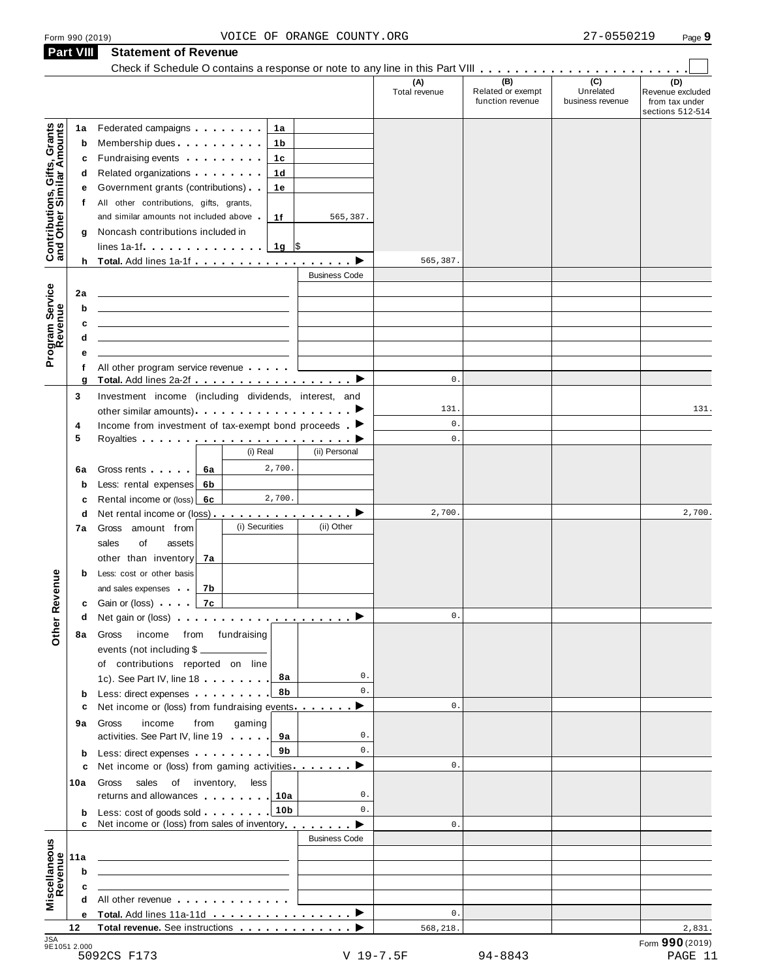|                                                           | <b>Part VIII</b>                  | <b>Statement of Revenue</b>                                                                                                                                                                                                                                                                                                                                                                                                                                                                                                                                                                                            |                      |                                              |                                      |                                                               |
|-----------------------------------------------------------|-----------------------------------|------------------------------------------------------------------------------------------------------------------------------------------------------------------------------------------------------------------------------------------------------------------------------------------------------------------------------------------------------------------------------------------------------------------------------------------------------------------------------------------------------------------------------------------------------------------------------------------------------------------------|----------------------|----------------------------------------------|--------------------------------------|---------------------------------------------------------------|
|                                                           |                                   | Check if Schedule O contains a response or note to any line in this Part VIII                                                                                                                                                                                                                                                                                                                                                                                                                                                                                                                                          | (A)<br>Total revenue | (B)<br>Related or exempt<br>function revenue | (C)<br>Unrelated<br>business revenue | (D)<br>Revenue excluded<br>from tax under<br>sections 512-514 |
| Contributions, Gifts, Grants<br>and Other Similar Amounts | 1a<br>b<br>с<br>d<br>е<br>Ť.<br>g | Federated campaigns <b>Federated</b><br>1a<br>Membership dues<br>1b<br>Fundraising events <b>Fundraising</b><br>1c<br>Related organizations <b>and the set of the set of the set of the set of the set of the set of the set of the set of the set of the set of the set of the set of the set of the set of the set of the set of the set of the set </b><br>1d<br>Government grants (contributions).<br>1e<br>All other contributions, gifts, grants,<br>and similar amounts not included above<br>1f<br>565,387.<br>Noncash contributions included in<br>lines $1a-1f$<br>1g $\sqrt{3}$<br>h Total. Add lines 1a-1f | 565,387.             |                                              |                                      |                                                               |
|                                                           |                                   | <b>Business Code</b>                                                                                                                                                                                                                                                                                                                                                                                                                                                                                                                                                                                                   |                      |                                              |                                      |                                                               |
| Program Service<br>Revenue                                | 2a<br>b<br>c                      |                                                                                                                                                                                                                                                                                                                                                                                                                                                                                                                                                                                                                        |                      |                                              |                                      |                                                               |
|                                                           | f<br>g                            | All other program service revenue                                                                                                                                                                                                                                                                                                                                                                                                                                                                                                                                                                                      | 0.                   |                                              |                                      |                                                               |
|                                                           | 3<br>4                            | Investment income (including dividends, interest, and<br>Income from investment of tax-exempt bond proceeds $\blacktriangleright$                                                                                                                                                                                                                                                                                                                                                                                                                                                                                      | 131.<br>0.           |                                              |                                      | 131.                                                          |
|                                                           | 5                                 |                                                                                                                                                                                                                                                                                                                                                                                                                                                                                                                                                                                                                        | $\mathbf{0}$ .       |                                              |                                      |                                                               |
|                                                           | 6a<br>$\mathbf b$                 | (i) Real<br>(ii) Personal<br>2,700.<br>Gross rents<br>6а<br>Less: rental expenses<br>6b                                                                                                                                                                                                                                                                                                                                                                                                                                                                                                                                |                      |                                              |                                      |                                                               |
|                                                           | c                                 | 2,700.<br>Rental income or (loss) 6c                                                                                                                                                                                                                                                                                                                                                                                                                                                                                                                                                                                   |                      |                                              |                                      |                                                               |
|                                                           | d<br>7a                           | Net rental income or (loss) $\ldots$ , $\ldots$ , $\ldots$ , $\blacktriangleright$<br>(i) Securities<br>(ii) Other<br>Gross amount from<br>sales<br>of<br>assets<br>other than inventory<br>7а                                                                                                                                                                                                                                                                                                                                                                                                                         | 2,700.               |                                              |                                      | 2,700.                                                        |
| enue                                                      | h<br>c                            | Less: cost or other basis<br>7b<br>and sales expenses<br>Gain or (loss)  7c                                                                                                                                                                                                                                                                                                                                                                                                                                                                                                                                            |                      |                                              |                                      |                                                               |
| Other Rev                                                 | d                                 | Net gain or (loss) $\cdots$ $\cdots$ $\cdots$ $\cdots$ $\cdots$ $\cdots$                                                                                                                                                                                                                                                                                                                                                                                                                                                                                                                                               | $0$ .                |                                              |                                      |                                                               |
|                                                           |                                   | income from fundraising<br>8a Gross<br>events (not including \$<br>of contributions reported on line<br>0.<br>8а<br>1c). See Part IV, line 18                                                                                                                                                                                                                                                                                                                                                                                                                                                                          |                      |                                              |                                      |                                                               |
|                                                           | b                                 | 0.<br>8b<br>Less: direct expenses                                                                                                                                                                                                                                                                                                                                                                                                                                                                                                                                                                                      |                      |                                              |                                      |                                                               |
|                                                           | c                                 | Net income or (loss) from fundraising events $\ldots$                                                                                                                                                                                                                                                                                                                                                                                                                                                                                                                                                                  | $\mathbf{0}$ .       |                                              |                                      |                                                               |
|                                                           | 9а                                | from<br>gaming<br>Gross<br>income<br>activities. See Part IV, line 19<br>0.<br>9а                                                                                                                                                                                                                                                                                                                                                                                                                                                                                                                                      |                      |                                              |                                      |                                                               |
|                                                           | b                                 | 0.<br>9b<br>Less: direct expenses                                                                                                                                                                                                                                                                                                                                                                                                                                                                                                                                                                                      |                      |                                              |                                      |                                                               |
|                                                           | c                                 | Net income or (loss) from gaming activities ▶                                                                                                                                                                                                                                                                                                                                                                                                                                                                                                                                                                          | 0.                   |                                              |                                      |                                                               |
|                                                           | 10a                               | Gross sales of inventory,<br>less<br>0.<br>returns and allowances 10a<br>0.<br>10b                                                                                                                                                                                                                                                                                                                                                                                                                                                                                                                                     |                      |                                              |                                      |                                                               |
|                                                           | b<br>c                            | Less: cost of goods sold<br>Net income or (loss) from sales of inventory                                                                                                                                                                                                                                                                                                                                                                                                                                                                                                                                               | $\mathbf{0}$ .       |                                              |                                      |                                                               |
| Miscellaneous<br>Revenue                                  | 11a                               | <b>Business Code</b>                                                                                                                                                                                                                                                                                                                                                                                                                                                                                                                                                                                                   |                      |                                              |                                      |                                                               |
|                                                           | b<br>c                            |                                                                                                                                                                                                                                                                                                                                                                                                                                                                                                                                                                                                                        |                      |                                              |                                      |                                                               |
|                                                           |                                   | All other revenue                                                                                                                                                                                                                                                                                                                                                                                                                                                                                                                                                                                                      | $\mathsf{0}$ .       |                                              |                                      |                                                               |
|                                                           | 12                                | Total revenue. See instructions ▶                                                                                                                                                                                                                                                                                                                                                                                                                                                                                                                                                                                      | 568,218.             |                                              |                                      | 2,831.<br>Form 990 (2019)                                     |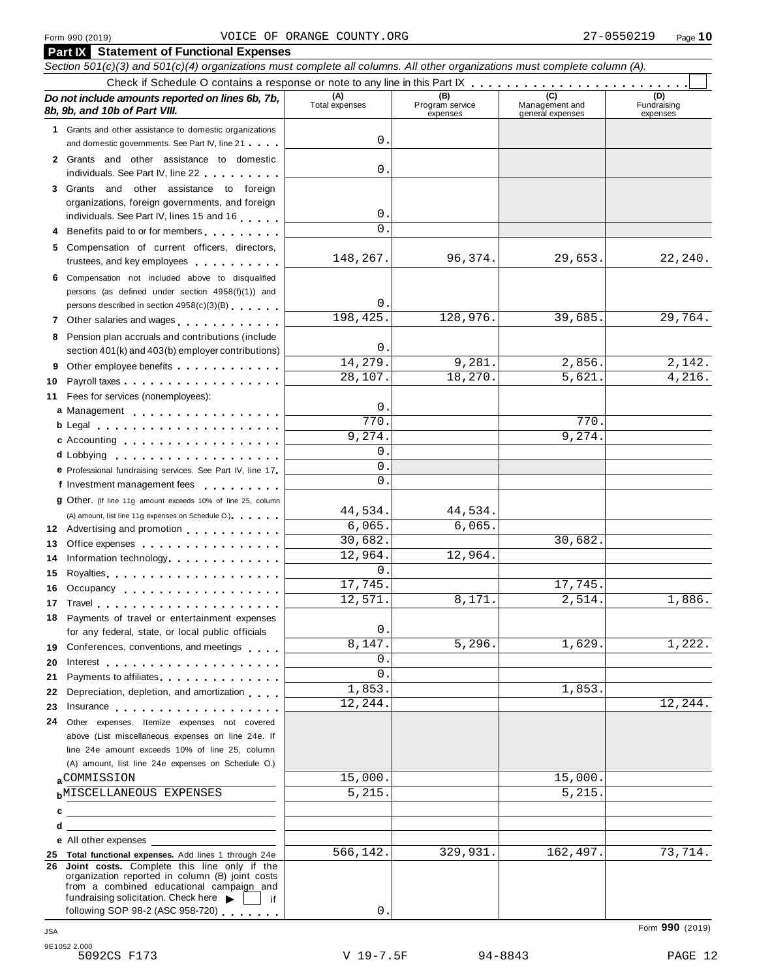|     | <b>Part IX</b> Statement of Functional Expenses                                                                                                                                                                                                                                  |                       |                                    |                                    |                                |
|-----|----------------------------------------------------------------------------------------------------------------------------------------------------------------------------------------------------------------------------------------------------------------------------------|-----------------------|------------------------------------|------------------------------------|--------------------------------|
|     | Section 501(c)(3) and 501(c)(4) organizations must complete all columns. All other organizations must complete column (A).                                                                                                                                                       |                       |                                    |                                    |                                |
|     |                                                                                                                                                                                                                                                                                  |                       |                                    |                                    |                                |
|     | Do not include amounts reported on lines 6b, 7b,<br>8b, 9b, and 10b of Part VIII.                                                                                                                                                                                                | (A)<br>Total expenses | (B)<br>Program service<br>expenses | Management and<br>general expenses | (D)<br>Fundraising<br>expenses |
|     | 1 Grants and other assistance to domestic organizations                                                                                                                                                                                                                          |                       |                                    |                                    |                                |
|     | and domestic governments. See Part IV, line 21                                                                                                                                                                                                                                   | 0                     |                                    |                                    |                                |
|     | 2 Grants and other assistance to domestic                                                                                                                                                                                                                                        |                       |                                    |                                    |                                |
|     | individuals. See Part IV, line 22                                                                                                                                                                                                                                                | 0                     |                                    |                                    |                                |
|     | 3 Grants and other assistance to foreign                                                                                                                                                                                                                                         |                       |                                    |                                    |                                |
|     | organizations, foreign governments, and foreign                                                                                                                                                                                                                                  |                       |                                    |                                    |                                |
|     | individuals. See Part IV, lines 15 and 16                                                                                                                                                                                                                                        | 0                     |                                    |                                    |                                |
|     | 4 Benefits paid to or for members                                                                                                                                                                                                                                                | $\Omega$              |                                    |                                    |                                |
|     | 5 Compensation of current officers, directors,<br>trustees, and key employees expressed as a state of the state of the state of the state of the state of the state of the state of the state of the state of the state of the state of the state of the state of the state of t | 148,267.              | 96,374.                            | 29,653.                            | 22,240.                        |
|     | 6 Compensation not included above to disqualified                                                                                                                                                                                                                                |                       |                                    |                                    |                                |
|     | persons (as defined under section 4958(f)(1)) and                                                                                                                                                                                                                                |                       |                                    |                                    |                                |
|     | persons described in section 4958(c)(3)(B)                                                                                                                                                                                                                                       | 0                     |                                    |                                    |                                |
|     | 7 Other salaries and wages                                                                                                                                                                                                                                                       | 198,425.              | 128,976.                           | 39,685.                            | 29,764.                        |
|     | 8 Pension plan accruals and contributions (include                                                                                                                                                                                                                               |                       |                                    |                                    |                                |
|     | section 401(k) and 403(b) employer contributions)                                                                                                                                                                                                                                | 0                     |                                    |                                    |                                |
|     | 9 Other employee benefits                                                                                                                                                                                                                                                        | 14,279.               | 9,281.                             | 2,856.                             | 2,142.                         |
| 10  | Payroll taxes                                                                                                                                                                                                                                                                    | 28,107.               | 18,270.                            | 5,621.                             | 4,216.                         |
| 11  | Fees for services (nonemployees):                                                                                                                                                                                                                                                |                       |                                    |                                    |                                |
|     | a Management                                                                                                                                                                                                                                                                     | 0<br>770.             |                                    | 770.                               |                                |
|     | b Legal entering the service of the service of the service of the service of the service of the service of the                                                                                                                                                                   | 9,274.                |                                    | 9,274.                             |                                |
|     | c Accounting                                                                                                                                                                                                                                                                     | 0.                    |                                    |                                    |                                |
|     | <b>d</b> Lobbying                                                                                                                                                                                                                                                                | 0                     |                                    |                                    |                                |
|     | e Professional fundraising services. See Part IV, line 17                                                                                                                                                                                                                        | $^{\circ}$            |                                    |                                    |                                |
|     | f Investment management fees<br>.                                                                                                                                                                                                                                                |                       |                                    |                                    |                                |
|     | <b>g</b> Other. (If line 11g amount exceeds 10% of line 25, column                                                                                                                                                                                                               | 44,534.               | 44,534.                            |                                    |                                |
|     | (A) amount, list line 11g expenses on Schedule O.)<br>12 Advertising and promotion                                                                                                                                                                                               | 6,065.                | 6,065.                             |                                    |                                |
| 13. | Office expenses expenses                                                                                                                                                                                                                                                         | 30,682.               |                                    | 30,682.                            |                                |
| 14  | Information technology.                                                                                                                                                                                                                                                          | 12,964.               | 12,964.                            |                                    |                                |
| 15  |                                                                                                                                                                                                                                                                                  | 0.                    |                                    |                                    |                                |
| 16  | Occupancy experience and a series are a series and a series are a series of the series of the series of the series of the series of the series of the series of the series of the series of the series of the series of the se                                                   | 17,745.               |                                    | 17,745.                            |                                |
|     |                                                                                                                                                                                                                                                                                  | 12,571.               | 8,171.                             | 2,514.                             | 1,886.                         |
|     | 18 Payments of travel or entertainment expenses                                                                                                                                                                                                                                  |                       |                                    |                                    |                                |
|     | for any federal, state, or local public officials                                                                                                                                                                                                                                | 0                     |                                    |                                    |                                |
|     | 19 Conferences, conventions, and meetings                                                                                                                                                                                                                                        | 8,147.                | 5,296.                             | 1,629.                             | 1,222.                         |
| 20  |                                                                                                                                                                                                                                                                                  | 0.                    |                                    |                                    |                                |
| 21  | Payments to affiliates experience and the property of the set of the set of the set of the set of the set of the set of the set of the set of the set of the set of the set of the set of the set of the set of the set of the                                                   | $\mathsf{O}$ .        |                                    |                                    |                                |
| 22  | Depreciation, depletion, and amortization                                                                                                                                                                                                                                        | 1,853.                |                                    | 1,853.                             |                                |
| 23  | Insurance experience and the set of the set of the set of the set of the set of the set of the set of the set of the set of the set of the set of the set of the set of the set of the set of the set of the set of the set of                                                   | 12,244.               |                                    |                                    | 12,244.                        |
| 24  | Other expenses. Itemize expenses not covered                                                                                                                                                                                                                                     |                       |                                    |                                    |                                |
|     | above (List miscellaneous expenses on line 24e. If                                                                                                                                                                                                                               |                       |                                    |                                    |                                |
|     | line 24e amount exceeds 10% of line 25, column                                                                                                                                                                                                                                   |                       |                                    |                                    |                                |
|     | (A) amount, list line 24e expenses on Schedule O.)<br>aCOMMISSION                                                                                                                                                                                                                | 15,000.               |                                    | 15,000.                            |                                |
|     |                                                                                                                                                                                                                                                                                  | 5,215.                |                                    | 5,215.                             |                                |
|     | <b>b</b> MISCELLANEOUS EXPENSES                                                                                                                                                                                                                                                  |                       |                                    |                                    |                                |
| с   |                                                                                                                                                                                                                                                                                  |                       |                                    |                                    |                                |
| d   |                                                                                                                                                                                                                                                                                  |                       |                                    |                                    |                                |
|     | e All other expenses<br>25 Total functional expenses. Add lines 1 through 24e                                                                                                                                                                                                    | 566,142.              | 329,931.                           | 162,497.                           | 73,714.                        |
|     | 26 Joint costs. Complete this line only if the                                                                                                                                                                                                                                   |                       |                                    |                                    |                                |
|     | organization reported in column (B) joint costs<br>from a combined educational campaign and<br>fundraising solicitation. Check here<br>if                                                                                                                                        |                       |                                    |                                    |                                |

following SOP 98-2 (ASC 958-720)  $\overline{\cdots}$  .

 $0.$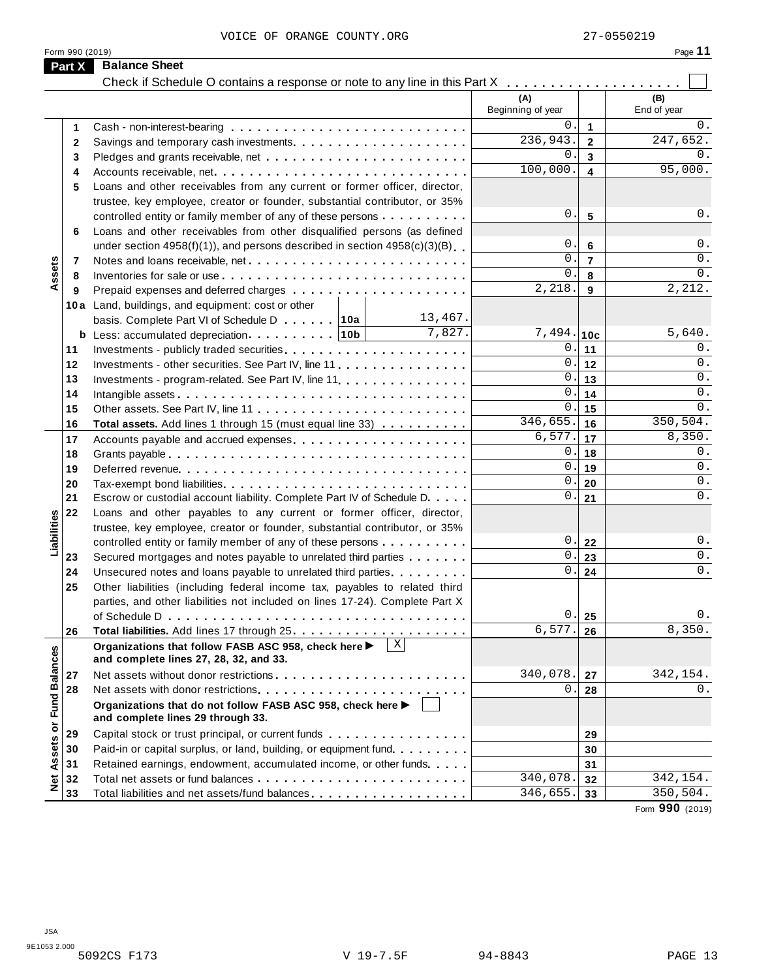|                             |                 | VOICE OF ORANGE COUNTY.ORG                                                                                                               |                          |                              | 27-0550219         |
|-----------------------------|-----------------|------------------------------------------------------------------------------------------------------------------------------------------|--------------------------|------------------------------|--------------------|
|                             | Form 990 (2019) |                                                                                                                                          |                          |                              | Page $11$          |
|                             | Part X          | <b>Balance Sheet</b>                                                                                                                     |                          |                              |                    |
|                             |                 | Check if Schedule O contains a response or note to any line in this Part X                                                               | (A)<br>Beginning of year |                              | (B)<br>End of year |
|                             |                 |                                                                                                                                          | 0.                       |                              | 0.                 |
|                             | 1               |                                                                                                                                          | 236,943.                 | $\mathbf{1}$<br>$\mathbf{2}$ | 247,652.           |
|                             | 2               |                                                                                                                                          | 0.                       | $\mathbf{3}$                 | $0$ .              |
|                             | 3               |                                                                                                                                          | 100,000.                 | 4                            | 95,000.            |
|                             | 4               | Loans and other receivables from any current or former officer, director,                                                                |                          |                              |                    |
|                             | 5               |                                                                                                                                          |                          |                              |                    |
|                             |                 | trustee, key employee, creator or founder, substantial contributor, or 35%<br>controlled entity or family member of any of these persons | 0.                       | 5                            | 0.                 |
|                             | 6               | Loans and other receivables from other disqualified persons (as defined                                                                  |                          |                              |                    |
|                             |                 | under section $4958(f)(1)$ , and persons described in section $4958(c)(3)(B)$                                                            | Ο.                       | 6                            | $0$ .              |
|                             | 7               |                                                                                                                                          | $0$ .                    | $\overline{7}$               | $0$ .              |
| Assets                      | 8               |                                                                                                                                          | 0.                       | 8                            | $0$ .              |
|                             | 9               |                                                                                                                                          | 2,218.                   | 9                            | 2,212.             |
|                             |                 | 10a Land, buildings, and equipment: cost or other                                                                                        |                          |                              |                    |
|                             |                 | 13,467.<br>basis. Complete Part VI of Schedule D 10a                                                                                     |                          |                              |                    |
|                             |                 | 7,827.<br><b>b</b> Less: accumulated depreciation $\cdots$ 10b                                                                           | $7,494.$ 10c             |                              | 5,640.             |
|                             | 11              |                                                                                                                                          | 0.                       | 11                           | 0.                 |
|                             | 12              | Investments - other securities. See Part IV, line 11                                                                                     | 0.                       | $12$                         | 0.                 |
|                             | 13              |                                                                                                                                          | 0.                       | 13                           | $0$ .              |
|                             | 14              |                                                                                                                                          | 0.                       | 14                           | $0$ .              |
|                             | 15              |                                                                                                                                          | 0.                       | 15                           | 0.                 |
|                             | 16              | Total assets. Add lines 1 through 15 (must equal line 33)                                                                                | 346,655.                 | 16                           | 350,504.           |
|                             | 17              |                                                                                                                                          | 6,577.                   | 17                           | 8,350.             |
|                             | 18              |                                                                                                                                          | 0.                       | 18                           | 0.                 |
|                             | 19              |                                                                                                                                          | 0.                       | 19                           | $0$ .              |
|                             | 20              |                                                                                                                                          | 0.                       | 20                           | 0.                 |
|                             | 21              | Escrow or custodial account liability. Complete Part IV of Schedule D.                                                                   | 0.                       | 21                           | 0.                 |
|                             | 22              | Loans and other payables to any current or former officer, director,                                                                     |                          |                              |                    |
|                             |                 | trustee, key employee, creator or founder, substantial contributor, or 35%                                                               |                          |                              |                    |
| Liabilities                 |                 | controlled entity or family member of any of these persons                                                                               | Ο.                       | 22                           | $0$ .              |
|                             | 23              | Secured mortgages and notes payable to unrelated third parties                                                                           | $\boldsymbol{0}$ .       | 23                           | $0$ .              |
|                             | 24              | Unsecured notes and loans payable to unrelated third parties                                                                             | $0$ .                    | 24                           | 0.                 |
|                             | 25              | Other liabilities (including federal income tax, payables to related third                                                               |                          |                              |                    |
|                             |                 | parties, and other liabilities not included on lines 17-24). Complete Part X                                                             |                          |                              |                    |
|                             |                 |                                                                                                                                          | $\boldsymbol{0}$ .       | 25                           | 0.                 |
|                             | 26              |                                                                                                                                          | 6,577.                   | 26                           | 8,350.             |
|                             |                 | $\vert X \vert$<br>Organizations that follow FASB ASC 958, check here ▶<br>and complete lines 27, 28, 32, and 33.                        |                          |                              |                    |
|                             | 27              |                                                                                                                                          | 340,078.                 | 27                           | 342,154.           |
|                             | 28              |                                                                                                                                          | 0.                       | 28                           | 0.                 |
| Net Assets or Fund Balances |                 | Organizations that do not follow FASB ASC 958, check here ▶<br>and complete lines 29 through 33.                                         |                          |                              |                    |
|                             | 29              | Capital stock or trust principal, or current funds entitled as a set of the capital stock or trust                                       |                          | 29                           |                    |
|                             | 30              | Paid-in or capital surplus, or land, building, or equipment fund.                                                                        |                          | 30                           |                    |
|                             | 31              | Retained earnings, endowment, accumulated income, or other funds                                                                         |                          | 31                           |                    |
|                             | 32              |                                                                                                                                          | 340,078.                 | 32                           | 342,154.           |
|                             | 33              | Total liabilities and net assets/fund balances                                                                                           | 346,655.                 | 33                           | 350,504.           |
|                             |                 |                                                                                                                                          |                          |                              | Form 990 (2019)    |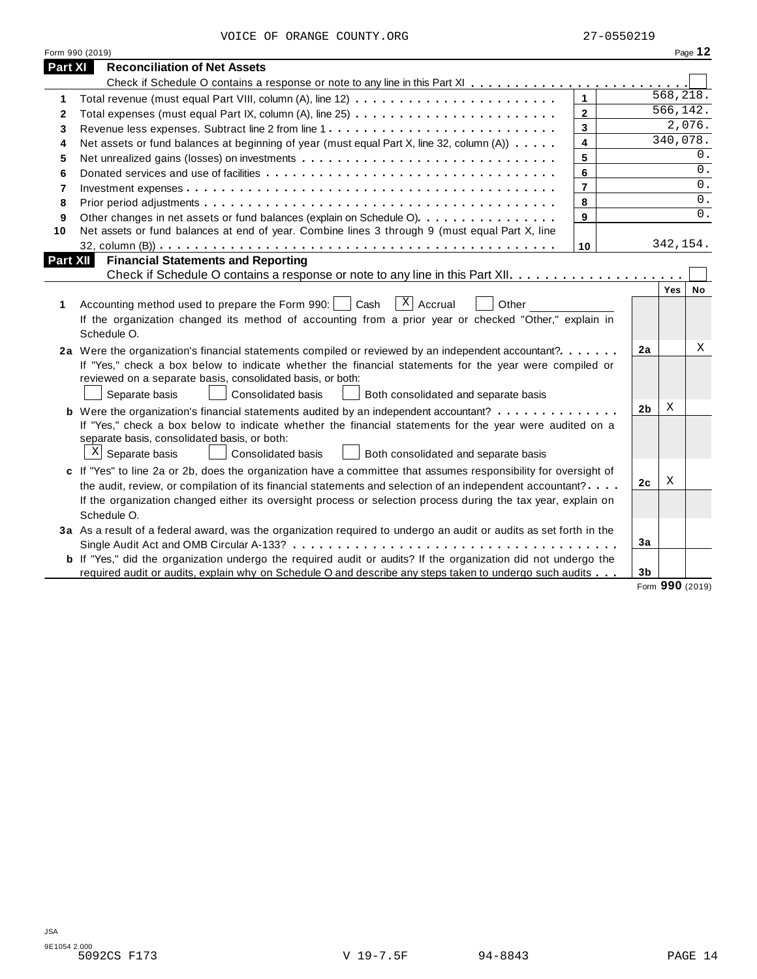|  |  |  |  | VOICE OF ORANGE COUNTY.ORG |  |
|--|--|--|--|----------------------------|--|
|--|--|--|--|----------------------------|--|

|                | Form 990 (2019)                                                                                                                                                      |                |                |                  | Page 12 |
|----------------|----------------------------------------------------------------------------------------------------------------------------------------------------------------------|----------------|----------------|------------------|---------|
| <b>Part XI</b> | <b>Reconciliation of Net Assets</b>                                                                                                                                  |                |                |                  |         |
|                |                                                                                                                                                                      |                |                |                  |         |
| 1              |                                                                                                                                                                      | $\overline{1}$ |                | 568, 218.        |         |
| 2              |                                                                                                                                                                      | $\mathbf{2}$   |                | 566, 142.        |         |
| 3              |                                                                                                                                                                      | $\overline{3}$ |                | 2,076.           |         |
| 4              | Net assets or fund balances at beginning of year (must equal Part X, line 32, column (A))                                                                            | 4              |                | 340,078.         |         |
| 5              |                                                                                                                                                                      | 5              |                |                  | $0$ .   |
| 6              |                                                                                                                                                                      | 6              |                |                  | 0.      |
| 7              |                                                                                                                                                                      | $\overline{7}$ |                |                  | 0.      |
| 8              |                                                                                                                                                                      | 8              |                |                  | 0.      |
| 9              | Other changes in net assets or fund balances (explain on Schedule O).                                                                                                | 9              |                |                  | $0$ .   |
| 10             | Net assets or fund balances at end of year. Combine lines 3 through 9 (must equal Part X, line                                                                       |                |                |                  |         |
|                |                                                                                                                                                                      | 10             |                | 342,154.         |         |
|                | <b>Financial Statements and Reporting</b><br>Part XII                                                                                                                |                |                |                  |         |
|                |                                                                                                                                                                      |                |                |                  |         |
| 1              | $x \mid$ Accrual<br>Accounting method used to prepare the Form 990:     Cash<br>Other                                                                                |                |                | Yes <sub>1</sub> | No      |
|                | If the organization changed its method of accounting from a prior year or checked "Other," explain in<br>Schedule O.                                                 |                |                |                  |         |
|                | 2a Were the organization's financial statements compiled or reviewed by an independent accountant?                                                                   |                | 2a             |                  | X       |
|                | If "Yes," check a box below to indicate whether the financial statements for the year were compiled or<br>reviewed on a separate basis, consolidated basis, or both: |                |                |                  |         |
|                | Separate basis<br><b>Consolidated basis</b><br>Both consolidated and separate basis                                                                                  |                |                |                  |         |
|                | <b>b</b> Were the organization's financial statements audited by an independent accountant?                                                                          |                | 2 <sub>b</sub> | Χ                |         |
|                | If "Yes," check a box below to indicate whether the financial statements for the year were audited on a                                                              |                |                |                  |         |
|                | separate basis, consolidated basis, or both:                                                                                                                         |                |                |                  |         |
|                | $\mathbb{X}$ Separate basis<br><b>Consolidated basis</b><br>Both consolidated and separate basis                                                                     |                |                |                  |         |
|                | c If "Yes" to line 2a or 2b, does the organization have a committee that assumes responsibility for oversight of                                                     |                |                |                  |         |
|                | the audit, review, or compilation of its financial statements and selection of an independent accountant?                                                            |                | 2 <sub>c</sub> | X                |         |
|                | If the organization changed either its oversight process or selection process during the tax year, explain on<br>Schedule O.                                         |                |                |                  |         |
|                | 3a As a result of a federal award, was the organization required to undergo an audit or audits as set forth in the                                                   |                |                |                  |         |
|                |                                                                                                                                                                      |                | 3a             |                  |         |
|                |                                                                                                                                                                      |                |                |                  |         |
|                | b If "Yes," did the organization undergo the required audit or audits? If the organization did not undergo the                                                       |                |                |                  |         |

Form **990** (2019)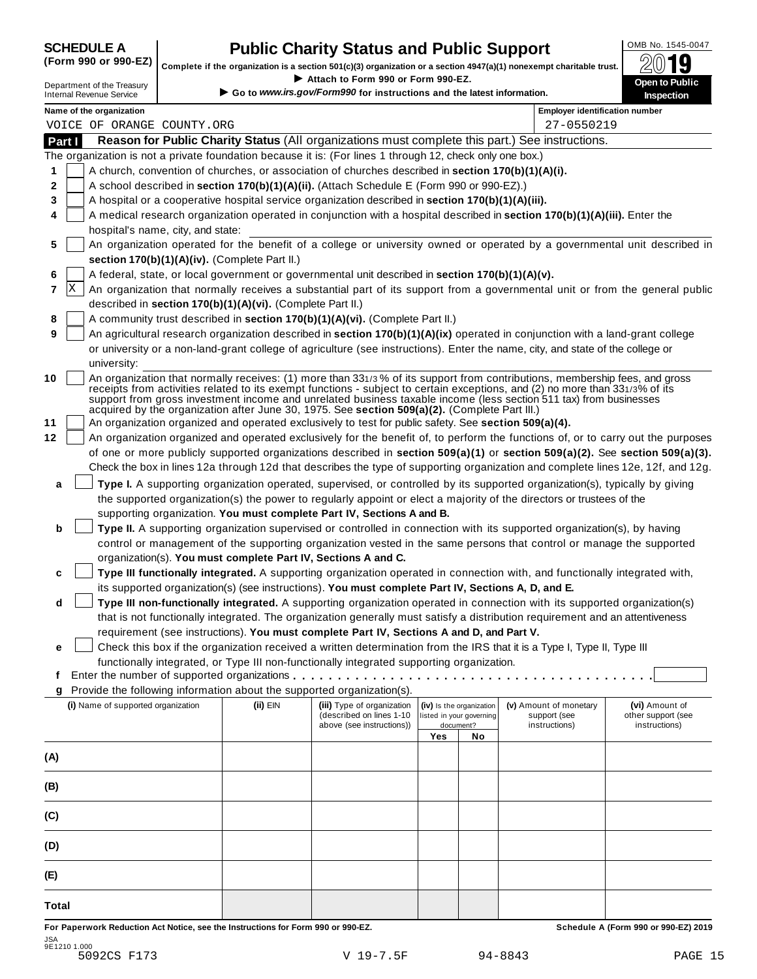# **CHEDULE A Public Charity Status and Public Support**  $\frac{100\text{dB No. }1545-0047}{000\text{dB No.}}$

(Form 990 or 990-EZ) complete if the organization is a section 501(c)(3) organization or a section 4947(a)(1) nonexempt charitable trust.  $2019$ 

|        |                                                                                                                                                                                                                                |  |                                                            |                                                                                                              |     |                                       | Complete if the organization is a section 501(c)(3) organization or a section $4947(a)(1)$ nonexempt charitable trust.                                                                                                                            | ZW IJ                                                                                                                            |  |
|--------|--------------------------------------------------------------------------------------------------------------------------------------------------------------------------------------------------------------------------------|--|------------------------------------------------------------|--------------------------------------------------------------------------------------------------------------|-----|---------------------------------------|---------------------------------------------------------------------------------------------------------------------------------------------------------------------------------------------------------------------------------------------------|----------------------------------------------------------------------------------------------------------------------------------|--|
|        | Department of the Treasury                                                                                                                                                                                                     |  |                                                            | Attach to Form 990 or Form 990-EZ.<br>Go to www.irs.gov/Form990 for instructions and the latest information. |     |                                       |                                                                                                                                                                                                                                                   | Open to Public                                                                                                                   |  |
|        | <b>Internal Revenue Service</b>                                                                                                                                                                                                |  |                                                            |                                                                                                              |     |                                       |                                                                                                                                                                                                                                                   | Inspection                                                                                                                       |  |
|        | Name of the organization<br>VOICE OF ORANGE COUNTY.ORG                                                                                                                                                                         |  |                                                            |                                                                                                              |     |                                       | <b>Employer identification number</b><br>27-0550219                                                                                                                                                                                               |                                                                                                                                  |  |
| Part I |                                                                                                                                                                                                                                |  |                                                            |                                                                                                              |     |                                       | Reason for Public Charity Status (All organizations must complete this part.) See instructions.                                                                                                                                                   |                                                                                                                                  |  |
|        |                                                                                                                                                                                                                                |  |                                                            | The organization is not a private foundation because it is: (For lines 1 through 12, check only one box.)    |     |                                       |                                                                                                                                                                                                                                                   |                                                                                                                                  |  |
| 1      |                                                                                                                                                                                                                                |  |                                                            | A church, convention of churches, or association of churches described in section 170(b)(1)(A)(i).           |     |                                       |                                                                                                                                                                                                                                                   |                                                                                                                                  |  |
| 2      |                                                                                                                                                                                                                                |  |                                                            | A school described in section 170(b)(1)(A)(ii). (Attach Schedule E (Form 990 or 990-EZ).)                    |     |                                       |                                                                                                                                                                                                                                                   |                                                                                                                                  |  |
| 3      |                                                                                                                                                                                                                                |  |                                                            |                                                                                                              |     |                                       |                                                                                                                                                                                                                                                   |                                                                                                                                  |  |
| 4      | A hospital or a cooperative hospital service organization described in section 170(b)(1)(A)(iii).<br>A medical research organization operated in conjunction with a hospital described in section 170(b)(1)(A)(iii). Enter the |  |                                                            |                                                                                                              |     |                                       |                                                                                                                                                                                                                                                   |                                                                                                                                  |  |
|        | hospital's name, city, and state:                                                                                                                                                                                              |  |                                                            |                                                                                                              |     |                                       |                                                                                                                                                                                                                                                   |                                                                                                                                  |  |
| 5      |                                                                                                                                                                                                                                |  |                                                            |                                                                                                              |     |                                       |                                                                                                                                                                                                                                                   | An organization operated for the benefit of a college or university owned or operated by a governmental unit described in        |  |
|        |                                                                                                                                                                                                                                |  | section 170(b)(1)(A)(iv). (Complete Part II.)              |                                                                                                              |     |                                       |                                                                                                                                                                                                                                                   |                                                                                                                                  |  |
| 6      |                                                                                                                                                                                                                                |  |                                                            | A federal, state, or local government or governmental unit described in section 170(b)(1)(A)(v).             |     |                                       |                                                                                                                                                                                                                                                   |                                                                                                                                  |  |
| 7      | X                                                                                                                                                                                                                              |  |                                                            |                                                                                                              |     |                                       |                                                                                                                                                                                                                                                   | An organization that normally receives a substantial part of its support from a governmental unit or from the general public     |  |
|        |                                                                                                                                                                                                                                |  | described in section 170(b)(1)(A)(vi). (Complete Part II.) |                                                                                                              |     |                                       |                                                                                                                                                                                                                                                   |                                                                                                                                  |  |
| 8      |                                                                                                                                                                                                                                |  |                                                            | A community trust described in section 170(b)(1)(A)(vi). (Complete Part II.)                                 |     |                                       |                                                                                                                                                                                                                                                   |                                                                                                                                  |  |
| 9      |                                                                                                                                                                                                                                |  |                                                            |                                                                                                              |     |                                       | An agricultural research organization described in section 170(b)(1)(A)(ix) operated in conjunction with a land-grant college                                                                                                                     |                                                                                                                                  |  |
|        |                                                                                                                                                                                                                                |  |                                                            |                                                                                                              |     |                                       | or university or a non-land-grant college of agriculture (see instructions). Enter the name, city, and state of the college or                                                                                                                    |                                                                                                                                  |  |
|        | university:                                                                                                                                                                                                                    |  |                                                            |                                                                                                              |     |                                       |                                                                                                                                                                                                                                                   |                                                                                                                                  |  |
| 10     |                                                                                                                                                                                                                                |  |                                                            |                                                                                                              |     |                                       | An organization that normally receives: (1) more than 331/3% of its support from contributions, membership fees, and gross                                                                                                                        |                                                                                                                                  |  |
|        |                                                                                                                                                                                                                                |  |                                                            |                                                                                                              |     |                                       | receipts from activities related to its exempt functions - subject to certain exceptions, and (2) no more than 331/3% of its<br>support from gross investment income and unrelated business taxable income (less section 511 tax) from businesses |                                                                                                                                  |  |
|        |                                                                                                                                                                                                                                |  |                                                            | acquired by the organization after June 30, 1975. See section 509(a)(2). (Complete Part III.)                |     |                                       |                                                                                                                                                                                                                                                   |                                                                                                                                  |  |
| 11     |                                                                                                                                                                                                                                |  |                                                            | An organization organized and operated exclusively to test for public safety. See section 509(a)(4).         |     |                                       |                                                                                                                                                                                                                                                   |                                                                                                                                  |  |
| 12     |                                                                                                                                                                                                                                |  |                                                            |                                                                                                              |     |                                       |                                                                                                                                                                                                                                                   | An organization organized and operated exclusively for the benefit of, to perform the functions of, or to carry out the purposes |  |
|        |                                                                                                                                                                                                                                |  |                                                            |                                                                                                              |     |                                       |                                                                                                                                                                                                                                                   | of one or more publicly supported organizations described in section 509(a)(1) or section 509(a)(2). See section 509(a)(3).      |  |
|        |                                                                                                                                                                                                                                |  |                                                            |                                                                                                              |     |                                       |                                                                                                                                                                                                                                                   | Check the box in lines 12a through 12d that describes the type of supporting organization and complete lines 12e, 12f, and 12g.  |  |
| a      |                                                                                                                                                                                                                                |  |                                                            |                                                                                                              |     |                                       | Type I. A supporting organization operated, supervised, or controlled by its supported organization(s), typically by giving                                                                                                                       |                                                                                                                                  |  |
|        |                                                                                                                                                                                                                                |  |                                                            |                                                                                                              |     |                                       | the supported organization(s) the power to regularly appoint or elect a majority of the directors or trustees of the                                                                                                                              |                                                                                                                                  |  |
|        |                                                                                                                                                                                                                                |  |                                                            | supporting organization. You must complete Part IV, Sections A and B.                                        |     |                                       |                                                                                                                                                                                                                                                   |                                                                                                                                  |  |
| b      |                                                                                                                                                                                                                                |  |                                                            |                                                                                                              |     |                                       | Type II. A supporting organization supervised or controlled in connection with its supported organization(s), by having                                                                                                                           |                                                                                                                                  |  |
|        |                                                                                                                                                                                                                                |  |                                                            |                                                                                                              |     |                                       | control or management of the supporting organization vested in the same persons that control or manage the supported                                                                                                                              |                                                                                                                                  |  |
|        |                                                                                                                                                                                                                                |  |                                                            | organization(s). You must complete Part IV, Sections A and C.                                                |     |                                       | Type III functionally integrated. A supporting organization operated in connection with, and functionally integrated with,                                                                                                                        |                                                                                                                                  |  |
| c      |                                                                                                                                                                                                                                |  |                                                            | its supported organization(s) (see instructions). You must complete Part IV, Sections A, D, and E.           |     |                                       |                                                                                                                                                                                                                                                   |                                                                                                                                  |  |
| d      |                                                                                                                                                                                                                                |  |                                                            |                                                                                                              |     |                                       | Type III non-functionally integrated. A supporting organization operated in connection with its supported organization(s)                                                                                                                         |                                                                                                                                  |  |
|        |                                                                                                                                                                                                                                |  |                                                            |                                                                                                              |     |                                       | that is not functionally integrated. The organization generally must satisfy a distribution requirement and an attentiveness                                                                                                                      |                                                                                                                                  |  |
|        |                                                                                                                                                                                                                                |  |                                                            | requirement (see instructions). You must complete Part IV, Sections A and D, and Part V.                     |     |                                       |                                                                                                                                                                                                                                                   |                                                                                                                                  |  |
| е      |                                                                                                                                                                                                                                |  |                                                            |                                                                                                              |     |                                       |                                                                                                                                                                                                                                                   |                                                                                                                                  |  |
|        | Check this box if the organization received a written determination from the IRS that it is a Type I, Type II, Type III<br>functionally integrated, or Type III non-functionally integrated supporting organization.           |  |                                                            |                                                                                                              |     |                                       |                                                                                                                                                                                                                                                   |                                                                                                                                  |  |
| t      |                                                                                                                                                                                                                                |  |                                                            |                                                                                                              |     |                                       |                                                                                                                                                                                                                                                   |                                                                                                                                  |  |
| g      |                                                                                                                                                                                                                                |  |                                                            | Provide the following information about the supported organization(s).                                       |     |                                       |                                                                                                                                                                                                                                                   |                                                                                                                                  |  |
|        | (i) Name of supported organization                                                                                                                                                                                             |  | (ii) EIN                                                   | (iii) Type of organization                                                                                   |     | (iv) Is the organization              | (v) Amount of monetary                                                                                                                                                                                                                            | (vi) Amount of                                                                                                                   |  |
|        |                                                                                                                                                                                                                                |  |                                                            | (described on lines 1-10<br>above (see instructions))                                                        |     | listed in your governing<br>document? | support (see<br>instructions)                                                                                                                                                                                                                     | other support (see<br>instructions)                                                                                              |  |
|        |                                                                                                                                                                                                                                |  |                                                            |                                                                                                              | Yes | No                                    |                                                                                                                                                                                                                                                   |                                                                                                                                  |  |
| (A)    |                                                                                                                                                                                                                                |  |                                                            |                                                                                                              |     |                                       |                                                                                                                                                                                                                                                   |                                                                                                                                  |  |
|        |                                                                                                                                                                                                                                |  |                                                            |                                                                                                              |     |                                       |                                                                                                                                                                                                                                                   |                                                                                                                                  |  |
| (B)    |                                                                                                                                                                                                                                |  |                                                            |                                                                                                              |     |                                       |                                                                                                                                                                                                                                                   |                                                                                                                                  |  |
| (C)    |                                                                                                                                                                                                                                |  |                                                            |                                                                                                              |     |                                       |                                                                                                                                                                                                                                                   |                                                                                                                                  |  |
|        |                                                                                                                                                                                                                                |  |                                                            |                                                                                                              |     |                                       |                                                                                                                                                                                                                                                   |                                                                                                                                  |  |
| (D)    |                                                                                                                                                                                                                                |  |                                                            |                                                                                                              |     |                                       |                                                                                                                                                                                                                                                   |                                                                                                                                  |  |
| (E)    |                                                                                                                                                                                                                                |  |                                                            |                                                                                                              |     |                                       |                                                                                                                                                                                                                                                   |                                                                                                                                  |  |
|        |                                                                                                                                                                                                                                |  |                                                            |                                                                                                              |     |                                       |                                                                                                                                                                                                                                                   |                                                                                                                                  |  |

For Paperwork Reduction Act Notice, see the Instructions for Form 990 or 990-EZ. Schedule A (Form 990 or 990-EZ) 2019 JSA 9E1210 1.000 5092CS F173 V 19-7.5F 94-8843 PAGE 15

**Total**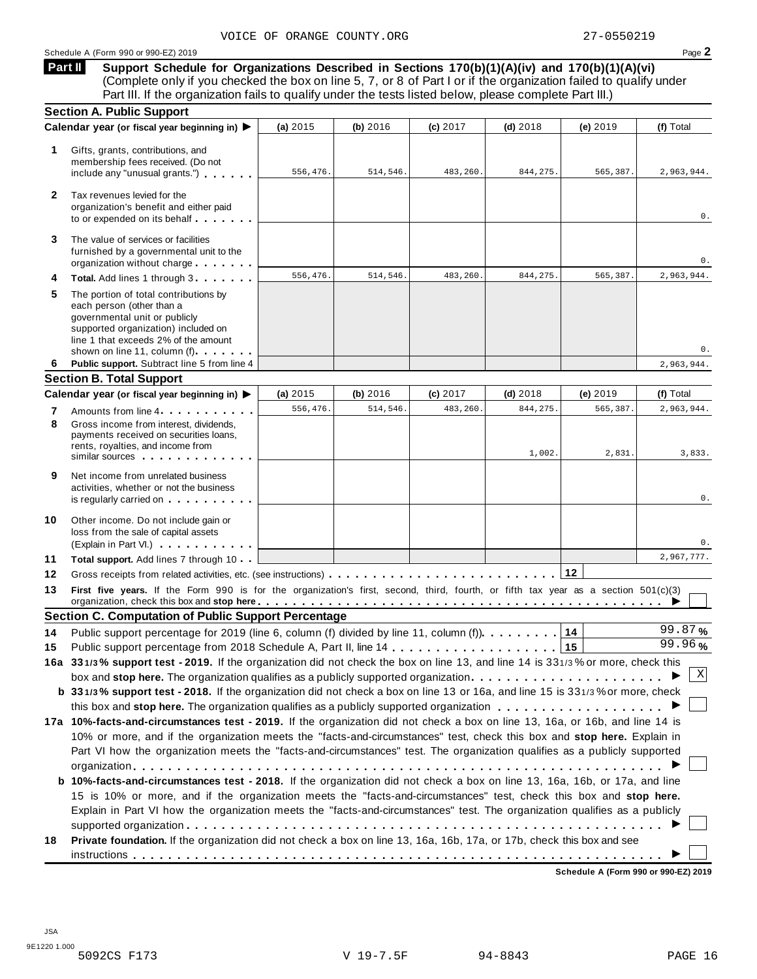#### Schedule <sup>A</sup> (Form <sup>990</sup> or 990-EZ) <sup>2019</sup> Page **2**

**Support Schedule for Organizations Described in Sections 170(b)(1)(A)(iv) and 170(b)(1)(A)(vi)** Complete only if you checked the box on line 5, 7, or 8 of Part I or if the organization failed to qualify under Part III. If the organization fails to qualify under the tests listed below, please complete Part III.) **Part II**

|              | <b>Section A. Public Support</b>                                                                                                                                                                                                                                                                                                                                                     |            |          |          |                  |                    |                      |
|--------------|--------------------------------------------------------------------------------------------------------------------------------------------------------------------------------------------------------------------------------------------------------------------------------------------------------------------------------------------------------------------------------------|------------|----------|----------|------------------|--------------------|----------------------|
|              | Calendar year (or fiscal year beginning in) ▶                                                                                                                                                                                                                                                                                                                                        | (a) $2015$ | (b) 2016 | (c) 2017 | $(d)$ 2018       | (e) 2019           | (f) Total            |
| 1.           | Gifts, grants, contributions, and<br>membership fees received. (Do not<br>include any "unusual grants.")                                                                                                                                                                                                                                                                             | 556,476.   | 514,546. | 483,260. | 844, 275.        | 565,387.           | 2,963,944.           |
| $\mathbf{2}$ | Tax revenues levied for the<br>organization's benefit and either paid<br>to or expended on its behalf                                                                                                                                                                                                                                                                                |            |          |          |                  |                    | 0.                   |
| 3            | The value of services or facilities<br>furnished by a governmental unit to the<br>organization without charge                                                                                                                                                                                                                                                                        |            |          |          |                  |                    | 0.                   |
| 4            | Total. Add lines 1 through 3                                                                                                                                                                                                                                                                                                                                                         | 556,476.   | 514,546. | 483,260  | 844, 275.        | 565,387.           | 2,963,944.           |
| 5            | The portion of total contributions by<br>each person (other than a<br>governmental unit or publicly<br>supported organization) included on<br>line 1 that exceeds 2% of the amount<br>shown on line 11, column (f)                                                                                                                                                                   |            |          |          |                  |                    | 0.                   |
| 6            | Public support. Subtract line 5 from line 4                                                                                                                                                                                                                                                                                                                                          |            |          |          |                  |                    | 2,963,944.           |
|              | <b>Section B. Total Support</b>                                                                                                                                                                                                                                                                                                                                                      |            |          |          |                  |                    |                      |
|              | Calendar year (or fiscal year beginning in) ▶                                                                                                                                                                                                                                                                                                                                        | (a) $2015$ | (b) 2016 | (c) 2017 | $(d)$ 2018       | (e) $2019$         | (f) Total            |
| 7<br>8       | Amounts from line 4<br>Gross income from interest, dividends.<br>payments received on securities loans,<br>rents, royalties, and income from<br>similar sources experiences                                                                                                                                                                                                          | 556,476.   | 514,546. | 483,260  | 844,275<br>1,002 | 565,387.<br>2,831. | 2,963,944.<br>3,833. |
| 9            | Net income from unrelated business<br>activities, whether or not the business<br>is regularly carried on the control of the set of the set of the set of the set of the set of the set of the s                                                                                                                                                                                      |            |          |          |                  |                    | 0.                   |
| 10           | Other income. Do not include gain or<br>loss from the sale of capital assets<br>(Explain in Part VI.)                                                                                                                                                                                                                                                                                |            |          |          |                  |                    | 0.                   |
| 11           | Total support. Add lines 7 through 10                                                                                                                                                                                                                                                                                                                                                |            |          |          |                  |                    | 2,967,777.           |
| 12           |                                                                                                                                                                                                                                                                                                                                                                                      |            |          |          |                  |                    |                      |
| 13           | First five years. If the Form 990 is for the organization's first, second, third, fourth, or fifth tax year as a section 501(c)(3)                                                                                                                                                                                                                                                   |            |          |          |                  |                    |                      |
|              | <b>Section C. Computation of Public Support Percentage</b>                                                                                                                                                                                                                                                                                                                           |            |          |          |                  |                    |                      |
| 14           | Public support percentage for 2019 (line 6, column (f) divided by line 11, column (f)).                                                                                                                                                                                                                                                                                              |            |          |          |                  | 14                 | 99.87%               |
| 15           |                                                                                                                                                                                                                                                                                                                                                                                      |            |          |          |                  |                    | 99.96%               |
|              | 16a 331/3% support test - 2019. If the organization did not check the box on line 13, and line 14 is 331/3% or more, check this                                                                                                                                                                                                                                                      |            |          |          |                  |                    |                      |
|              | box and stop here. The organization qualifies as a publicly supported organization                                                                                                                                                                                                                                                                                                   |            |          |          |                  |                    | Χ                    |
|              | b 331/3% support test - 2018. If the organization did not check a box on line 13 or 16a, and line 15 is 331/3% or more, check                                                                                                                                                                                                                                                        |            |          |          |                  |                    |                      |
|              |                                                                                                                                                                                                                                                                                                                                                                                      |            |          |          |                  |                    |                      |
|              | 17a 10%-facts-and-circumstances test - 2019. If the organization did not check a box on line 13, 16a, or 16b, and line 14 is<br>10% or more, and if the organization meets the "facts-and-circumstances" test, check this box and stop here. Explain in<br>Part VI how the organization meets the "facts-and-circumstances" test. The organization qualifies as a publicly supported |            |          |          |                  |                    |                      |
|              | <b>b 10%-facts-and-circumstances test - 2018.</b> If the organization did not check a box on line 13, 16a, 16b, or 17a, and line<br>15 is 10% or more, and if the organization meets the "facts-and-circumstances" test, check this box and stop here.<br>Explain in Part VI how the organization meets the "facts-and-circumstances" test. The organization qualifies as a publicly |            |          |          |                  |                    |                      |
| 18           | Private foundation. If the organization did not check a box on line 13, 16a, 16b, 17a, or 17b, check this box and see                                                                                                                                                                                                                                                                |            |          |          |                  |                    |                      |
|              |                                                                                                                                                                                                                                                                                                                                                                                      |            |          |          |                  |                    |                      |

**Schedule A (Form 990 or 990-EZ) 2019**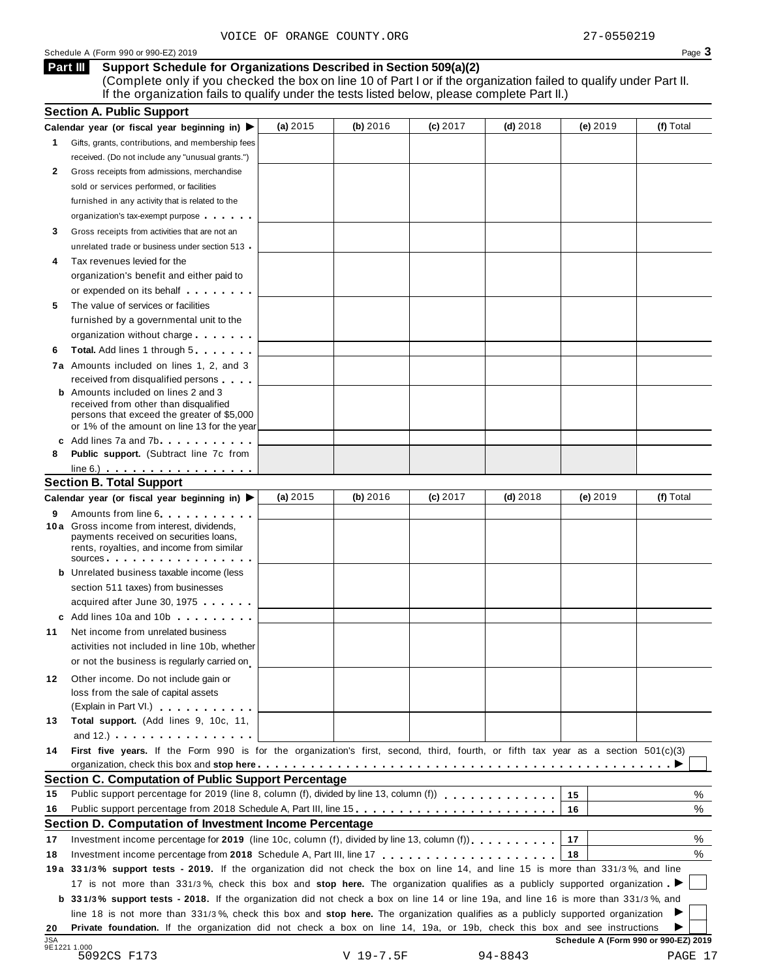#### Schedule A (Form 990 or 990-EZ) 2019 Page 3

#### **Support Schedule for Organizations Described in Section 509(a)(2) Part III**

(Complete only if you checked the box on line 10 of Part I or if the organization failed to qualify under Part II. If the organization fails to qualify under the tests listed below, please complete Part II.)

| 1.<br>2<br>3<br>4<br>5<br>6<br>8<br>9<br>11<br>12.<br>13<br>14<br>15 | Calendar year (or fiscal year beginning in) $\blacktriangleright$                                                                                                                                                                                                                                                                                                    |            |             |            |             |                                      |           |
|----------------------------------------------------------------------|----------------------------------------------------------------------------------------------------------------------------------------------------------------------------------------------------------------------------------------------------------------------------------------------------------------------------------------------------------------------|------------|-------------|------------|-------------|--------------------------------------|-----------|
|                                                                      |                                                                                                                                                                                                                                                                                                                                                                      | (a) $2015$ | (b) 2016    | $(c)$ 2017 | $(d)$ 2018  | $(e)$ 2019                           | (f) Total |
|                                                                      | Gifts, grants, contributions, and membership fees                                                                                                                                                                                                                                                                                                                    |            |             |            |             |                                      |           |
|                                                                      | received. (Do not include any "unusual grants.")                                                                                                                                                                                                                                                                                                                     |            |             |            |             |                                      |           |
|                                                                      | Gross receipts from admissions, merchandise                                                                                                                                                                                                                                                                                                                          |            |             |            |             |                                      |           |
|                                                                      | sold or services performed, or facilities                                                                                                                                                                                                                                                                                                                            |            |             |            |             |                                      |           |
|                                                                      | furnished in any activity that is related to the                                                                                                                                                                                                                                                                                                                     |            |             |            |             |                                      |           |
|                                                                      | organization's tax-exempt purpose                                                                                                                                                                                                                                                                                                                                    |            |             |            |             |                                      |           |
|                                                                      | Gross receipts from activities that are not an                                                                                                                                                                                                                                                                                                                       |            |             |            |             |                                      |           |
|                                                                      | unrelated trade or business under section 513                                                                                                                                                                                                                                                                                                                        |            |             |            |             |                                      |           |
|                                                                      | Tax revenues levied for the                                                                                                                                                                                                                                                                                                                                          |            |             |            |             |                                      |           |
|                                                                      | organization's benefit and either paid to                                                                                                                                                                                                                                                                                                                            |            |             |            |             |                                      |           |
|                                                                      | or expended on its behalf <b>contained</b> on $\theta$                                                                                                                                                                                                                                                                                                               |            |             |            |             |                                      |           |
|                                                                      | The value of services or facilities                                                                                                                                                                                                                                                                                                                                  |            |             |            |             |                                      |           |
|                                                                      | furnished by a governmental unit to the                                                                                                                                                                                                                                                                                                                              |            |             |            |             |                                      |           |
|                                                                      | organization without charge                                                                                                                                                                                                                                                                                                                                          |            |             |            |             |                                      |           |
|                                                                      | <b>Total.</b> Add lines 1 through 5                                                                                                                                                                                                                                                                                                                                  |            |             |            |             |                                      |           |
|                                                                      | 7a Amounts included on lines 1, 2, and 3                                                                                                                                                                                                                                                                                                                             |            |             |            |             |                                      |           |
|                                                                      | received from disqualified persons                                                                                                                                                                                                                                                                                                                                   |            |             |            |             |                                      |           |
|                                                                      | <b>b</b> Amounts included on lines 2 and 3                                                                                                                                                                                                                                                                                                                           |            |             |            |             |                                      |           |
|                                                                      | received from other than disqualified                                                                                                                                                                                                                                                                                                                                |            |             |            |             |                                      |           |
|                                                                      | persons that exceed the greater of \$5,000                                                                                                                                                                                                                                                                                                                           |            |             |            |             |                                      |           |
|                                                                      | or 1% of the amount on line 13 for the year                                                                                                                                                                                                                                                                                                                          |            |             |            |             |                                      |           |
|                                                                      | c Add lines 7a and 7b                                                                                                                                                                                                                                                                                                                                                |            |             |            |             |                                      |           |
|                                                                      | Public support. (Subtract line 7c from                                                                                                                                                                                                                                                                                                                               |            |             |            |             |                                      |           |
|                                                                      | $line 6.)$                                                                                                                                                                                                                                                                                                                                                           |            |             |            |             |                                      |           |
|                                                                      | <b>Section B. Total Support</b>                                                                                                                                                                                                                                                                                                                                      |            |             |            |             |                                      |           |
|                                                                      | Calendar year (or fiscal year beginning in) ▶                                                                                                                                                                                                                                                                                                                        | (a) $2015$ | (b) 2016    | $(c)$ 2017 | $(d)$ 2018  | $(e)$ 2019                           | (f) Total |
|                                                                      | Amounts from line 6                                                                                                                                                                                                                                                                                                                                                  |            |             |            |             |                                      |           |
|                                                                      | 10 a Gross income from interest, dividends,<br>payments received on securities loans,                                                                                                                                                                                                                                                                                |            |             |            |             |                                      |           |
|                                                                      | rents, royalties, and income from similar                                                                                                                                                                                                                                                                                                                            |            |             |            |             |                                      |           |
|                                                                      | SOUICES                                                                                                                                                                                                                                                                                                                                                              |            |             |            |             |                                      |           |
|                                                                      | <b>b</b> Unrelated business taxable income (less                                                                                                                                                                                                                                                                                                                     |            |             |            |             |                                      |           |
|                                                                      | section 511 taxes) from businesses                                                                                                                                                                                                                                                                                                                                   |            |             |            |             |                                      |           |
|                                                                      | acquired after June 30, 1975                                                                                                                                                                                                                                                                                                                                         |            |             |            |             |                                      |           |
|                                                                      | c Add lines 10a and 10b                                                                                                                                                                                                                                                                                                                                              |            |             |            |             |                                      |           |
|                                                                      | Net income from unrelated business                                                                                                                                                                                                                                                                                                                                   |            |             |            |             |                                      |           |
|                                                                      | activities not included in line 10b, whether                                                                                                                                                                                                                                                                                                                         |            |             |            |             |                                      |           |
|                                                                      | or not the business is regularly carried on                                                                                                                                                                                                                                                                                                                          |            |             |            |             |                                      |           |
|                                                                      | Other income. Do not include gain or                                                                                                                                                                                                                                                                                                                                 |            |             |            |             |                                      |           |
|                                                                      | loss from the sale of capital assets                                                                                                                                                                                                                                                                                                                                 |            |             |            |             |                                      |           |
|                                                                      | (Explain in Part VI.) <b>All Accords</b>                                                                                                                                                                                                                                                                                                                             |            |             |            |             |                                      |           |
|                                                                      | Total support. (Add lines 9, 10c, 11,                                                                                                                                                                                                                                                                                                                                |            |             |            |             |                                      |           |
|                                                                      | and $12.$ ) $\qquad \qquad \qquad$ $\qquad \qquad$ $\qquad \qquad$ $\qquad \qquad$ $\qquad \qquad$ $\qquad \qquad$ $\qquad \qquad$ $\qquad \qquad$ $\qquad \qquad$ $\qquad \qquad$ $\qquad$ $\qquad \qquad$ $\qquad$ $\qquad$ $\qquad$ $\qquad$ $\qquad$ $\qquad$ $\qquad$ $\qquad$ $\qquad$ $\qquad$ $\qquad$ $\qquad$ $\qquad$ $\qquad$ $\qquad$ $\qquad$ $\qquad$ |            |             |            |             |                                      |           |
|                                                                      | First five years. If the Form 990 is for the organization's first, second, third, fourth, or fifth tax year as a section 501(c)(3)                                                                                                                                                                                                                                   |            |             |            |             |                                      |           |
|                                                                      |                                                                                                                                                                                                                                                                                                                                                                      |            |             |            |             |                                      |           |
|                                                                      | Section C. Computation of Public Support Percentage                                                                                                                                                                                                                                                                                                                  |            |             |            |             |                                      |           |
|                                                                      | Public support percentage for 2019 (line 8, column (f), divided by line 13, column (f)                                                                                                                                                                                                                                                                               |            |             |            |             | 15                                   | %         |
| 16                                                                   |                                                                                                                                                                                                                                                                                                                                                                      |            |             |            |             | 16                                   | %         |
|                                                                      | Section D. Computation of Investment Income Percentage                                                                                                                                                                                                                                                                                                               |            |             |            |             |                                      |           |
|                                                                      | Investment income percentage for 2019 (line 10c, column (f), divided by line 13, column (f)).                                                                                                                                                                                                                                                                        |            |             |            |             | 17                                   | %         |
| 17                                                                   |                                                                                                                                                                                                                                                                                                                                                                      |            |             |            |             | 18                                   | %         |
| 18                                                                   |                                                                                                                                                                                                                                                                                                                                                                      |            |             |            |             |                                      |           |
|                                                                      | 19a 331/3% support tests - 2019. If the organization did not check the box on line 14, and line 15 is more than 331/3%, and line                                                                                                                                                                                                                                     |            |             |            |             |                                      |           |
|                                                                      | 17 is not more than 331/3%, check this box and stop here. The organization qualifies as a publicly supported organization                                                                                                                                                                                                                                            |            |             |            |             |                                      |           |
|                                                                      | <b>b</b> 331/3% support tests - 2018. If the organization did not check a box on line 14 or line 19a, and line 16 is more than 331/3%, and                                                                                                                                                                                                                           |            |             |            |             |                                      |           |
|                                                                      | line 18 is not more than 331/3%, check this box and stop here. The organization qualifies as a publicly supported organization                                                                                                                                                                                                                                       |            |             |            |             |                                      |           |
| 20                                                                   | Private foundation. If the organization did not check a box on line 14, 19a, or 19b, check this box and see instructions                                                                                                                                                                                                                                             |            |             |            |             |                                      |           |
| <b>JSA</b><br>9E1221 1.000                                           | 5092CS F173                                                                                                                                                                                                                                                                                                                                                          |            | $V$ 19-7.5F |            | $94 - 8843$ | Schedule A (Form 990 or 990-EZ) 2019 | PAGE 17   |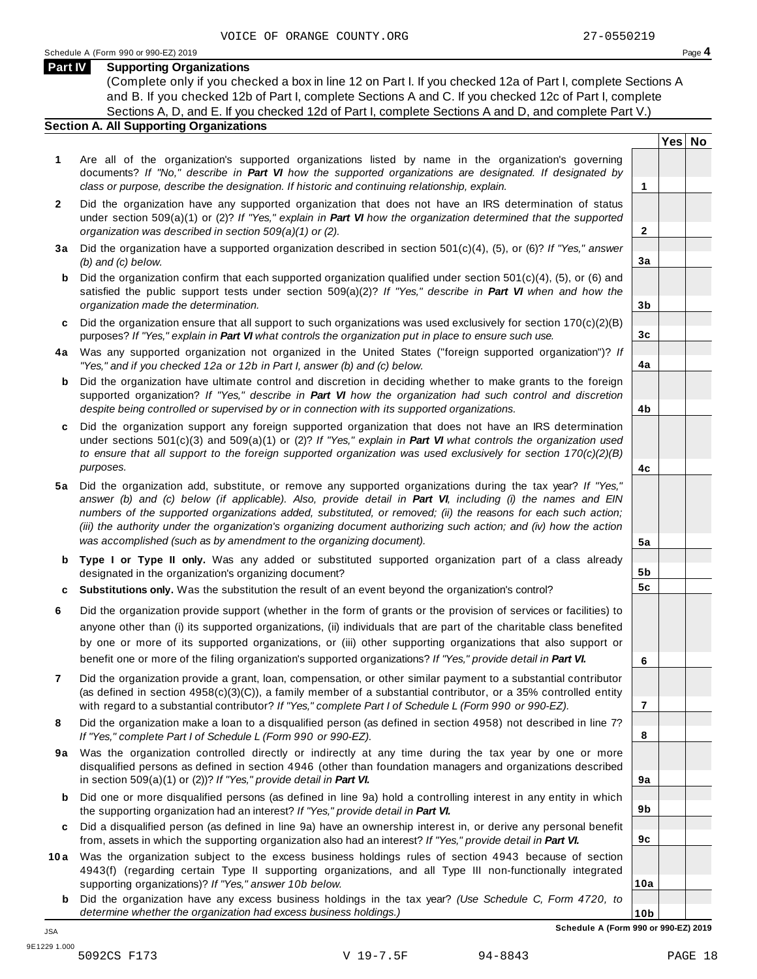#### **Part IV Supporting Organizations**

(Complete only if you checked a box in line 12 on Part I. If you checked 12a of Part I, complete Sections A and B. If you checked 12b of Part I, complete Sections A and C. If you checked 12c of Part I, complete Sections A, D, and E. If you checked 12d of Part I, complete Sections A and D, and complete Part V.)

### **Section A. All Supporting Organizations**

- **1** Are all of the organization's supported organizations listed by name in the organization's governing documents? *If "No," describe in Part VI how the supported organizations are designated. If designated by class or purpose, describe the designation. If historic and continuing relationship, explain.* **1**
- **2** Did the organization have any supported organization that does not have an IRS determination of status under section 509(a)(1) or (2)? *If"Yes," explain in Part VI how the organization determined that the supported organization was described in section 509(a)(1) or (2).*
- **3 a** Did the organization have a supported organization described in section 501(c)(4), (5), or (6)? *If "Yes," answer (b) and (c) below.*
- **b** Did the organization confirm that each supported organization qualified under section 501(c)(4), (5), or (6) and | satisfied the public support tests under section 509(a)(2)? *If "Yes," describe in Part VI when and how the organization made the determination.*
- **c** Did the organization ensure that all support to such organizations was used exclusively for section 170(c)(2)(B) purposes? *If"Yes," explain in Part VI what controls the organization put in place to ensure such use.*
- **4 a** Was any supported organization not organized in the United States ("foreign supported organization")? *If "Yes," and if you checked 12a or 12b in Part I, answer (b) and (c) below.*
- **b** Did the organization have ultimate control and discretion in deciding whether to make grants to the foreign | supported organization? *If "Yes," describe in Part VI how the organization had such control and discretion despite being controlled or supervised by or in connection with its supported organizations.*
- **c** Did the organization support any foreign supported organization that does not have an IRS determination under sections 501(c)(3) and 509(a)(1) or (2)? *If "Yes," explain in Part VI what controls the organization used to ensure that all support to the foreign supported organization was used exclusively for section 170(c)(2)(B) purposes.*
- **5 a** Did the organization add, substitute, or remove any supported organizations during the tax year? *If "Yes,"* answer (b) and (c) below (if applicable). Also, provide detail in Part VI, including (i) the names and EIN *numbers of the supported organizations added, substituted, or removed; (ii) the reasons for each such action;* (iii) the authority under the organization's organizing document authorizing such action; and (iv) how the action *was accomplished (such as by amendment to the organizing document).*
- **b Type I or Type II only.** Was any added or substituted supported organization part of a class already designated in the organization's organizing document?
- **c Substitutions only.** Was the substitution the result of an event beyond the organization's control?
- **6** Did the organization provide support (whether in the form of grants or the provision of services or facilities) to anyone other than (i) its supported organizations, (ii) individuals that are part of the charitable class benefited by one or more of its supported organizations, or (iii) other supporting organizations that also support or benefit one or more of the filing organization's supported organizations? *If"Yes," provide detail in Part VI.*
- **7** Did the organization provide a grant, loan, compensation, or other similar payment to a substantial contributor (as defined in section 4958(c)(3)(C)), a family member of a substantial contributor, or a 35% controlled entity with regard to a substantial contributor? *If"Yes," complete Part I of Schedule L (Form 990 or 990-EZ).*
- **8** Did the organization make a loan to a disqualified person (as defined in section 4958) not described in line 7? *If "Yes," complete Part I of Schedule L (Form 990 or 990-EZ).*
- **9a** Was the organization controlled directly or indirectly at any time during the tax year by one or more | disqualified persons as defined in section 4946 (other than foundation managers and organizations described in section 509(a)(1) or (2))? *If"Yes," provide detail in Part VI.*
- **b** Did one or more disqualified persons (as defined in line 9a) hold a controlling interest in any entity in which | the supporting organization had an interest? *If"Yes," provide detail in Part VI.*
- **c** Did a disqualified person (as defined in line 9a) have an ownership interest in, or derive any personal benefit from, assets in which the supporting organization also had an interest? *If"Yes," provide detail in Part VI.*
- **10a** Was the organization subject to the excess business holdings rules of section 4943 because of section | 4943(f) (regarding certain Type II supporting organizations, and all Type III non-functionally integrated supporting organizations)? *If"Yes," answer 10b below.*
	- **b** Did the organization have any excess business holdings in the tax year? *(Use Schedule C, Form 4720, to determine whether the organization had excess business holdings.)*

**Yes No**

**2**

**3a**

**3b**

**3c**

**4a**

**4b**

**4c**

**5a**

**5b 5c**

**6**

**7**

**8**

**9a**

**9b**

**9c**

**10a**

**10b Schedule A (Form 990 or 990-EZ) 2019**

JSA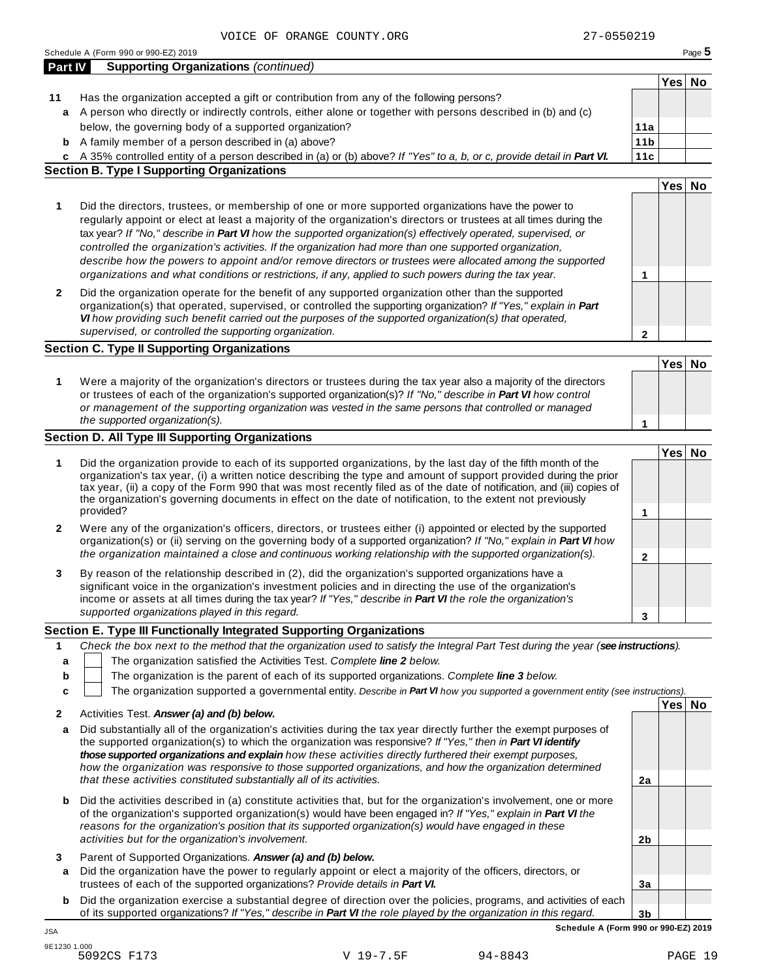A person who directly or indirectly controls, either alone or together with persons described in (b) and (c) **a**

A 35% controlled entity of a person described in (a) or (b) above? *If"Yes" to a, b, or c, provide detail in Part VI.* **c**

**11** Has the organization accepted a gift or contribution from any of the following persons?

**2b**

**3a**

**3b**

**1 2 1** Did the directors, trustees, or membership of one or more supported organizations have the power to regularly appoint or elect at least a majority of the organization's directors or trustees at all times during the tax year? *If "No," describe in Part VI how the supported organization(s) effectively operated, supervised, or controlled the organization's activities. If the organization had more than one supported organization, describe how the powers to appoint and/or remove directors or trustees were allocated among the supported organizations and what conditions or restrictions, if any, applied to such powers during the tax year.* **2** Did the organization operate for the benefit of any supported organization other than the supported organization(s) that operated, supervised, or controlled the supporting organization? *If "Yes," explain in Part VI how providing such benefit carried out the purposes of the supported organization(s) that operated, supervised, or controlled the supporting organization.*

Schedule <sup>A</sup> (Form <sup>990</sup> or 990-EZ) <sup>2019</sup> Page **5**

#### **Section C. Type II Supporting Organizations**

**Part IV Supporting Organizations** *(continued)*

**Section B. Type I Supporting Organizations**

below, the governing body of a supported organization? **b** A family member of a person described in (a) above?

**1** Were a majority of the organization's directors or trustees during the tax year also a majority of the directors or trustees of each of the organization's supported organization(s)? *If"No," describe in Part VI how control or management of the supporting organization was vested in the same persons that controlled or managed the supported organization(s).*

#### **Section D. All Type III Supporting Organizations**

|              |                                                                                                                                                                                                                                                                                                                                                                                                                                                                                          | Yes⊺ |  |
|--------------|------------------------------------------------------------------------------------------------------------------------------------------------------------------------------------------------------------------------------------------------------------------------------------------------------------------------------------------------------------------------------------------------------------------------------------------------------------------------------------------|------|--|
|              | Did the organization provide to each of its supported organizations, by the last day of the fifth month of the<br>organization's tax year, (i) a written notice describing the type and amount of support provided during the prior<br>tax year, (ii) a copy of the Form 990 that was most recently filed as of the date of notification, and (iii) copies of<br>the organization's governing documents in effect on the date of notification, to the extent not previously<br>provided? |      |  |
| $\mathbf{2}$ |                                                                                                                                                                                                                                                                                                                                                                                                                                                                                          |      |  |
|              | Were any of the organization's officers, directors, or trustees either (i) appointed or elected by the supported<br>organization(s) or (ii) serving on the governing body of a supported organization? If "No," explain in <b>Part VI</b> how                                                                                                                                                                                                                                            |      |  |
|              | the organization maintained a close and continuous working relationship with the supported organization(s).                                                                                                                                                                                                                                                                                                                                                                              |      |  |
| 3            | By reason of the relationship described in (2), did the organization's supported organizations have a<br>significant voice in the organization's investment policies and in directing the use of the organization's<br>income or assets at all times during the tax year? If "Yes," describe in Part VI the role the organization's                                                                                                                                                      |      |  |
|              | supported organizations played in this regard.                                                                                                                                                                                                                                                                                                                                                                                                                                           |      |  |

#### **Section E. Type III Functionally Integrated Supporting Organizations**

|   | Check the box next to the method that the organization used to satisfy the Integral Part Test during the year (see instructions). |                                                                                                                                 |      |  |  |  |  |
|---|-----------------------------------------------------------------------------------------------------------------------------------|---------------------------------------------------------------------------------------------------------------------------------|------|--|--|--|--|
|   |                                                                                                                                   | The organization satisfied the Activities Test. Complete line 2 below.                                                          |      |  |  |  |  |
| b |                                                                                                                                   | The organization is the parent of each of its supported organizations. Complete line 3 below.                                   |      |  |  |  |  |
|   |                                                                                                                                   | The organization supported a governmental entity. Describe in Part VI how you supported a government entity (see instructions). |      |  |  |  |  |
|   |                                                                                                                                   |                                                                                                                                 | Yesl |  |  |  |  |

- **a** Did substantially all of the organization's activities during the tax year directly further the exempt purposes of the supported organization(s) to which the organization was responsive? *If "Yes," then in Part VI identify those supported organizations and explain how these activities directly furthered their exempt purposes, how the organization was responsive to those supported organizations, and how the organization determined that these activities constituted substantially all of its activities.* **2a**
- **b** Did the activities described in (a) constitute activities that, but for the organization's involvement, one or more of the organization's supported organization(s) would have been engaged in? *If"Yes," explain in Part VI the reasons for the organization's position that its supported organization(s) would have engaged in these activities but for the organization's involvement.*
- **3** Parent of Supported Organizations. *Answer (a) and (b) below.*
- **a** Did the organization have the power to regularly appoint or elect a majority of the officers, directors, or trustees of each of the supported organizations? *Provide details in Part VI.*
- **b** Did the organization exercise a substantial degree of direction over the policies, programs, and activities of each of its supported organizations? *If"Yes," describe in Part VI the role played by the organization in this regard.*

**1**



**Yes No**

**Yes No**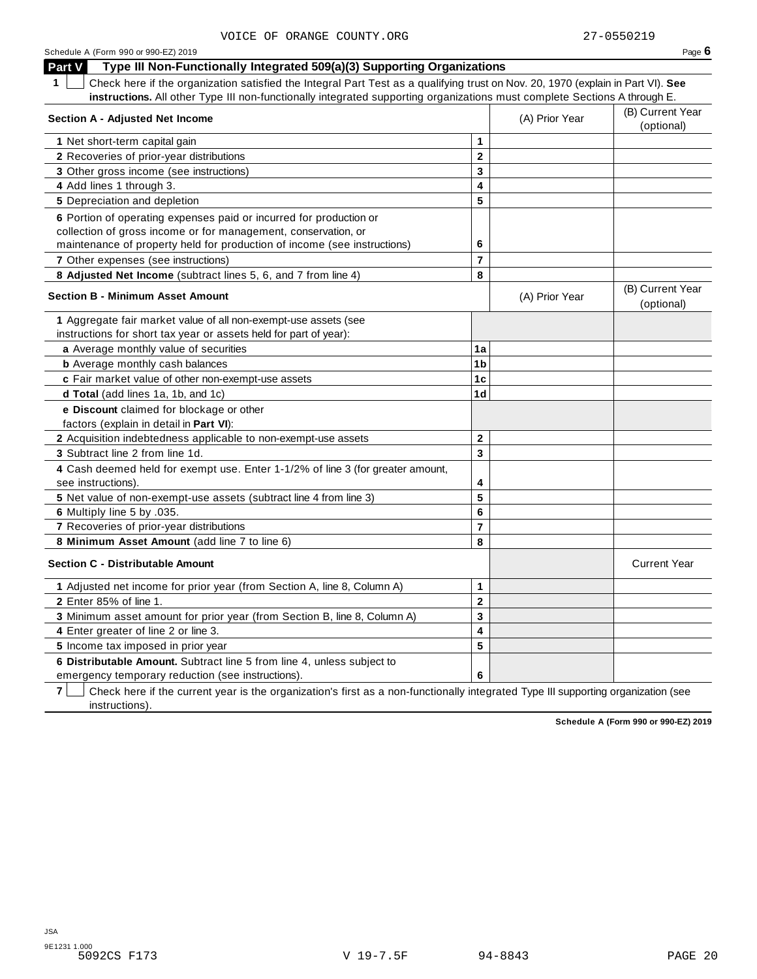| Schedule A (Form 990 or 990-EZ) 2019 | Page $6$ |
|--------------------------------------|----------|
|--------------------------------------|----------|

**Part V Type III Non-Functionally Integrated 509(a)(3) Supporting Organizations 1** Check here if the organization satisfied the Integral Part Test as a qualifying trust on Nov. 20, 1970 (explain in Part VI). **See instructions.** All other Type III non-functionally integrated supporting organizations must complete Sections A through E. (B) Current Year **Section <sup>A</sup> - Adjusted Net Income** (A) Prior Year (optional) **1** Net short-term capital gain **1 1 2 3 4 5 2** Recoveries of prior-year distributions **3** Other gross income (see instructions) **4** Add lines 1 through 3. **5** Depreciation and depletion **6** Portion of operating expenses paid or incurred for production or collection of gross income or for management, conservation, or maintenance of property held for production of income (see instructions) **6 7** Other expenses (see instructions) **7 8 Adjusted Net Income** (subtract lines 5, 6, and 7 from line 4) **8** (B) Current Year **Section <sup>B</sup> - Minimum Asset Amount** (A) Prior Year (optional) **1** Aggregate fair market value of all non-exempt-use assets (see instructions for short tax year or assets held for part of year): **a** Average monthly value of securities **1a 1a 1b 1c 1d b** Average monthly cash balances **c** Fair market value of other non-exempt-use assets **d Total** (add lines 1a, 1b, and 1c) **e Discount** claimed for blockage or other factors (explain in detail in **Part VI**): **2** Acquisition indebtedness applicable to non-exempt-use assets **2 3 4 5 6 7 8 3** Subtract line 2 from line 1d. **4** Cash deemed held for exempt use. Enter 1-1/2% of line 3 (for greater amount, see instructions). **5** Net value of non-exempt-use assets (subtract line 4 from line 3) **6** Multiply line 5 by .035. **7** Recoveries of prior-year distributions **8 Minimum Asset Amount** (add line 7 to line 6) **Section C - Distributable Amount** Current Year **Current Year Amount** Current Year Amount **1** Adjusted net income for prior year (from Section A, line 8, Column A) **1 2 3 4 5 2** Enter 85% of line 1. **3** Minimum asset amount for prior year (from Section B, line 8, Column A) **4** Enter greater of line 2 or line 3. **5** Income tax imposed in prior year **6 Distributable Amount.** Subtract line 5 from line 4, unless subject to

emergency temporary reduction (see instructions).

**7** Check here if the current year is the organization's first as a non-functionally integrated Type III supporting organization (see instructions).

**Schedule A (Form 990 or 990-EZ) 2019**

**6**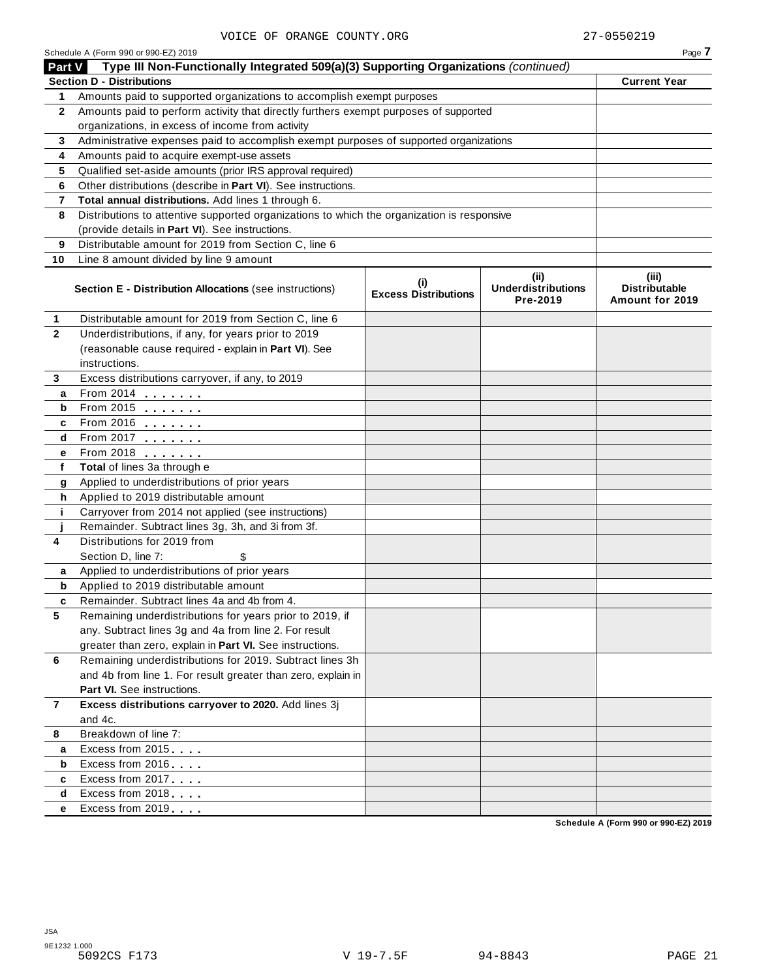|               | Schedule A (Form 990 or 990-EZ) 2019                                                                                     |                                    |                                               | Page 7                                           |
|---------------|--------------------------------------------------------------------------------------------------------------------------|------------------------------------|-----------------------------------------------|--------------------------------------------------|
| <b>Part V</b> | Type III Non-Functionally Integrated 509(a)(3) Supporting Organizations (continued)                                      |                                    |                                               |                                                  |
|               | <b>Section D - Distributions</b>                                                                                         |                                    |                                               | <b>Current Year</b>                              |
| 1.            | Amounts paid to supported organizations to accomplish exempt purposes                                                    |                                    |                                               |                                                  |
| $\mathbf{2}$  | Amounts paid to perform activity that directly furthers exempt purposes of supported                                     |                                    |                                               |                                                  |
|               | organizations, in excess of income from activity                                                                         |                                    |                                               |                                                  |
| 3             | Administrative expenses paid to accomplish exempt purposes of supported organizations                                    |                                    |                                               |                                                  |
| 4             | Amounts paid to acquire exempt-use assets                                                                                |                                    |                                               |                                                  |
| 5             | Qualified set-aside amounts (prior IRS approval required)                                                                |                                    |                                               |                                                  |
| 6             | Other distributions (describe in Part VI). See instructions.                                                             |                                    |                                               |                                                  |
| 7             | Total annual distributions. Add lines 1 through 6.                                                                       |                                    |                                               |                                                  |
| 8             | Distributions to attentive supported organizations to which the organization is responsive                               |                                    |                                               |                                                  |
|               | (provide details in Part VI). See instructions.                                                                          |                                    |                                               |                                                  |
| 9             | Distributable amount for 2019 from Section C, line 6                                                                     |                                    |                                               |                                                  |
| 10            | Line 8 amount divided by line 9 amount                                                                                   |                                    |                                               |                                                  |
|               | <b>Section E - Distribution Allocations (see instructions)</b>                                                           | (i)<br><b>Excess Distributions</b> | (ii)<br><b>Underdistributions</b><br>Pre-2019 | (iii)<br><b>Distributable</b><br>Amount for 2019 |
| 1             | Distributable amount for 2019 from Section C, line 6                                                                     |                                    |                                               |                                                  |
| $\mathbf{2}$  | Underdistributions, if any, for years prior to 2019                                                                      |                                    |                                               |                                                  |
|               | (reasonable cause required - explain in Part VI). See                                                                    |                                    |                                               |                                                  |
|               | instructions.                                                                                                            |                                    |                                               |                                                  |
| 3             | Excess distributions carryover, if any, to 2019                                                                          |                                    |                                               |                                                  |
| а             | From 2014                                                                                                                |                                    |                                               |                                                  |
| b             | From 2015                                                                                                                |                                    |                                               |                                                  |
| c             | From 2016 $\qquad \qquad \qquad$                                                                                         |                                    |                                               |                                                  |
| d             | From 2017 $\qquad \qquad \qquad$                                                                                         |                                    |                                               |                                                  |
| е             | From 2018                                                                                                                |                                    |                                               |                                                  |
| f             | Total of lines 3a through e                                                                                              |                                    |                                               |                                                  |
| g             | Applied to underdistributions of prior years                                                                             |                                    |                                               |                                                  |
| h             | Applied to 2019 distributable amount                                                                                     |                                    |                                               |                                                  |
| j.            | Carryover from 2014 not applied (see instructions)                                                                       |                                    |                                               |                                                  |
|               | Remainder. Subtract lines 3g, 3h, and 3i from 3f.                                                                        |                                    |                                               |                                                  |
| 4             | Distributions for 2019 from                                                                                              |                                    |                                               |                                                  |
|               | Section D, line 7:<br>\$                                                                                                 |                                    |                                               |                                                  |
| a             | Applied to underdistributions of prior years                                                                             |                                    |                                               |                                                  |
| b             | Applied to 2019 distributable amount                                                                                     |                                    |                                               |                                                  |
|               | Remainder. Subtract lines 4a and 4b from 4.                                                                              |                                    |                                               |                                                  |
| 5             | Remaining underdistributions for years prior to 2019, if                                                                 |                                    |                                               |                                                  |
|               | any. Subtract lines 3g and 4a from line 2. For result                                                                    |                                    |                                               |                                                  |
|               | greater than zero, explain in Part VI. See instructions.                                                                 |                                    |                                               |                                                  |
| 6             | Remaining underdistributions for 2019. Subtract lines 3h<br>and 4b from line 1. For result greater than zero, explain in |                                    |                                               |                                                  |
|               | Part VI. See instructions.                                                                                               |                                    |                                               |                                                  |
|               | Excess distributions carryover to 2020. Add lines 3j                                                                     |                                    |                                               |                                                  |
| $\mathbf{7}$  | and 4c.                                                                                                                  |                                    |                                               |                                                  |
|               | Breakdown of line 7:                                                                                                     |                                    |                                               |                                                  |
| 8             | Excess from 2015                                                                                                         |                                    |                                               |                                                  |
| a             | Excess from 2016                                                                                                         |                                    |                                               |                                                  |
| b             | Excess from 2017                                                                                                         |                                    |                                               |                                                  |
| c             | Excess from 2018                                                                                                         |                                    |                                               |                                                  |
| d             |                                                                                                                          |                                    |                                               |                                                  |
| е             | Excess from 2019                                                                                                         |                                    |                                               |                                                  |

**Schedule A (Form 990 or 990-EZ) 2019**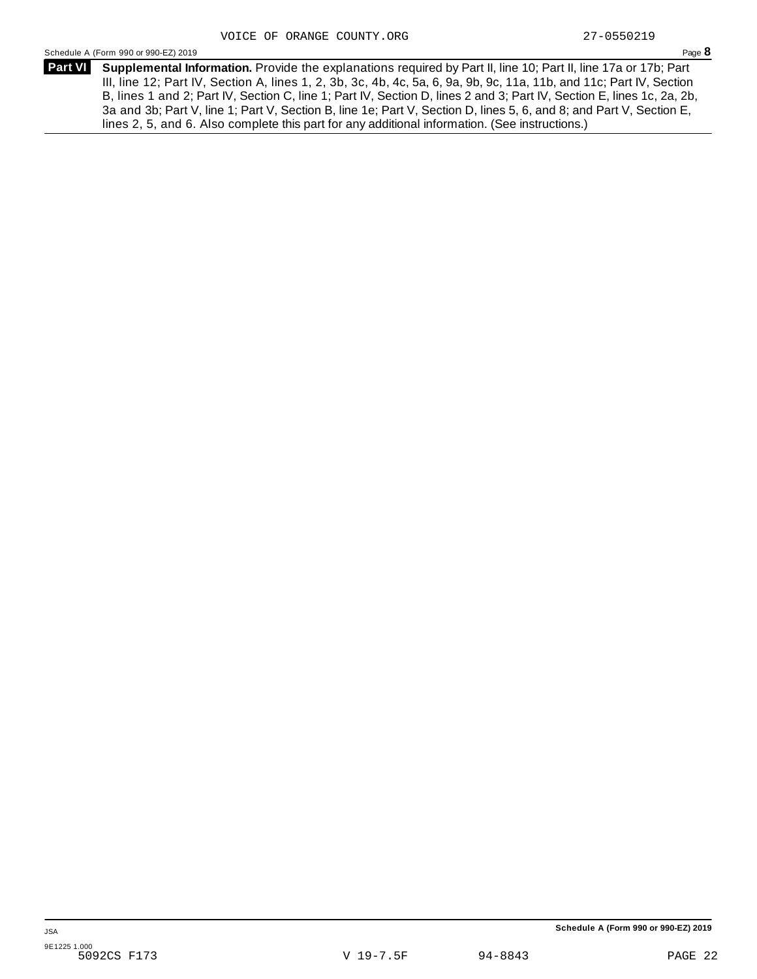Schedule <sup>A</sup> (Form <sup>990</sup> or 990-EZ) <sup>2019</sup> Page **8**

**Supplemental Information.** Provide the explanations required by Part II, line 10; Part II, line 17a or 17b; Part **Part VI** III, line 12; Part IV, Section A, lines 1, 2, 3b, 3c, 4b, 4c, 5a, 6, 9a, 9b, 9c, 11a, 11b, and 11c; Part IV, Section B, lines 1 and 2; Part IV, Section C, line 1; Part IV, Section D, lines 2 and 3; Part IV, Section E, lines 1c, 2a, 2b, 3a and 3b; Part V, line 1; Part V, Section B, line 1e; Part V, Section D, lines 5, 6, and 8; and Part V, Section E, lines 2, 5, and 6. Also complete this part for any additional information. (See instructions.)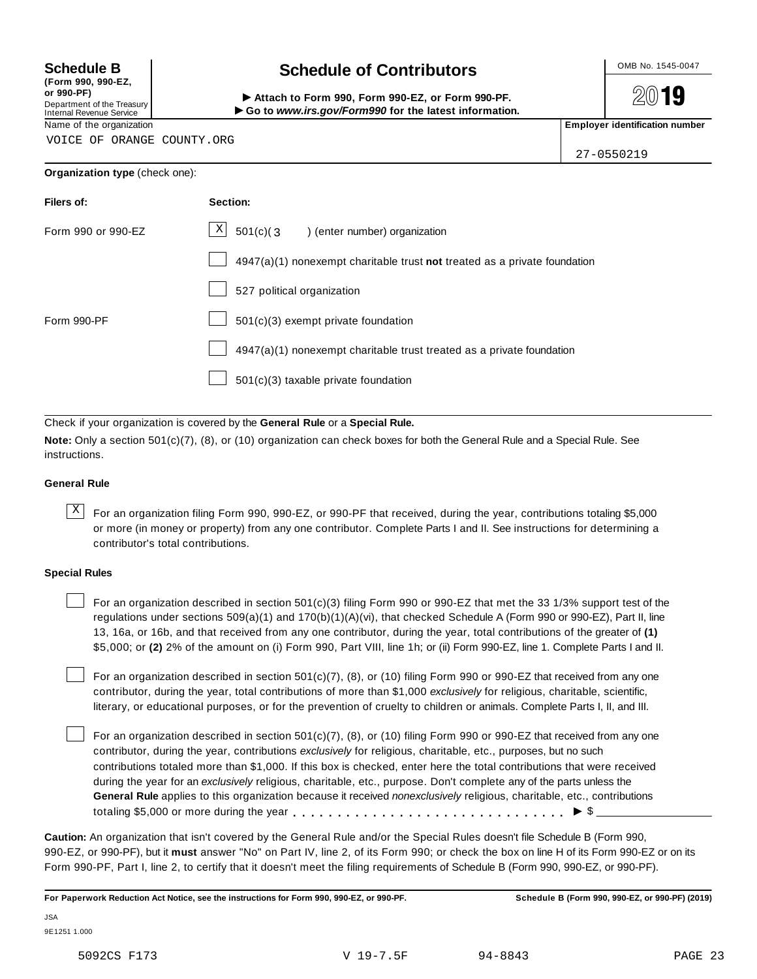**(Form 990, 990-EZ, or 990-PF)** Department of the Treasury<br>Internal Revenue Service

# **Schedule B chedule of Contributors**

(Porm 990, Form 990, Form 990-EZ, or Form 990-PF.<br>Department of the Treasury → Attach to Form 990, Form 990-EZ, or Form 990-PF.<br>Internal Revenue Service → → Go to www.irs.gov/Form990 for the latest information.<br>Name of th

2019

VOICE OF ORANGE COUNTY.ORG

27-0550219

| Organization type (check one): |  |
|--------------------------------|--|
|--------------------------------|--|

| Filers of:         | Section:                                                                    |
|--------------------|-----------------------------------------------------------------------------|
| Form 990 or 990-EZ | $\mathbf{X}$<br>$501(c)$ $(3$<br>) (enter number) organization              |
|                    | $4947(a)(1)$ nonexempt charitable trust not treated as a private foundation |
|                    | 527 political organization                                                  |
| Form 990-PF        | $501(c)(3)$ exempt private foundation                                       |
|                    | 4947(a)(1) nonexempt charitable trust treated as a private foundation       |
|                    | $501(c)(3)$ taxable private foundation                                      |

Check if your organization is covered by the **General Rule** or a **Special Rule.**

**Note:** Only a section 501(c)(7), (8), or (10) organization can check boxes for both the General Rule and a Special Rule. See instructions.

#### **General Rule**

 $\overline{X}$  For an organization filing Form 990, 990-EZ, or 990-PF that received, during the year, contributions totaling \$5,000 or more (in money or property) from any one contributor. Complete Parts I and II. See instructions for determining a contributor's total contributions.

#### **Special Rules**

For an organization described in section 501(c)(3) filing Form 990 or 990-EZ that met the 33 1/3% support test of the regulations under sections 509(a)(1) and 170(b)(1)(A)(vi), that checked Schedule A (Form 990 or 990-EZ), Part II, line 13, 16a, or 16b, and that received from any one contributor, during the year, total contributions of the greater of **(1)** \$5,000; or **(2)** 2% of the amount on (i) Form 990, Part VIII, line 1h; or (ii) Form 990-EZ, line 1. Complete Parts I and II.

For an organization described in section 501(c)(7), (8), or (10) filing Form 990 or 990-EZ that received from any one contributor, during the year, total contributions of more than \$1,000 *exclusively* for religious, charitable, scientific, literary, or educational purposes, or for the prevention of cruelty to children or animals. Complete Parts I, II, and III.

For an organization described in section 501(c)(7), (8), or (10) filing Form 990 or 990-EZ that received from any one contributor, during the year, contributions *exclusively* for religious, charitable, etc., purposes, but no such contributions totaled more than \$1,000. If this box is checked, enter here the total contributions that were received during the year for an *exclusively* religious, charitable, etc., purpose. Don't complete any of the parts unless the **General Rule** applies to this organization because it received *nonexclusively* religious, charitable, etc., contributions totaling \$5,000 or more during the year m m m m m m m m m m m m m m m m m m m m m m m m m m m m m m m I \$

**Caution:** An organization that isn't covered by the General Rule and/or the Special Rules doesn't file Schedule B (Form 990, 990-EZ, or 990-PF), but it **must** answer "No" on Part IV, line 2, of its Form 990; or check the box on line H of its Form 990-EZ or on its Form 990-PF, Part I, line 2, to certify that it doesn't meet the filing requirements of Schedule B (Form 990, 990-EZ, or 990-PF).

For Paperwork Reduction Act Notice, see the instructions for Form 990, 990-EZ, or 990-PF. Schedule B (Form 990, 990-EZ, or 990-PF) (2019)

JSA 9E1251 1.000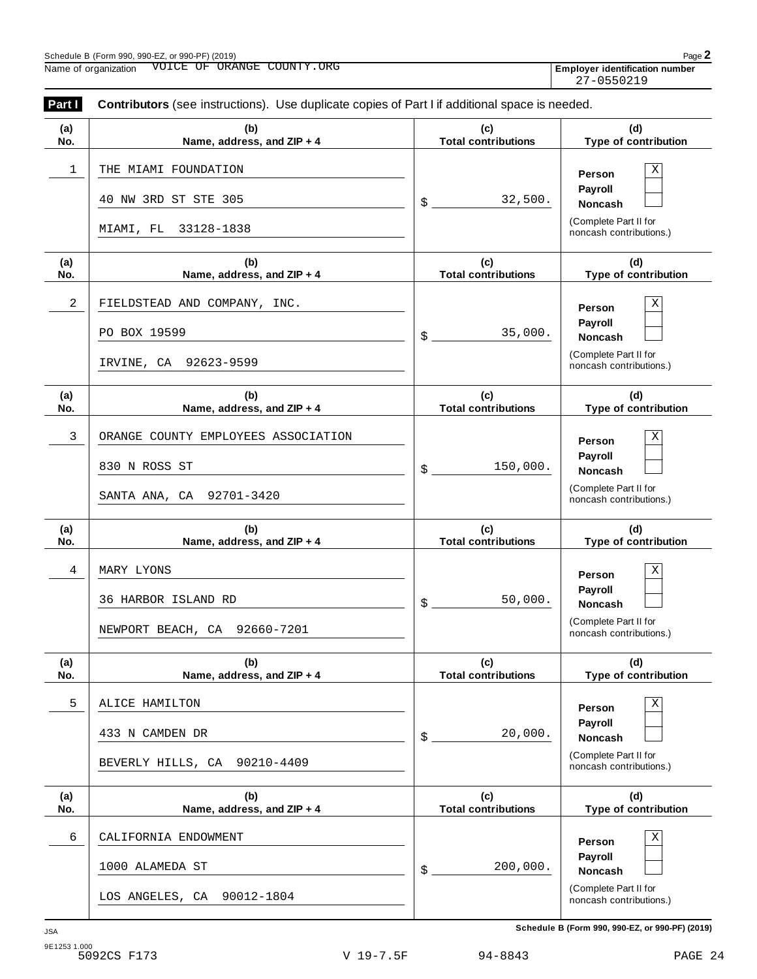Employer identification number<br>27-0550219

|            |                                     | <b>Contributors</b> (see instructions). Use duplicate copies of Part I if additional space is needed. |                                                  |  |  |  |
|------------|-------------------------------------|-------------------------------------------------------------------------------------------------------|--------------------------------------------------|--|--|--|
| (a)<br>No. | (b)<br>Name, address, and ZIP + 4   | (c)<br><b>Total contributions</b>                                                                     | (d)<br>Type of contribution                      |  |  |  |
| 1          | THE MIAMI FOUNDATION                |                                                                                                       | $\mathbf X$<br>Person                            |  |  |  |
|            | 40 NW 3RD ST STE 305                | 32,500.<br>\$                                                                                         | Payroll<br><b>Noncash</b>                        |  |  |  |
|            | 33128-1838<br>MIAMI, FL             |                                                                                                       | (Complete Part II for<br>noncash contributions.) |  |  |  |
| (a)<br>No. | (b)<br>Name, address, and ZIP + 4   | (c)<br><b>Total contributions</b>                                                                     | (d)<br>Type of contribution                      |  |  |  |
| 2          | FIELDSTEAD AND COMPANY, INC.        |                                                                                                       | $\mathbf X$<br>Person                            |  |  |  |
|            | PO BOX 19599                        | 35,000.<br>\$                                                                                         | Payroll<br><b>Noncash</b>                        |  |  |  |
|            | IRVINE, CA 92623-9599               |                                                                                                       | (Complete Part II for<br>noncash contributions.) |  |  |  |
| (a)<br>No. | (b)<br>Name, address, and ZIP + 4   | (c)<br><b>Total contributions</b>                                                                     | (d)<br>Type of contribution                      |  |  |  |
| 3          | ORANGE COUNTY EMPLOYEES ASSOCIATION |                                                                                                       | $\mathbf X$<br>Person                            |  |  |  |
|            | 830 N ROSS ST                       | 150,000.<br>\$                                                                                        | Payroll<br><b>Noncash</b>                        |  |  |  |
|            | 92701-3420<br>SANTA ANA, CA         |                                                                                                       | (Complete Part II for<br>noncash contributions.) |  |  |  |
| (a)<br>No. | (b)<br>Name, address, and ZIP + 4   | (c)<br><b>Total contributions</b>                                                                     | (d)<br>Type of contribution                      |  |  |  |
| 4          | MARY LYONS                          |                                                                                                       | $\mathbf X$<br>Person                            |  |  |  |
|            | 36 HARBOR ISLAND RD                 | 50,000.<br>\$                                                                                         | Payroll<br>Noncash                               |  |  |  |
|            | 92660-7201<br>NEWPORT BEACH, CA     |                                                                                                       | (Complete Part II for<br>noncash contributions.) |  |  |  |
| (a)        |                                     |                                                                                                       |                                                  |  |  |  |
| No.        | (b)<br>Name, address, and ZIP + 4   | (c)<br><b>Total contributions</b>                                                                     | (d)<br>Type of contribution                      |  |  |  |
| 5          | ALICE HAMILTON                      |                                                                                                       | $\mathbf X$<br>Person                            |  |  |  |
|            | 433 N CAMDEN DR                     | 20,000.<br>\$                                                                                         | Payroll<br>Noncash                               |  |  |  |
|            | 90210-4409<br>BEVERLY HILLS, CA     |                                                                                                       | (Complete Part II for<br>noncash contributions.) |  |  |  |
| (a)<br>No. | (b)<br>Name, address, and ZIP + 4   | (c)<br><b>Total contributions</b>                                                                     | (d)<br>Type of contribution                      |  |  |  |
| 6          | CALIFORNIA ENDOWMENT                |                                                                                                       | $\mathbf X$<br>Person                            |  |  |  |
|            | 1000 ALAMEDA ST                     | 200,000.<br>\$                                                                                        | Payroll<br>Noncash                               |  |  |  |

**Schedule B (Form 990, 990-EZ, or 990-PF) (2019)** JSA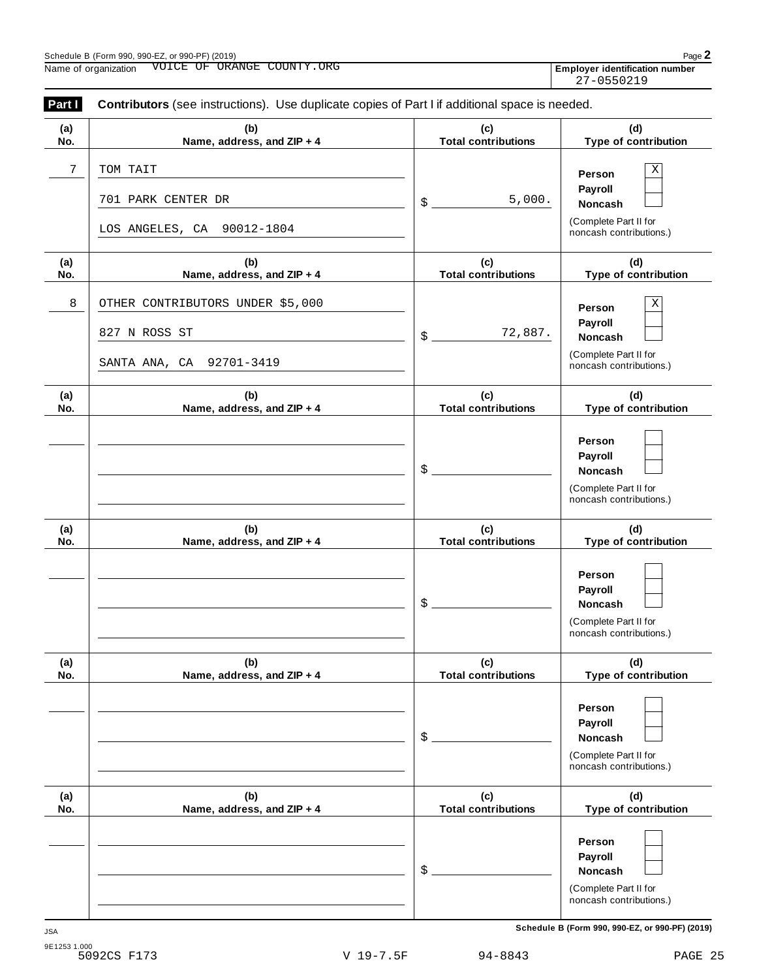| Part I     | Contributors (see instructions). Use duplicate copies of Part I if additional space is needed. |                                   |                                                                                  |  |  |  |  |
|------------|------------------------------------------------------------------------------------------------|-----------------------------------|----------------------------------------------------------------------------------|--|--|--|--|
| (a)<br>No. | (b)<br>Name, address, and ZIP + 4                                                              | (c)<br><b>Total contributions</b> | (d)<br><b>Type of contribution</b>                                               |  |  |  |  |
| 7          | TOM TAIT                                                                                       |                                   | X<br>Person<br>Payroll                                                           |  |  |  |  |
|            | 701 PARK CENTER DR<br>LOS ANGELES, CA 90012-1804                                               | 5,000.<br>\$                      | Noncash<br>(Complete Part II for<br>noncash contributions.)                      |  |  |  |  |
| (a)        | (b)                                                                                            | (c)                               | (d)                                                                              |  |  |  |  |
| No.        | Name, address, and ZIP + 4                                                                     | <b>Total contributions</b>        | Type of contribution                                                             |  |  |  |  |
| 8          | OTHER CONTRIBUTORS UNDER \$5,000                                                               |                                   | $\mathbf X$<br>Person<br>Payroll                                                 |  |  |  |  |
|            | 827 N ROSS ST<br>SANTA ANA, CA 92701-3419                                                      | 72,887.<br>$\mathsf{\$}$ .        | Noncash<br>(Complete Part II for<br>noncash contributions.)                      |  |  |  |  |
| (a)        | (b)                                                                                            | (c)                               | (d)                                                                              |  |  |  |  |
| No.        | Name, address, and ZIP + 4                                                                     | <b>Total contributions</b>        | Type of contribution                                                             |  |  |  |  |
|            |                                                                                                | \$                                | Person<br>Payroll<br>Noncash<br>(Complete Part II for                            |  |  |  |  |
| (a)        | (b)                                                                                            | (c)                               | noncash contributions.)<br>(d)                                                   |  |  |  |  |
| No.        | Name, address, and ZIP + 4                                                                     | <b>Total contributions</b>        | Type of contribution                                                             |  |  |  |  |
|            |                                                                                                | \$                                | Person<br>Payroll<br>Noncash                                                     |  |  |  |  |
|            |                                                                                                |                                   | (Complete Part II for<br>noncash contributions.)                                 |  |  |  |  |
| (a)<br>No. | (b)<br>Name, address, and ZIP + 4                                                              | (c)<br><b>Total contributions</b> | (d)<br>Type of contribution                                                      |  |  |  |  |
|            |                                                                                                | \$                                | Person<br>Payroll<br>Noncash<br>(Complete Part II for<br>noncash contributions.) |  |  |  |  |
| (a)<br>No. | (b)<br>Name, address, and ZIP + 4                                                              | (c)<br><b>Total contributions</b> | (d)<br>Type of contribution                                                      |  |  |  |  |
|            |                                                                                                | \$                                | Person<br>Payroll<br>Noncash<br>(Complete Part II for<br>noncash contributions.) |  |  |  |  |

**Schedule B (Form 990, 990-EZ, or 990-PF) (2019)** JSA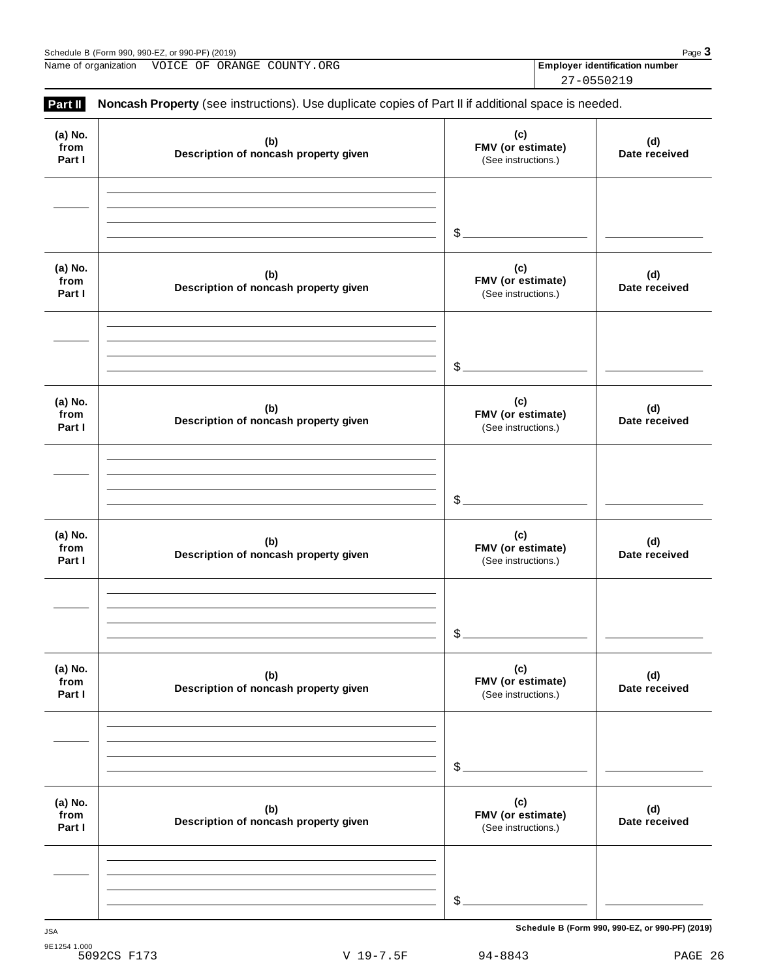| (2019) <b>۱</b><br>Schedule<br>$\alpha r$ QQ $\Omega$ - $\mathsf{P}\Gamma$<br>990.<br>റററ<br>'⊢orm ∶<br>…… カー・コー<br>- - - - - - - - - |  |     |  | Par |  |
|---------------------------------------------------------------------------------------------------------------------------------------|--|-----|--|-----|--|
| . .                                                                                                                                   |  | --- |  |     |  |

Name of organization **WOICE OF ORANGE COUNTY.ORG Employer identification number** 

27-0550219

| Part II                   | Noncash Property (see instructions). Use duplicate copies of Part II if additional space is needed. |                                                 |                      |
|---------------------------|-----------------------------------------------------------------------------------------------------|-------------------------------------------------|----------------------|
| (a) No.<br>from<br>Part I | (b)<br>Description of noncash property given                                                        | (c)<br>FMV (or estimate)<br>(See instructions.) | (d)<br>Date received |
|                           |                                                                                                     | $\frac{1}{2}$                                   |                      |
| (a) No.<br>from<br>Part I | (b)<br>Description of noncash property given                                                        | (c)<br>FMV (or estimate)<br>(See instructions.) | (d)<br>Date received |
|                           |                                                                                                     | $\frac{1}{2}$                                   |                      |
| (a) No.<br>from<br>Part I | (b)<br>Description of noncash property given                                                        | (c)<br>FMV (or estimate)<br>(See instructions.) | (d)<br>Date received |
|                           |                                                                                                     | $\frac{1}{2}$                                   |                      |
| (a) No.<br>from<br>Part I | (b)<br>Description of noncash property given                                                        | (c)<br>FMV (or estimate)<br>(See instructions.) | (d)<br>Date received |
|                           |                                                                                                     | \$.                                             |                      |
| (a) No.<br>from<br>Part I | (b)<br>Description of noncash property given                                                        | (c)<br>FMV (or estimate)<br>(See instructions.) | (d)<br>Date received |
|                           |                                                                                                     | \$                                              |                      |
| (a) No.<br>from<br>Part I | (b)<br>Description of noncash property given                                                        | (c)<br>FMV (or estimate)<br>(See instructions.) | (d)<br>Date received |
|                           |                                                                                                     | \$                                              |                      |

**Schedule B (Form 990, 990-EZ, or 990-PF) (2019)** JSA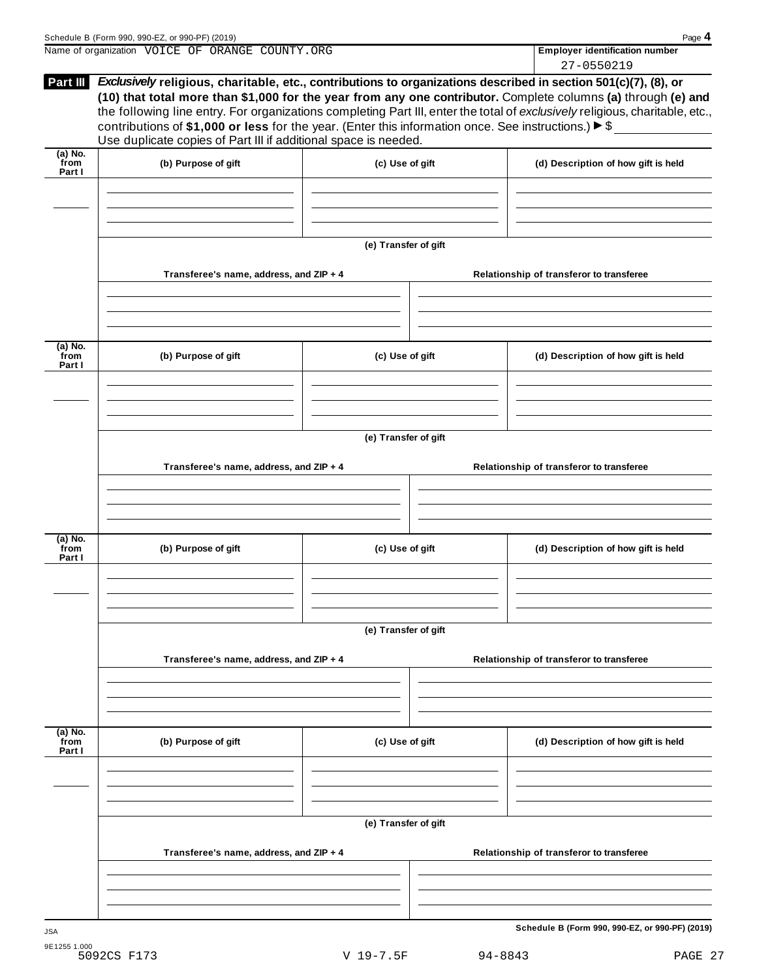|                             | Name of organization VOICE OF ORANGE COUNTY.ORG                                                                                                                                             |                      | <b>Employer identification number</b><br>27-0550219                                                                                                                                                                                                                                                                                                              |
|-----------------------------|---------------------------------------------------------------------------------------------------------------------------------------------------------------------------------------------|----------------------|------------------------------------------------------------------------------------------------------------------------------------------------------------------------------------------------------------------------------------------------------------------------------------------------------------------------------------------------------------------|
| Part III                    | contributions of \$1,000 or less for the year. (Enter this information once. See instructions.) $\blacktriangleright$ \$<br>Use duplicate copies of Part III if additional space is needed. |                      | Exclusively religious, charitable, etc., contributions to organizations described in section 501(c)(7), (8), or<br>(10) that total more than \$1,000 for the year from any one contributor. Complete columns (a) through (e) and<br>the following line entry. For organizations completing Part III, enter the total of exclusively religious, charitable, etc., |
| $(a)$ No.<br>from<br>Part I | (b) Purpose of gift                                                                                                                                                                         | (c) Use of gift      | (d) Description of how gift is held                                                                                                                                                                                                                                                                                                                              |
|                             |                                                                                                                                                                                             |                      |                                                                                                                                                                                                                                                                                                                                                                  |
|                             |                                                                                                                                                                                             | (e) Transfer of gift |                                                                                                                                                                                                                                                                                                                                                                  |
|                             | Transferee's name, address, and ZIP + 4                                                                                                                                                     |                      | Relationship of transferor to transferee                                                                                                                                                                                                                                                                                                                         |
| (a) No.<br>from<br>Part I   | (b) Purpose of gift                                                                                                                                                                         | (c) Use of gift      | (d) Description of how gift is held                                                                                                                                                                                                                                                                                                                              |
|                             |                                                                                                                                                                                             |                      |                                                                                                                                                                                                                                                                                                                                                                  |
|                             |                                                                                                                                                                                             | (e) Transfer of gift |                                                                                                                                                                                                                                                                                                                                                                  |
|                             | Transferee's name, address, and ZIP + 4                                                                                                                                                     |                      | Relationship of transferor to transferee                                                                                                                                                                                                                                                                                                                         |
| $(a)$ No.<br>from<br>Part I | (b) Purpose of gift                                                                                                                                                                         | (c) Use of gift      | (d) Description of how gift is held                                                                                                                                                                                                                                                                                                                              |
|                             |                                                                                                                                                                                             | (e) Transfer of gift |                                                                                                                                                                                                                                                                                                                                                                  |
|                             | Transferee's name, address, and ZIP + 4                                                                                                                                                     |                      | Relationship of transferor to transferee                                                                                                                                                                                                                                                                                                                         |
| (a) No.                     |                                                                                                                                                                                             |                      |                                                                                                                                                                                                                                                                                                                                                                  |
| from<br>Part I              | (b) Purpose of gift                                                                                                                                                                         | (c) Use of gift      | (d) Description of how gift is held                                                                                                                                                                                                                                                                                                                              |
|                             |                                                                                                                                                                                             | (e) Transfer of gift |                                                                                                                                                                                                                                                                                                                                                                  |
|                             | Transferee's name, address, and ZIP + 4                                                                                                                                                     |                      | Relationship of transferor to transferee                                                                                                                                                                                                                                                                                                                         |
|                             |                                                                                                                                                                                             |                      |                                                                                                                                                                                                                                                                                                                                                                  |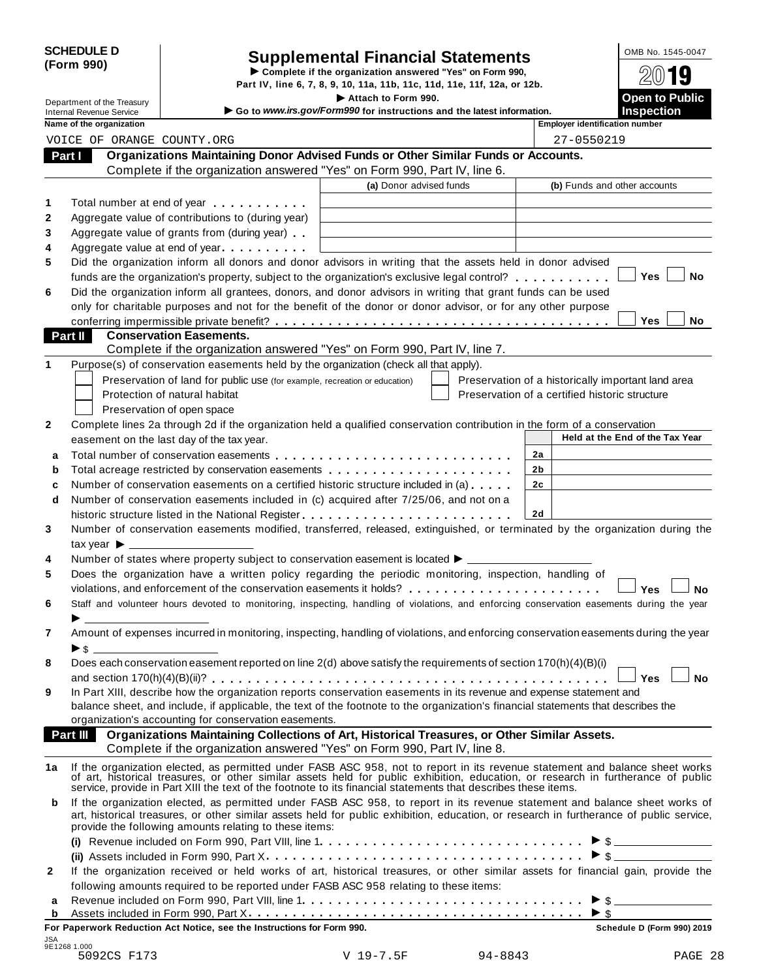|            | <b>SCHEDULE D</b> |
|------------|-------------------|
| (Form 990) |                   |

# SCHEDULE D<br>
Supplemental Financial Statements<br>
Form 990)<br>
Part IV, line 6, 7, 8, 9, 10, 11a, 11b, 11c, 11d, 11e, 11f, 12a, or 12b.<br>
Part IV, line 6, 7, 8, 9, 10, 11a, 11b, 11c, 11d, 11e, 11f, 12a, or 12b.

Department of the Treasury **I Attach 1990.** The S. 7, 8, 9, 10, 11a, 11b, 11c, 11d, 11e, 11f, 12a, or 12b.<br> **Department of the Treasury Inches Containery Containery Containery Containery Containery Containery** 

| Part I<br>1<br>2 | Department of the Treasury<br><b>Internal Revenue Service</b><br>Name of the organization<br>VOICE OF ORANGE COUNTY.ORG |                                                                                                                                                                                                                                                                        | Go to www.irs.gov/Form990 for instructions and the latest information. | <b>Employer identification number</b>              | <b>Inspection</b>               |
|------------------|-------------------------------------------------------------------------------------------------------------------------|------------------------------------------------------------------------------------------------------------------------------------------------------------------------------------------------------------------------------------------------------------------------|------------------------------------------------------------------------|----------------------------------------------------|---------------------------------|
|                  |                                                                                                                         |                                                                                                                                                                                                                                                                        |                                                                        |                                                    |                                 |
|                  |                                                                                                                         |                                                                                                                                                                                                                                                                        |                                                                        |                                                    |                                 |
|                  |                                                                                                                         |                                                                                                                                                                                                                                                                        |                                                                        | 27-0550219                                         |                                 |
|                  |                                                                                                                         | Organizations Maintaining Donor Advised Funds or Other Similar Funds or Accounts.                                                                                                                                                                                      |                                                                        |                                                    |                                 |
|                  |                                                                                                                         | Complete if the organization answered "Yes" on Form 990, Part IV, line 6.                                                                                                                                                                                              |                                                                        |                                                    |                                 |
|                  |                                                                                                                         |                                                                                                                                                                                                                                                                        | (a) Donor advised funds                                                | (b) Funds and other accounts                       |                                 |
|                  |                                                                                                                         | Total number at end of year manufacturers.                                                                                                                                                                                                                             |                                                                        |                                                    |                                 |
|                  |                                                                                                                         | Aggregate value of contributions to (during year)                                                                                                                                                                                                                      |                                                                        |                                                    |                                 |
| 3                |                                                                                                                         | Aggregate value of grants from (during year)                                                                                                                                                                                                                           |                                                                        |                                                    |                                 |
| 4                |                                                                                                                         | Aggregate value at end of year                                                                                                                                                                                                                                         |                                                                        |                                                    |                                 |
| 5                |                                                                                                                         | Did the organization inform all donors and donor advisors in writing that the assets held in donor advised                                                                                                                                                             |                                                                        |                                                    |                                 |
|                  |                                                                                                                         | funds are the organization's property, subject to the organization's exclusive legal control?                                                                                                                                                                          |                                                                        |                                                    | Yes<br>No                       |
| 6                |                                                                                                                         | Did the organization inform all grantees, donors, and donor advisors in writing that grant funds can be used                                                                                                                                                           |                                                                        |                                                    |                                 |
|                  |                                                                                                                         | only for charitable purposes and not for the benefit of the donor or donor advisor, or for any other purpose                                                                                                                                                           |                                                                        |                                                    |                                 |
|                  |                                                                                                                         |                                                                                                                                                                                                                                                                        |                                                                        |                                                    | Yes<br>No                       |
| Part II          |                                                                                                                         | <b>Conservation Easements.</b>                                                                                                                                                                                                                                         |                                                                        |                                                    |                                 |
|                  |                                                                                                                         | Complete if the organization answered "Yes" on Form 990, Part IV, line 7.                                                                                                                                                                                              |                                                                        |                                                    |                                 |
| 1                |                                                                                                                         | Purpose(s) of conservation easements held by the organization (check all that apply).                                                                                                                                                                                  |                                                                        |                                                    |                                 |
|                  |                                                                                                                         | Preservation of land for public use (for example, recreation or education)                                                                                                                                                                                             |                                                                        | Preservation of a historically important land area |                                 |
|                  |                                                                                                                         | Protection of natural habitat                                                                                                                                                                                                                                          |                                                                        | Preservation of a certified historic structure     |                                 |
|                  |                                                                                                                         | Preservation of open space                                                                                                                                                                                                                                             |                                                                        |                                                    |                                 |
| 2                |                                                                                                                         | Complete lines 2a through 2d if the organization held a qualified conservation contribution in the form of a conservation                                                                                                                                              |                                                                        |                                                    |                                 |
|                  |                                                                                                                         | easement on the last day of the tax year.                                                                                                                                                                                                                              |                                                                        |                                                    | Held at the End of the Tax Year |
| a                |                                                                                                                         |                                                                                                                                                                                                                                                                        |                                                                        | 2a                                                 |                                 |
| b                |                                                                                                                         | Total acreage restricted by conservation easements                                                                                                                                                                                                                     |                                                                        | 2b                                                 |                                 |
| c                |                                                                                                                         | Number of conservation easements on a certified historic structure included in (a)                                                                                                                                                                                     |                                                                        | 2 <sub>c</sub>                                     |                                 |
| d                |                                                                                                                         | Number of conservation easements included in (c) acquired after 7/25/06, and not on a                                                                                                                                                                                  |                                                                        |                                                    |                                 |
|                  |                                                                                                                         |                                                                                                                                                                                                                                                                        |                                                                        | <b>2d</b>                                          |                                 |
| 3                |                                                                                                                         | Number of conservation easements modified, transferred, released, extinguished, or terminated by the organization during the                                                                                                                                           |                                                                        |                                                    |                                 |
|                  |                                                                                                                         |                                                                                                                                                                                                                                                                        |                                                                        |                                                    |                                 |
| 4                |                                                                                                                         | Number of states where property subject to conservation easement is located $\blacktriangleright$ ______                                                                                                                                                               |                                                                        |                                                    |                                 |
| 5                |                                                                                                                         | Does the organization have a written policy regarding the periodic monitoring, inspection, handling of                                                                                                                                                                 |                                                                        |                                                    |                                 |
|                  |                                                                                                                         | violations, and enforcement of the conservation easements it holds?                                                                                                                                                                                                    |                                                                        |                                                    | Yes<br>No                       |
| 6                |                                                                                                                         | Staff and volunteer hours devoted to monitoring, inspecting, handling of violations, and enforcing conservation easements during the year                                                                                                                              |                                                                        |                                                    |                                 |
|                  |                                                                                                                         |                                                                                                                                                                                                                                                                        |                                                                        |                                                    |                                 |
| 7                |                                                                                                                         | Amount of expenses incurred in monitoring, inspecting, handling of violations, and enforcing conservation easements during the year                                                                                                                                    |                                                                        |                                                    |                                 |
|                  | ▶\$                                                                                                                     |                                                                                                                                                                                                                                                                        |                                                                        |                                                    |                                 |
| 8                |                                                                                                                         | Does each conservation easement reported on line 2(d) above satisfy the requirements of section 170(h)(4)(B)(i)                                                                                                                                                        |                                                                        |                                                    |                                 |
|                  |                                                                                                                         |                                                                                                                                                                                                                                                                        |                                                                        |                                                    | No<br>Yes                       |
| 9                |                                                                                                                         | In Part XIII, describe how the organization reports conservation easements in its revenue and expense statement and                                                                                                                                                    |                                                                        |                                                    |                                 |
|                  |                                                                                                                         | balance sheet, and include, if applicable, the text of the footnote to the organization's financial statements that describes the                                                                                                                                      |                                                                        |                                                    |                                 |
|                  |                                                                                                                         | organization's accounting for conservation easements.                                                                                                                                                                                                                  |                                                                        |                                                    |                                 |
|                  | Part III                                                                                                                | Organizations Maintaining Collections of Art, Historical Treasures, or Other Similar Assets.                                                                                                                                                                           |                                                                        |                                                    |                                 |
|                  |                                                                                                                         | Complete if the organization answered "Yes" on Form 990, Part IV, line 8.                                                                                                                                                                                              |                                                                        |                                                    |                                 |
| 1a               |                                                                                                                         | If the organization elected, as permitted under FASB ASC 958, not to report in its revenue statement and balance sheet works                                                                                                                                           |                                                                        |                                                    |                                 |
|                  |                                                                                                                         | of art, historical treasures, or other similar assets held for public exhibition, education, or research in furtherance of public                                                                                                                                      |                                                                        |                                                    |                                 |
|                  |                                                                                                                         | service, provide in Part XIII the text of the footnote to its financial statements that describes these items.                                                                                                                                                         |                                                                        |                                                    |                                 |
| b                |                                                                                                                         | If the organization elected, as permitted under FASB ASC 958, to report in its revenue statement and balance sheet works of<br>art, historical treasures, or other similar assets held for public exhibition, education, or research in furtherance of public service, |                                                                        |                                                    |                                 |
|                  |                                                                                                                         | provide the following amounts relating to these items:                                                                                                                                                                                                                 |                                                                        |                                                    |                                 |
|                  |                                                                                                                         | (i) Revenue included on Form 990, Part VIII, line $1, \ldots, \ldots, \ldots, \ldots, \ldots, \ldots, \ldots, \ldots, \ldots$                                                                                                                                          |                                                                        |                                                    | $\triangleright$ \$             |
|                  |                                                                                                                         |                                                                                                                                                                                                                                                                        |                                                                        |                                                    | $\triangleright$ \$             |
| 2                |                                                                                                                         | If the organization received or held works of art, historical treasures, or other similar assets for financial gain, provide the                                                                                                                                       |                                                                        |                                                    |                                 |
|                  |                                                                                                                         | following amounts required to be reported under FASB ASC 958 relating to these items:                                                                                                                                                                                  |                                                                        |                                                    |                                 |
|                  |                                                                                                                         |                                                                                                                                                                                                                                                                        |                                                                        |                                                    | $\triangleright$ \$             |
| а                |                                                                                                                         |                                                                                                                                                                                                                                                                        |                                                                        |                                                    |                                 |

**For Paperwork Reduction Act Notice, see the Instructions for Form 990. Schedule D (Form 990) 2019**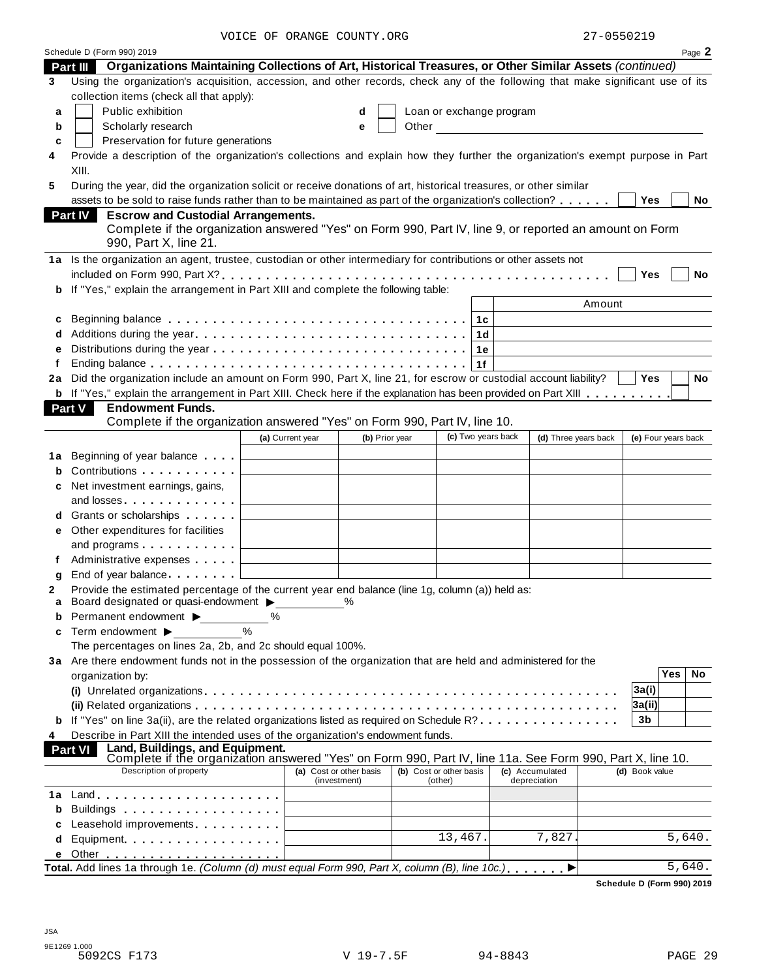VOICE OF ORANGE COUNTY.ORG 27-0550219

|         | Schedule D (Form 990) 2019                                                                                                                                 |                                     |               |                |       |                          |                |                                             |                     |            | Page 2    |
|---------|------------------------------------------------------------------------------------------------------------------------------------------------------------|-------------------------------------|---------------|----------------|-------|--------------------------|----------------|---------------------------------------------|---------------------|------------|-----------|
|         | Part III Organizations Maintaining Collections of Art, Historical Treasures, or Other Similar Assets (continued)                                           |                                     |               |                |       |                          |                |                                             |                     |            |           |
| 3       | Using the organization's acquisition, accession, and other records, check any of the following that make significant use of its                            |                                     |               |                |       |                          |                |                                             |                     |            |           |
|         | collection items (check all that apply):                                                                                                                   |                                     |               |                |       |                          |                |                                             |                     |            |           |
| a       | Public exhibition                                                                                                                                          |                                     | d             |                |       | Loan or exchange program |                |                                             |                     |            |           |
| b       | Scholarly research                                                                                                                                         |                                     | е             |                | Other |                          |                | <u> 1980 - Jan Samuel Barbara, martin a</u> |                     |            |           |
| c       | Preservation for future generations                                                                                                                        |                                     |               |                |       |                          |                |                                             |                     |            |           |
| 4       | Provide a description of the organization's collections and explain how they further the organization's exempt purpose in Part                             |                                     |               |                |       |                          |                |                                             |                     |            |           |
|         | XIII.<br>During the year, did the organization solicit or receive donations of art, historical treasures, or other similar                                 |                                     |               |                |       |                          |                |                                             |                     |            |           |
| 5       | assets to be sold to raise funds rather than to be maintained as part of the organization's collection?                                                    |                                     |               |                |       |                          |                |                                             | <b>Yes</b>          |            | No        |
|         | Part IV<br><b>Escrow and Custodial Arrangements.</b>                                                                                                       |                                     |               |                |       |                          |                |                                             |                     |            |           |
|         | Complete if the organization answered "Yes" on Form 990, Part IV, line 9, or reported an amount on Form                                                    |                                     |               |                |       |                          |                |                                             |                     |            |           |
|         | 990, Part X, line 21.                                                                                                                                      |                                     |               |                |       |                          |                |                                             |                     |            |           |
|         | 1a Is the organization an agent, trustee, custodian or other intermediary for contributions or other assets not                                            |                                     |               |                |       |                          |                |                                             |                     |            |           |
|         |                                                                                                                                                            |                                     |               |                |       |                          |                |                                             | Yes                 |            | No        |
|         | If "Yes," explain the arrangement in Part XIII and complete the following table:                                                                           |                                     |               |                |       |                          |                |                                             |                     |            |           |
|         |                                                                                                                                                            |                                     |               |                |       |                          |                | Amount                                      |                     |            |           |
| c       |                                                                                                                                                            |                                     |               |                |       |                          | 1c             |                                             |                     |            |           |
| d       |                                                                                                                                                            |                                     |               |                |       |                          | 1 <sub>d</sub> |                                             |                     |            |           |
| e       |                                                                                                                                                            |                                     |               |                |       |                          | 1e             |                                             |                     |            |           |
| f       |                                                                                                                                                            |                                     |               |                |       |                          | 1f             |                                             |                     |            |           |
| 2a      | Did the organization include an amount on Form 990, Part X, line 21, for escrow or custodial account liability?                                            |                                     |               |                |       |                          |                |                                             | Yes                 |            | <b>No</b> |
|         | <b>b</b> If "Yes," explain the arrangement in Part XIII. Check here if the explanation has been provided on Part XIII<br>Part V<br><b>Endowment Funds.</b> |                                     |               |                |       |                          |                |                                             |                     |            |           |
|         | Complete if the organization answered "Yes" on Form 990, Part IV, line 10.                                                                                 |                                     |               |                |       |                          |                |                                             |                     |            |           |
|         |                                                                                                                                                            | (a) Current year                    |               | (b) Prior year |       | (c) Two years back       |                | (d) Three years back                        | (e) Four years back |            |           |
|         | Beginning of year balance $\qquad \qquad \Box$                                                                                                             | the contract of the contract of the |               |                |       |                          |                |                                             |                     |            |           |
| 1a<br>b | Contributions $\begin{array}{ccc} \hline \end{array}$                                                                                                      |                                     |               |                |       |                          |                |                                             |                     |            |           |
| c       | Net investment earnings, gains,                                                                                                                            |                                     |               |                |       |                          |                |                                             |                     |            |           |
|         | and losses $\ldots$ $\ldots$ $\ldots$ $\ldots$                                                                                                             |                                     |               |                |       |                          |                |                                             |                     |            |           |
| d       | Grants or scholarships $\ldots$                                                                                                                            |                                     |               |                |       |                          |                |                                             |                     |            |           |
| е       | Other expenditures for facilities                                                                                                                          |                                     |               |                |       |                          |                |                                             |                     |            |           |
|         | and programs $\ldots \ldots \ldots$                                                                                                                        |                                     |               |                |       |                          |                |                                             |                     |            |           |
|         | Administrative expenses <u>  _ _ _ _ _ _ _ _ _ _</u>                                                                                                       |                                     |               |                |       |                          |                |                                             |                     |            |           |
| g       |                                                                                                                                                            |                                     |               |                |       |                          |                |                                             |                     |            |           |
| 2       | Provide the estimated percentage of the current year end balance (line 1g, column (a)) held as:                                                            |                                     |               |                |       |                          |                |                                             |                     |            |           |
| a       | Board designated or quasi-endowment >                                                                                                                      |                                     | $\frac{0}{0}$ |                |       |                          |                |                                             |                     |            |           |
| b       | Permanent endowment ><br>$\%$<br>Term endowment ▶                                                                                                          | ℅                                   |               |                |       |                          |                |                                             |                     |            |           |
| c       | The percentages on lines 2a, 2b, and 2c should equal 100%.                                                                                                 |                                     |               |                |       |                          |                |                                             |                     |            |           |
|         | 3a Are there endowment funds not in the possession of the organization that are held and administered for the                                              |                                     |               |                |       |                          |                |                                             |                     |            |           |
|         | organization by:                                                                                                                                           |                                     |               |                |       |                          |                |                                             |                     | <b>Yes</b> | No        |
|         |                                                                                                                                                            |                                     |               |                |       |                          |                |                                             | 3a(i)               |            |           |
|         |                                                                                                                                                            |                                     |               |                |       |                          |                |                                             | 3a(ii)              |            |           |
| b       | If "Yes" on line 3a(ii), are the related organizations listed as required on Schedule R?                                                                   |                                     |               |                |       |                          |                |                                             | 3 <sub>b</sub>      |            |           |
| 4       | Describe in Part XIII the intended uses of the organization's endowment funds.                                                                             |                                     |               |                |       |                          |                |                                             |                     |            |           |
|         | Land, Buildings, and Equipment.<br>Part VI<br>Complete if the organization answered "Yes" on Form 990, Part IV, line 11a. See Form 990, Part X, line 10.   |                                     |               |                |       |                          |                |                                             |                     |            |           |
|         | Description of property                                                                                                                                    | (a) Cost or other basis             |               |                |       | (b) Cost or other basis  |                | (c) Accumulated                             | (d) Book value      |            |           |
|         |                                                                                                                                                            |                                     | (investment)  |                |       | (other)                  |                | depreciation                                |                     |            |           |
| 1a      |                                                                                                                                                            |                                     |               |                |       |                          |                |                                             |                     |            |           |
| b       |                                                                                                                                                            |                                     |               |                |       |                          |                |                                             |                     |            |           |
| c       | Leasehold improvements experiences                                                                                                                         |                                     |               |                |       | 13,467.                  |                | 7,827                                       |                     |            | 5,640.    |
| d       | Equipment                                                                                                                                                  |                                     |               |                |       |                          |                |                                             |                     |            |           |
| е       | Total. Add lines 1a through 1e. (Column (d) must equal Form 990, Part X, column (B), line 10c.)                                                            |                                     |               |                |       |                          |                |                                             |                     |            | 5,640.    |
|         |                                                                                                                                                            |                                     |               |                |       |                          |                |                                             |                     |            |           |

**Schedule D (Form 990) 2019**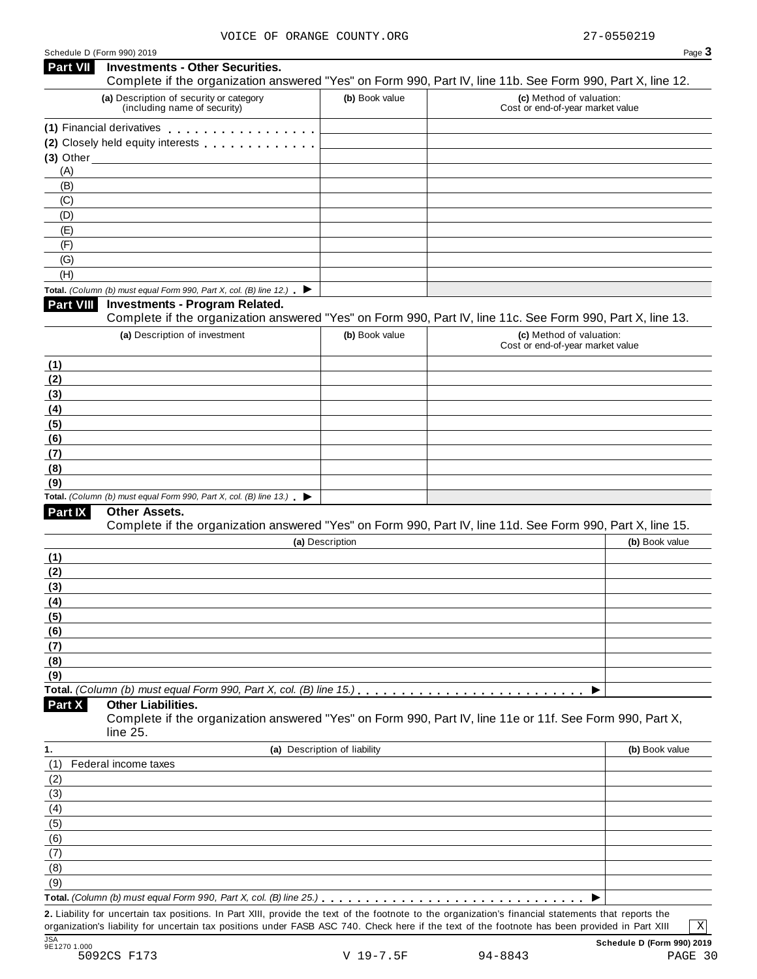| Schedule D (Form 990) 2019 |
|----------------------------|
|----------------------------|

|                                                                       | <b>Investments - Other Securities.</b>                                                   |                              | Complete if the organization answered "Yes" on Form 990, Part IV, line 11b. See Form 990, Part X, line 12. |
|-----------------------------------------------------------------------|------------------------------------------------------------------------------------------|------------------------------|------------------------------------------------------------------------------------------------------------|
|                                                                       | (a) Description of security or category<br>(including name of security)                  | (b) Book value               | (c) Method of valuation:<br>Cost or end-of-year market value                                               |
|                                                                       | (1) Financial derivatives                                                                |                              |                                                                                                            |
|                                                                       | (2) Closely held equity interests                                                        |                              |                                                                                                            |
|                                                                       | $(3)$ Other                                                                              |                              |                                                                                                            |
| (A)                                                                   |                                                                                          |                              |                                                                                                            |
| (B)                                                                   |                                                                                          |                              |                                                                                                            |
| (C)                                                                   |                                                                                          |                              |                                                                                                            |
| (D)<br>(E)                                                            |                                                                                          |                              |                                                                                                            |
| (F)                                                                   |                                                                                          |                              |                                                                                                            |
| (G)                                                                   |                                                                                          |                              |                                                                                                            |
| (H)                                                                   |                                                                                          |                              |                                                                                                            |
|                                                                       | Total. (Column (b) must equal Form 990, Part X, col. (B) line 12.) $\blacktriangleright$ |                              |                                                                                                            |
| <b>Part VIII</b>                                                      | <b>Investments - Program Related.</b>                                                    |                              | Complete if the organization answered "Yes" on Form 990, Part IV, line 11c. See Form 990, Part X, line 13. |
|                                                                       | (a) Description of investment                                                            | (b) Book value               | (c) Method of valuation:                                                                                   |
|                                                                       |                                                                                          |                              | Cost or end-of-year market value                                                                           |
| (1)                                                                   |                                                                                          |                              |                                                                                                            |
| (2)                                                                   |                                                                                          |                              |                                                                                                            |
| (3)                                                                   |                                                                                          |                              |                                                                                                            |
| (4)<br>(5)                                                            |                                                                                          |                              |                                                                                                            |
| (6)                                                                   |                                                                                          |                              |                                                                                                            |
| (7)                                                                   |                                                                                          |                              |                                                                                                            |
| (8)                                                                   |                                                                                          |                              |                                                                                                            |
| (9)                                                                   |                                                                                          |                              |                                                                                                            |
|                                                                       | Total. (Column (b) must equal Form 990, Part X, col. (B) line 13.) $\blacktriangleright$ |                              |                                                                                                            |
|                                                                       |                                                                                          |                              |                                                                                                            |
| Part IX                                                               | Other Assets.                                                                            |                              | Complete if the organization answered "Yes" on Form 990, Part IV, line 11d. See Form 990, Part X, line 15. |
|                                                                       |                                                                                          | (a) Description              | (b) Book value                                                                                             |
|                                                                       |                                                                                          |                              |                                                                                                            |
|                                                                       |                                                                                          |                              |                                                                                                            |
|                                                                       |                                                                                          |                              |                                                                                                            |
|                                                                       |                                                                                          |                              |                                                                                                            |
|                                                                       |                                                                                          |                              |                                                                                                            |
|                                                                       |                                                                                          |                              |                                                                                                            |
|                                                                       |                                                                                          |                              |                                                                                                            |
|                                                                       |                                                                                          |                              |                                                                                                            |
|                                                                       |                                                                                          |                              | ▶                                                                                                          |
| (1)<br>(2)<br>(3)<br>(4)<br>(5)<br>(6)<br>(7)<br>(8)<br>(9)<br>Part X | <b>Other Liabilities.</b>                                                                |                              | Complete if the organization answered "Yes" on Form 990, Part IV, line 11e or 11f. See Form 990, Part X,   |
|                                                                       | line 25.                                                                                 |                              |                                                                                                            |
|                                                                       |                                                                                          | (a) Description of liability | (b) Book value                                                                                             |
|                                                                       | Federal income taxes                                                                     |                              |                                                                                                            |
|                                                                       |                                                                                          |                              |                                                                                                            |
|                                                                       |                                                                                          |                              |                                                                                                            |
|                                                                       |                                                                                          |                              |                                                                                                            |
|                                                                       |                                                                                          |                              |                                                                                                            |
| (1)<br>(2)<br>(3)<br>(4)<br>(5)<br>(6)<br>(7)                         |                                                                                          |                              |                                                                                                            |
| (8)                                                                   |                                                                                          |                              |                                                                                                            |
| (9)                                                                   |                                                                                          |                              |                                                                                                            |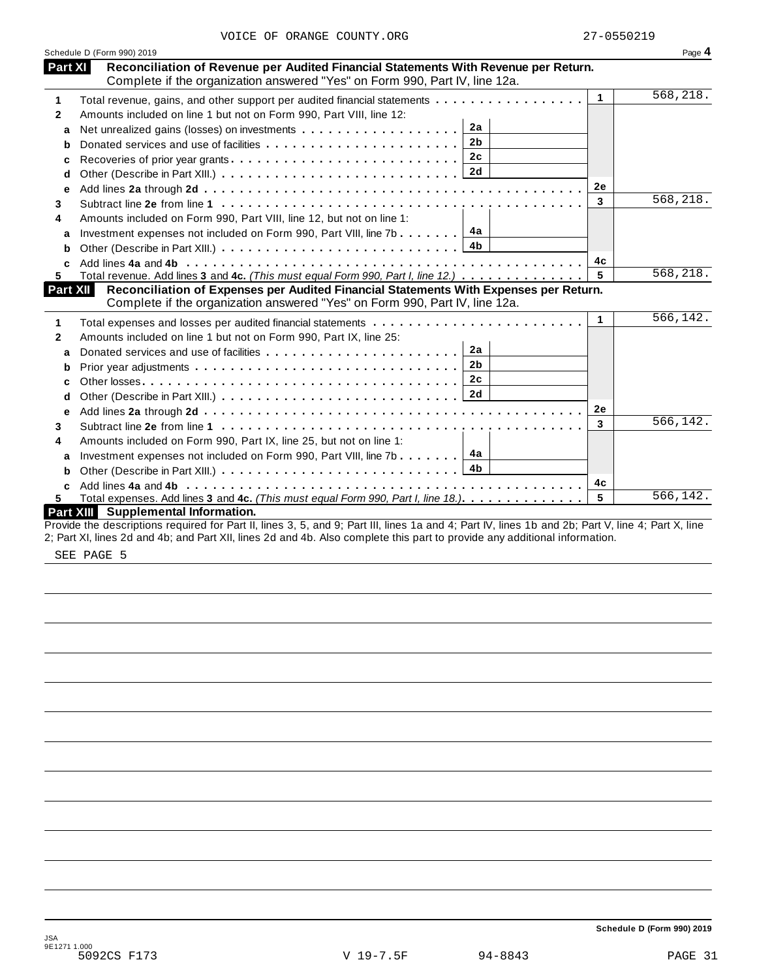|              | Schedule D (Form 990) 2019                                                                                                                                         |                      | Page 4    |
|--------------|--------------------------------------------------------------------------------------------------------------------------------------------------------------------|----------------------|-----------|
| Part XI      | Reconciliation of Revenue per Audited Financial Statements With Revenue per Return.<br>Complete if the organization answered "Yes" on Form 990, Part IV, line 12a. |                      |           |
| 1            | Total revenue, gains, and other support per audited financial statements                                                                                           | $\blacktriangleleft$ | 568, 218. |
| $\mathbf{2}$ | Amounts included on line 1 but not on Form 990, Part VIII, line 12:                                                                                                |                      |           |
| a            | 2a                                                                                                                                                                 |                      |           |
| b            | 2 <sub>b</sub><br>Donated services and use of facilities                                                                                                           |                      |           |
| c            | 2c                                                                                                                                                                 |                      |           |
| d            |                                                                                                                                                                    |                      |           |
| e            |                                                                                                                                                                    | 2e                   |           |
| 3            |                                                                                                                                                                    | 3                    | 568,218.  |
| 4            | Amounts included on Form 990, Part VIII, line 12, but not on line 1:                                                                                               |                      |           |
| a            | Investment expenses not included on Form 990, Part VIII, line 7b $\boxed{4a}$                                                                                      |                      |           |
| b            |                                                                                                                                                                    |                      |           |
| C            |                                                                                                                                                                    | 4c                   |           |
| 5.           | Total revenue. Add lines 3 and 4c. (This must equal Form 990, Part I, line 12.)                                                                                    | 5                    | 568,218.  |
| Part XII     | Reconciliation of Expenses per Audited Financial Statements With Expenses per Return.                                                                              |                      |           |
|              | Complete if the organization answered "Yes" on Form 990, Part IV, line 12a.                                                                                        |                      |           |
| 1            |                                                                                                                                                                    | $\mathbf{1}$         | 566,142.  |
| $\mathbf{2}$ | Amounts included on line 1 but not on Form 990, Part IX, line 25:                                                                                                  |                      |           |
| a            | 2a                                                                                                                                                                 |                      |           |
| b            | 2 <sub>b</sub>                                                                                                                                                     |                      |           |
| c            | 2c                                                                                                                                                                 |                      |           |
| d            |                                                                                                                                                                    |                      |           |
| е            |                                                                                                                                                                    | <b>2e</b>            |           |
| 3            |                                                                                                                                                                    | 3                    | 566, 142. |
| 4            | Amounts included on Form 990, Part IX, line 25, but not on line 1:                                                                                                 |                      |           |
| a            | 4a<br>Investment expenses not included on Form 990, Part VIII, line 7b                                                                                             |                      |           |
| b            |                                                                                                                                                                    |                      |           |
| C            |                                                                                                                                                                    | 4c                   |           |
| 5.           | Total expenses. Add lines 3 and 4c. (This must equal Form 990, Part I, line 18.).                                                                                  | 5                    | 566,142.  |
|              | <b>Part XIII</b> Supplemental Information.                                                                                                                         |                      |           |
|              | Provide the descriptions required for Part II, lines 3, 5, and 9; Part III, lines 1a and 4; Part IV, lines 1b and 2b; Part V, line 4; Part X, line                 |                      |           |
|              | 2; Part XI, lines 2d and 4b; and Part XII, lines 2d and 4b. Also complete this part to provide any additional information.                                         |                      |           |

SEE PAGE 5

**Schedule D (Form 990) 2019**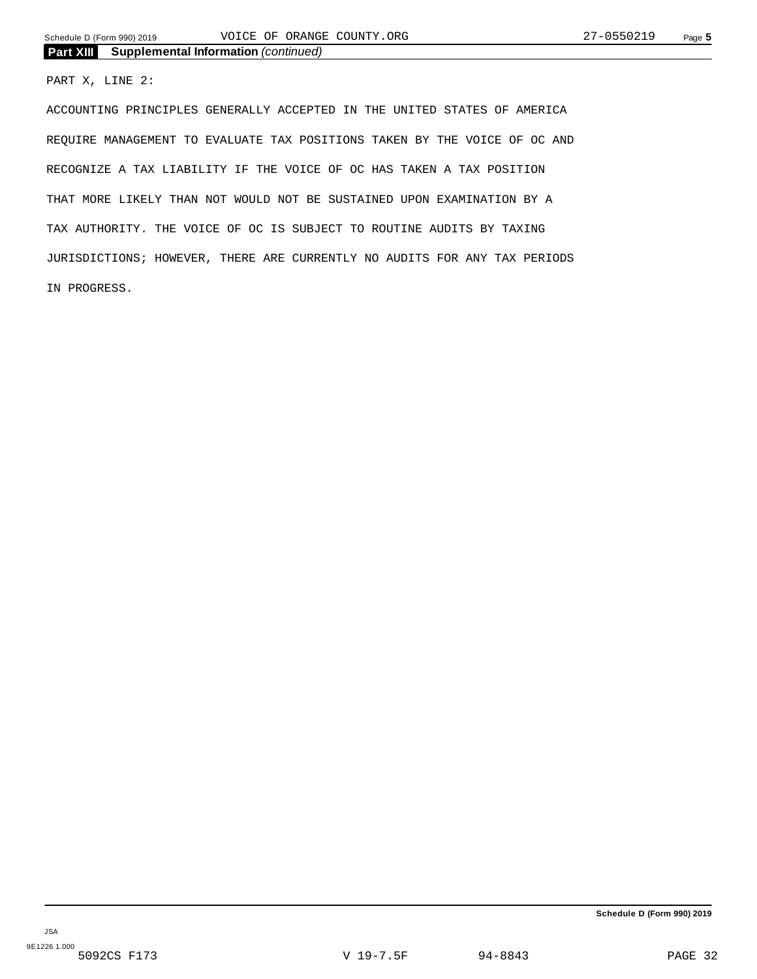**Part XIII Supplemental Information** *(continued)*

#### PART X, LINE 2:

ACCOUNTING PRINCIPLES GENERALLY ACCEPTED IN THE UNITED STATES OF AMERICA REQUIRE MANAGEMENT TO EVALUATE TAX POSITIONS TAKEN BY THE VOICE OF OC AND RECOGNIZE A TAX LIABILITY IF THE VOICE OF OC HAS TAKEN A TAX POSITION THAT MORE LIKELY THAN NOT WOULD NOT BE SUSTAINED UPON EXAMINATION BY A TAX AUTHORITY. THE VOICE OF OC IS SUBJECT TO ROUTINE AUDITS BY TAXING JURISDICTIONS; HOWEVER, THERE ARE CURRENTLY NO AUDITS FOR ANY TAX PERIODS IN PROGRESS.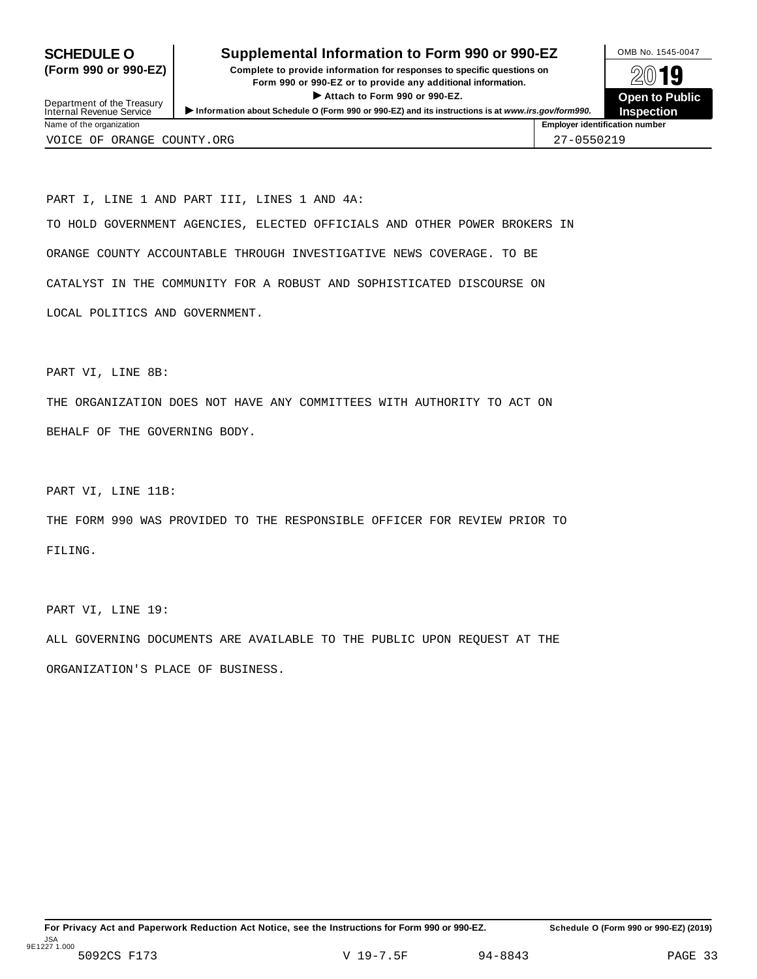## **SCHEDULE O** Supplemental Information to Form 990 or 990-EZ DAMB No. 1545-0047

**(Form 990 or 990-EZ) Complete to provide information for responses to specific questions on** plete to provide information for responses to specific questions on  $\mathbb{Z}^{0}$  **19 EV I D**<br>
■ Attach to Form 990 or 990-EZ.<br>
■ Public Public Public Public Public Department of the Treasury between to Public<br>
Internal Revenue Service between to Public<br>
Name of the organization<br>
Name of the organization



Department of the Treasury<br>Internal Revenue Service

VOICE OF ORANGE COUNTY.ORG 27-0550219

PART I, LINE 1 AND PART III, LINES 1 AND 4A: TO HOLD GOVERNMENT AGENCIES, ELECTED OFFICIALS AND OTHER POWER BROKERS IN ORANGE COUNTY ACCOUNTABLE THROUGH INVESTIGATIVE NEWS COVERAGE. TO BE CATALYST IN THE COMMUNITY FOR A ROBUST AND SOPHISTICATED DISCOURSE ON LOCAL POLITICS AND GOVERNMENT.

PART VI, LINE 8B:

THE ORGANIZATION DOES NOT HAVE ANY COMMITTEES WITH AUTHORITY TO ACT ON BEHALF OF THE GOVERNING BODY.

PART VI, LINE 11B:

THE FORM 990 WAS PROVIDED TO THE RESPONSIBLE OFFICER FOR REVIEW PRIOR TO FILING.

PART VI, LINE 19:

ALL GOVERNING DOCUMENTS ARE AVAILABLE TO THE PUBLIC UPON REQUEST AT THE ORGANIZATION'S PLACE OF BUSINESS.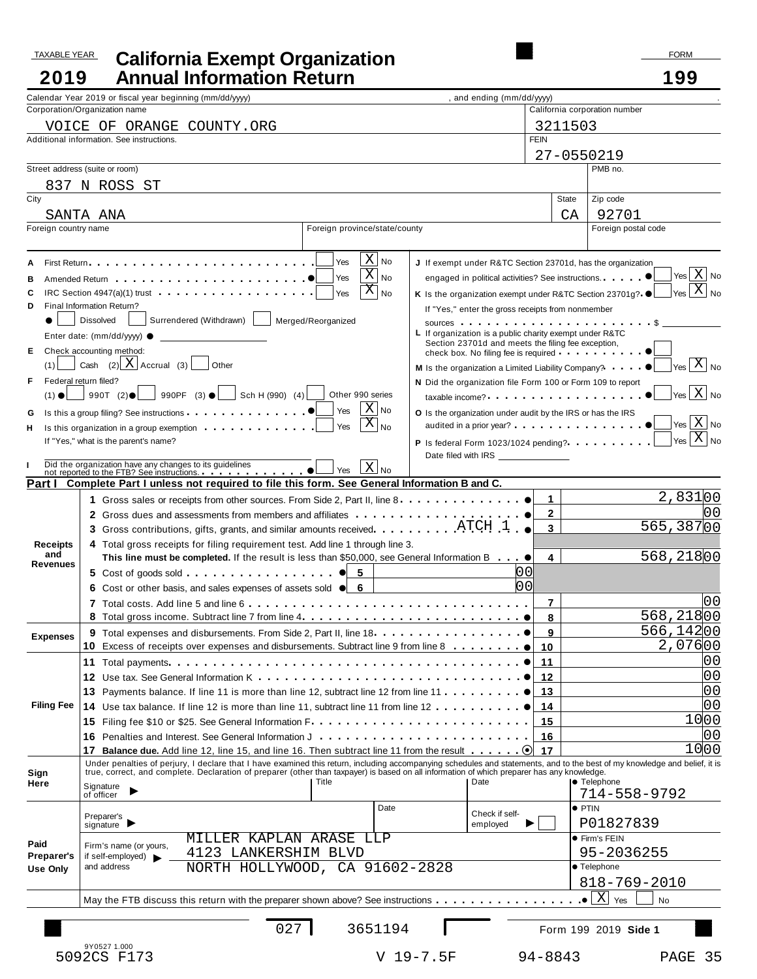# TAXABLE YEAR FORM **California Exempt Organization 2019 Annual Information Return 199**

|                      | Calendar Year 2019 or fiscal year beginning (mm/dd/yyyy)                                                                                                                                                                                                                                                                  |                                       |             | , and ending (mm/dd/yyyy)                                                                  |                |                                                                                                                                   |
|----------------------|---------------------------------------------------------------------------------------------------------------------------------------------------------------------------------------------------------------------------------------------------------------------------------------------------------------------------|---------------------------------------|-------------|--------------------------------------------------------------------------------------------|----------------|-----------------------------------------------------------------------------------------------------------------------------------|
|                      | Corporation/Organization name                                                                                                                                                                                                                                                                                             |                                       |             |                                                                                            |                | California corporation number                                                                                                     |
|                      | VOICE OF ORANGE COUNTY.ORG                                                                                                                                                                                                                                                                                                |                                       |             |                                                                                            | 3211503        |                                                                                                                                   |
|                      | Additional information. See instructions.                                                                                                                                                                                                                                                                                 |                                       |             |                                                                                            | <b>FEIN</b>    |                                                                                                                                   |
|                      |                                                                                                                                                                                                                                                                                                                           |                                       |             |                                                                                            |                | 27-0550219                                                                                                                        |
|                      | Street address (suite or room)                                                                                                                                                                                                                                                                                            |                                       |             |                                                                                            |                | PMB no.                                                                                                                           |
|                      | 837 N ROSS ST                                                                                                                                                                                                                                                                                                             |                                       |             |                                                                                            |                |                                                                                                                                   |
| City                 |                                                                                                                                                                                                                                                                                                                           |                                       |             |                                                                                            | <b>State</b>   | Zip code                                                                                                                          |
|                      | SANTA ANA                                                                                                                                                                                                                                                                                                                 |                                       |             |                                                                                            | CA             | 92701                                                                                                                             |
| Foreign country name |                                                                                                                                                                                                                                                                                                                           | Foreign province/state/county         |             |                                                                                            |                | Foreign postal code                                                                                                               |
|                      |                                                                                                                                                                                                                                                                                                                           |                                       |             |                                                                                            |                |                                                                                                                                   |
|                      |                                                                                                                                                                                                                                                                                                                           | $X _{\text{No}}$<br>Yes               |             |                                                                                            |                | J If exempt under R&TC Section 23701d, has the organization                                                                       |
| в                    | Amended Return <b>expansion of the extent of the extent of the extent of the extent of the extent of the extent of the extent of the extent of the extent of the extent of the extent of the extent of the extent of the extent </b>                                                                                      | $X _{N_Q}$<br>Yes                     |             |                                                                                            |                | $\vert$ Yes $\vert$ $\mathrm{X}$ $\vert$ No<br>engaged in political activities? See instructions.                                 |
| С                    | IRC Section 4947(a)(1) trust $\cdots$ $\cdots$ $\cdots$ $\cdots$ $\cdots$ $\cdots$ $\cdots$ $\cdots$                                                                                                                                                                                                                      | X <br><b>No</b><br>Yes                |             |                                                                                            |                | $\left  \gamma_{\text{es}} \right $ X $\left  N_0 \right $<br>K Is the organization exempt under R&TC Section 23701g? . $\bullet$ |
| D                    | Final Information Return?                                                                                                                                                                                                                                                                                                 |                                       |             | If "Yes," enter the gross receipts from nonmember                                          |                |                                                                                                                                   |
|                      | Surrendered (Withdrawn)  <br>Dissolved                                                                                                                                                                                                                                                                                    | Merged/Reorganized                    |             |                                                                                            |                | sources $\cdots$ $\cdots$ $\cdots$ $\cdots$ $\cdots$ $\cdots$ $\cdots$ $\cdots$ $\cdots$ $\cdots$                                 |
|                      | Enter date: (mm/dd/yyyy) ●                                                                                                                                                                                                                                                                                                |                                       |             | L If organization is a public charity exempt under R&TC                                    |                |                                                                                                                                   |
| Е                    | Check accounting method:                                                                                                                                                                                                                                                                                                  |                                       |             | Section 23701d and meets the filing fee exception,<br>check box. No filing fee is required |                |                                                                                                                                   |
| (1)                  | Cash (2) $X$ Accrual (3)<br>Other                                                                                                                                                                                                                                                                                         |                                       |             |                                                                                            |                | <b>M</b> Is the organization a Limited Liability Company? $\cdots$ $\bullet$ $ \cdot _{\text{Yes}}  X _{\text{No}}$               |
| F.                   | Federal return filed?                                                                                                                                                                                                                                                                                                     |                                       |             |                                                                                            |                | N Did the organization file Form 100 or Form 109 to report                                                                        |
|                      | 990PF (3) $\bullet$ Sch H (990) (4)<br>$(1) \bullet$ 990T $(2) \bullet$                                                                                                                                                                                                                                                   | Other 990 series                      |             | taxable income?.                                                                           |                | $\vert$ Yes $\vert$ X $\vert$ No                                                                                                  |
| G                    | Is this a group filing? See instructions 0                                                                                                                                                                                                                                                                                | $ X _{\mathsf{No}}$<br>Yes            |             | O Is the organization under audit by the IRS or has the IRS                                |                |                                                                                                                                   |
| н                    | Is this organization in a group exemption $\cdots$ , $\cdots$ , $\cdots$ , $\cdots$                                                                                                                                                                                                                                       | $\boxed{\text{X}}_{\text{No}}$<br>Yes |             |                                                                                            |                | $\left  \mathsf{Yes} \right  \mathsf{X} \left  \mathsf{No} \right $<br>audited in a prior year?                                   |
|                      | If "Yes," what is the parent's name?                                                                                                                                                                                                                                                                                      |                                       |             |                                                                                            |                | $\overline{X}$ No<br>P Is federal Form 1023/1024 pending?                                                                         |
|                      |                                                                                                                                                                                                                                                                                                                           |                                       |             | Date filed with IRS _______________                                                        |                |                                                                                                                                   |
|                      | Did the organization have any changes to its guidelines<br>not reported to the FTB? See instructions.                                                                                                                                                                                                                     | $X_{N0}$<br><b>Yes</b>                |             |                                                                                            |                |                                                                                                                                   |
| <u>Part I</u>        | Complete Part I unless not required to file this form. See General Information B and C.                                                                                                                                                                                                                                   |                                       |             |                                                                                            |                |                                                                                                                                   |
|                      | 1 Gross sales or receipts from other sources. From Side 2, Part II, line 8 0                                                                                                                                                                                                                                              |                                       |             |                                                                                            | $\mathbf{1}$   | 2,831 00                                                                                                                          |
|                      | 2 Gross dues and assessments from members and affiliates <b>entity assets</b> in the set of the set of the set of the set of the set of the set of the set of the set of the set of the set of the set of the set of the set of the                                                                                       |                                       |             |                                                                                            | $\mathbf{2}$   | 0 <sub>0</sub>                                                                                                                    |
|                      | 3 Gross contributions, gifts, grants, and similar amounts received. $\ldots \ldots \ldots$ ATCH 1                                                                                                                                                                                                                         |                                       |             |                                                                                            | $\mathbf{3}$   | 565, 38700                                                                                                                        |
| <b>Receipts</b>      | 4 Total gross receipts for filing requirement test. Add line 1 through line 3.                                                                                                                                                                                                                                            |                                       |             |                                                                                            |                |                                                                                                                                   |
| and                  | This line must be completed. If the result is less than \$50,000, see General Information B                                                                                                                                                                                                                               |                                       |             |                                                                                            | 4              | 568,21800                                                                                                                         |
| <b>Revenues</b>      | 5 Cost of goods sold $\ldots$ 0 5                                                                                                                                                                                                                                                                                         |                                       |             | lO 0                                                                                       |                |                                                                                                                                   |
|                      | 6 Cost or other basis, and sales expenses of assets sold $\bullet$ 6                                                                                                                                                                                                                                                      |                                       |             | lo o                                                                                       |                |                                                                                                                                   |
|                      |                                                                                                                                                                                                                                                                                                                           |                                       |             |                                                                                            | $\overline{7}$ | lO 0                                                                                                                              |
|                      |                                                                                                                                                                                                                                                                                                                           |                                       |             |                                                                                            |                | 568,21800                                                                                                                         |
|                      |                                                                                                                                                                                                                                                                                                                           |                                       |             |                                                                                            | 8              | 566,14200                                                                                                                         |
| <b>Expenses</b>      | 10 Excess of receipts over expenses and disbursements. Subtract line 9 from line 8                                                                                                                                                                                                                                        |                                       |             |                                                                                            | 9              | 2,07600                                                                                                                           |
|                      |                                                                                                                                                                                                                                                                                                                           |                                       |             |                                                                                            | 10             |                                                                                                                                   |
|                      | 11 Total payments enterprise reserves in the contract of the reserve to the Total and Total District Total District Total District Total District Total District Total District Total District Total District Total District T                                                                                            |                                       |             |                                                                                            | 11             | 10 O<br>00                                                                                                                        |
|                      | 12 Use tax. See General Information K                                                                                                                                                                                                                                                                                     |                                       |             |                                                                                            | 12             |                                                                                                                                   |
|                      | 13 Payments balance. If line 11 is more than line 12, subtract line 12 from line 11                                                                                                                                                                                                                                       |                                       |             |                                                                                            | 13             | 00                                                                                                                                |
| <b>Filing Fee</b>    | 14 Use tax balance. If line 12 is more than line 11, subtract line 11 from line 12                                                                                                                                                                                                                                        |                                       |             |                                                                                            | 14             | 00                                                                                                                                |
|                      | 15 Filing fee \$10 or \$25. See General Information F.                                                                                                                                                                                                                                                                    |                                       |             |                                                                                            | 15             | 1000                                                                                                                              |
|                      | 16 Penalties and Interest. See General Information J                                                                                                                                                                                                                                                                      |                                       |             |                                                                                            | 16             | 00                                                                                                                                |
|                      | 17 Balance due. Add line 12, line 15, and line 16. Then subtract line 11 from the result $\bullet$                                                                                                                                                                                                                        |                                       |             |                                                                                            | 17             | 1000                                                                                                                              |
| Sign                 | Under penalties of perjury, I declare that I have examined this return, including accompanying schedules and statements, and to the best of my knowledge and belief, it is<br>true, correct, and complete. Declaration of preparer (other than taxpayer) is based on all information of which preparer has any knowledge. |                                       |             |                                                                                            |                |                                                                                                                                   |
| Here                 | Signature                                                                                                                                                                                                                                                                                                                 | Title                                 |             | Date                                                                                       |                | ● Telephone                                                                                                                       |
|                      | ▶<br>of officer                                                                                                                                                                                                                                                                                                           |                                       |             |                                                                                            |                | 714-558-9792                                                                                                                      |
|                      | Preparer's                                                                                                                                                                                                                                                                                                                | Date                                  |             | Check if self-                                                                             |                | $\bullet$ PTIN                                                                                                                    |
|                      | signature $\blacktriangleright$                                                                                                                                                                                                                                                                                           |                                       |             | employed                                                                                   |                | P01827839                                                                                                                         |
| Paid                 | MILLER KAPLAN ARASE LLP                                                                                                                                                                                                                                                                                                   |                                       |             |                                                                                            |                | <b>•</b> Firm's FEIN                                                                                                              |
| Preparer's           | Firm's name (or yours,<br>4123 LANKERSHIM BLVD<br>if self-employed) $\blacktriangleright$                                                                                                                                                                                                                                 |                                       |             |                                                                                            |                | 95-2036255                                                                                                                        |
| Use Only             | and address<br>NORTH HOLLYWOOD, CA 91602-2828                                                                                                                                                                                                                                                                             |                                       |             |                                                                                            |                | ● Telephone                                                                                                                       |
|                      |                                                                                                                                                                                                                                                                                                                           |                                       |             |                                                                                            |                | 818-769-2010                                                                                                                      |
|                      | May the FTB discuss this return with the preparer shown above? See instructions                                                                                                                                                                                                                                           |                                       |             |                                                                                            |                | $X \vert$<br>Yes<br><b>No</b>                                                                                                     |
|                      |                                                                                                                                                                                                                                                                                                                           |                                       |             |                                                                                            |                |                                                                                                                                   |
|                      | 027                                                                                                                                                                                                                                                                                                                       | 3651194                               |             |                                                                                            |                | Form 199 2019 Side 1                                                                                                              |
|                      |                                                                                                                                                                                                                                                                                                                           |                                       |             |                                                                                            |                |                                                                                                                                   |
|                      | 9Y0527 1.000<br>5092CS F173                                                                                                                                                                                                                                                                                               |                                       | $V$ 19-7.5F |                                                                                            | $94 - 8843$    | PAGE 35                                                                                                                           |
|                      |                                                                                                                                                                                                                                                                                                                           |                                       |             |                                                                                            |                |                                                                                                                                   |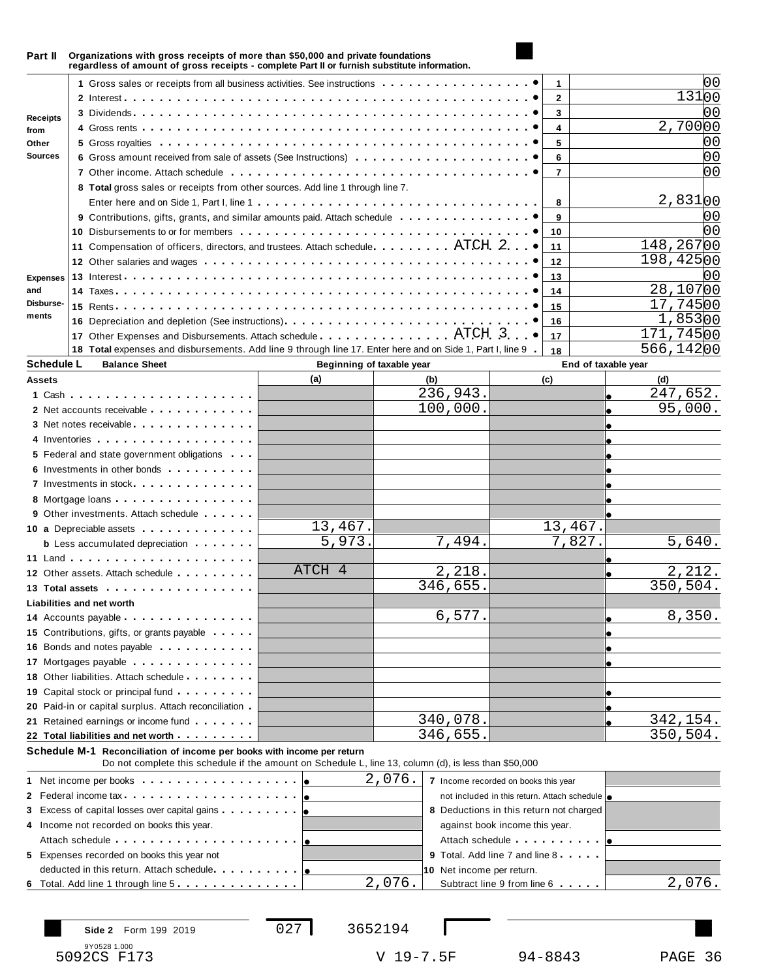| <b>Receipts</b><br>from<br>Other<br><b>Sources</b> | 1 Gross sales or receipts from all business activities. See instructions                                                                                                                                                             |                           |                                     |                                                                                                               |                     |
|----------------------------------------------------|--------------------------------------------------------------------------------------------------------------------------------------------------------------------------------------------------------------------------------------|---------------------------|-------------------------------------|---------------------------------------------------------------------------------------------------------------|---------------------|
|                                                    |                                                                                                                                                                                                                                      |                           |                                     | 1                                                                                                             | ი ი                 |
|                                                    |                                                                                                                                                                                                                                      |                           |                                     | $\overline{2}$                                                                                                | 13100               |
|                                                    |                                                                                                                                                                                                                                      |                           |                                     | 3                                                                                                             | 00                  |
|                                                    |                                                                                                                                                                                                                                      |                           |                                     | 4                                                                                                             | 2,700 00            |
|                                                    |                                                                                                                                                                                                                                      |                           |                                     | 5                                                                                                             | lO 0                |
|                                                    | 6 Gross amount received from sale of assets (See Instructions)                                                                                                                                                                       |                           |                                     | 6                                                                                                             | 00                  |
|                                                    |                                                                                                                                                                                                                                      |                           |                                     | $\overline{7}$                                                                                                | lo o                |
|                                                    | 8 Total gross sales or receipts from other sources. Add line 1 through line 7.                                                                                                                                                       |                           |                                     |                                                                                                               |                     |
|                                                    |                                                                                                                                                                                                                                      |                           |                                     |                                                                                                               | 2,831 00            |
|                                                    |                                                                                                                                                                                                                                      |                           |                                     | 8                                                                                                             | 00                  |
|                                                    | 9 Contributions, gifts, grants, and similar amounts paid. Attach schedule                                                                                                                                                            |                           |                                     | 9                                                                                                             |                     |
|                                                    | 10 Disbursements to or for members enterpretation of the content of the content of $\bullet$                                                                                                                                         |                           |                                     | 10                                                                                                            | ი ი                 |
|                                                    | 11 Compensation of officers, directors, and trustees. Attach schedule. ATCH. 2.                                                                                                                                                      |                           |                                     | 11                                                                                                            | 148,26700           |
|                                                    |                                                                                                                                                                                                                                      |                           |                                     | 12                                                                                                            | 198,42500           |
| <b>Expenses</b>                                    |                                                                                                                                                                                                                                      |                           |                                     | 13                                                                                                            |                     |
| and                                                |                                                                                                                                                                                                                                      |                           |                                     | 14                                                                                                            | 28,10700            |
| Disburse-                                          |                                                                                                                                                                                                                                      |                           |                                     | 15                                                                                                            | 17,74500            |
| ments                                              |                                                                                                                                                                                                                                      |                           |                                     | 16                                                                                                            | 1,853 00            |
|                                                    | 17 Other Expenses and Disbursements. Attach schedule ATCH 3.                                                                                                                                                                         |                           |                                     | 17                                                                                                            | 171,74500           |
|                                                    | 18 Total expenses and disbursements. Add line 9 through line 17. Enter here and on Side 1, Part I, line 9                                                                                                                            |                           |                                     | 18                                                                                                            | 566,14200           |
| <b>Schedule L</b>                                  | <b>Balance Sheet</b>                                                                                                                                                                                                                 | Beginning of taxable year |                                     |                                                                                                               | End of taxable year |
| <b>Assets</b>                                      |                                                                                                                                                                                                                                      | (a)                       | (b)                                 | (c)                                                                                                           | (d)                 |
|                                                    |                                                                                                                                                                                                                                      |                           | 236,943.                            |                                                                                                               | 247,652.            |
|                                                    | 2 Net accounts receivable <b>contained and the set of the set of the set of the set of the set of the set of the set of the set of the set of the set of the set of the set of the set of the set of the set of the set of the</b>   |                           | 100,000                             |                                                                                                               | 95,000.             |
|                                                    | 3 Net notes receivable                                                                                                                                                                                                               |                           |                                     |                                                                                                               |                     |
|                                                    |                                                                                                                                                                                                                                      |                           |                                     |                                                                                                               |                     |
|                                                    | 5 Federal and state government obligations                                                                                                                                                                                           |                           |                                     |                                                                                                               |                     |
|                                                    | 6 Investments in other bonds                                                                                                                                                                                                         |                           |                                     |                                                                                                               |                     |
|                                                    | 7 Investments in stock                                                                                                                                                                                                               |                           |                                     |                                                                                                               |                     |
|                                                    |                                                                                                                                                                                                                                      |                           |                                     |                                                                                                               |                     |
|                                                    | 8 Mortgage loans                                                                                                                                                                                                                     |                           |                                     |                                                                                                               |                     |
|                                                    | <b>9</b> Other investments. Attach schedule                                                                                                                                                                                          | 13,467.                   |                                     |                                                                                                               |                     |
|                                                    | 10 a Depreciable assets                                                                                                                                                                                                              |                           |                                     | 13,467.                                                                                                       |                     |
|                                                    | <b>b</b> Less accumulated depreciation                                                                                                                                                                                               | 5,973                     | 7,494.                              | 7,827.                                                                                                        | 5,640.              |
|                                                    |                                                                                                                                                                                                                                      |                           |                                     |                                                                                                               |                     |
|                                                    | 12 Other assets. Attach schedule                                                                                                                                                                                                     | ATCH 4                    | $\overline{2,218}$                  |                                                                                                               | 2,212.              |
|                                                    | 13 Total assets <b>the contract of the contract of the contract of the contract of the contract of the contract of the contract of the contract of the contract of the contract of the contract of the contract of the contract </b> |                           | 346,655                             |                                                                                                               | 350,504.            |
|                                                    | Liabilities and net worth                                                                                                                                                                                                            |                           |                                     |                                                                                                               |                     |
|                                                    | 14 Accounts payable expression and the set of the set of the set of the set of the set of the set of the set of the set of the set of the set of the set of the set of the set of the set of the set of the set of the set of        |                           | 6,577.                              |                                                                                                               | 8,350.              |
|                                                    | 15 Contributions, gifts, or grants payable                                                                                                                                                                                           |                           |                                     |                                                                                                               |                     |
|                                                    | 16 Bonds and notes payable <b>contained</b> a set of <b>16</b> Bonds and notes payable                                                                                                                                               |                           |                                     |                                                                                                               |                     |
|                                                    | 17 Mortgages payable entertainment of the state of the state of the state of the state of the state of the state of the state of the state of the state of the state of the state of the state of the state of the state of th       |                           |                                     |                                                                                                               |                     |
|                                                    | 18 Other liabilities. Attach schedule                                                                                                                                                                                                |                           |                                     |                                                                                                               |                     |
|                                                    | 19 Capital stock or principal fund                                                                                                                                                                                                   |                           |                                     |                                                                                                               |                     |
|                                                    |                                                                                                                                                                                                                                      |                           |                                     |                                                                                                               |                     |
|                                                    |                                                                                                                                                                                                                                      |                           |                                     |                                                                                                               | <u>342,154.</u>     |
|                                                    | 20 Paid-in or capital surplus. Attach reconciliation                                                                                                                                                                                 |                           |                                     |                                                                                                               |                     |
|                                                    | 21 Retained earnings or income fund                                                                                                                                                                                                  |                           | 340,078.                            |                                                                                                               |                     |
|                                                    | 22 Total liabilities and net worth<br>Schedule M-1 Reconciliation of income per books with income per return                                                                                                                         |                           | 346,655.                            |                                                                                                               | 350,504.            |
|                                                    | Do not complete this schedule if the amount on Schedule L, line 13, column (d), is less than \$50,000                                                                                                                                |                           |                                     |                                                                                                               |                     |
|                                                    | 1 Net income per books experience in the set of $\bullet$                                                                                                                                                                            |                           | 2,076.                              | 7 Income recorded on books this year                                                                          |                     |
|                                                    | 2 Federal income tax expression and the set of the set of the set of the set of the set of the set of the set of the set of the set of the set of the set of the set of the set of the set of the set of the set of the set of       |                           |                                     | not included in this return. Attach schedule   .                                                              |                     |
|                                                    | 3 Excess of capital losses over capital gains <b>Excession</b>                                                                                                                                                                       |                           |                                     | 8 Deductions in this return not charged                                                                       |                     |
|                                                    |                                                                                                                                                                                                                                      |                           |                                     | against book income this year.                                                                                |                     |
|                                                    | 4 Income not recorded on books this year.                                                                                                                                                                                            |                           |                                     |                                                                                                               |                     |
|                                                    | Attach schedule experience and a series are a series of the series of the series of the series of the series o                                                                                                                       |                           |                                     | Attach schedule expansion of the set of the set of the set of the set of the set of the set of the set of the |                     |
|                                                    | 5 Expenses recorded on books this year not                                                                                                                                                                                           |                           |                                     | <b>9</b> Total. Add line 7 and line 8                                                                         |                     |
|                                                    | deducted in this return. Attach schedule $\begin{array}{c c} \hline \end{array}$<br>6 Total. Add line 1 through line 5                                                                                                               |                           | 10 Net income per return.<br>2,076. | Subtract line 9 from line 6                                                                                   | 2,076.              |

5092CS F173

V 19-7.5F 94-8843 PAGE 36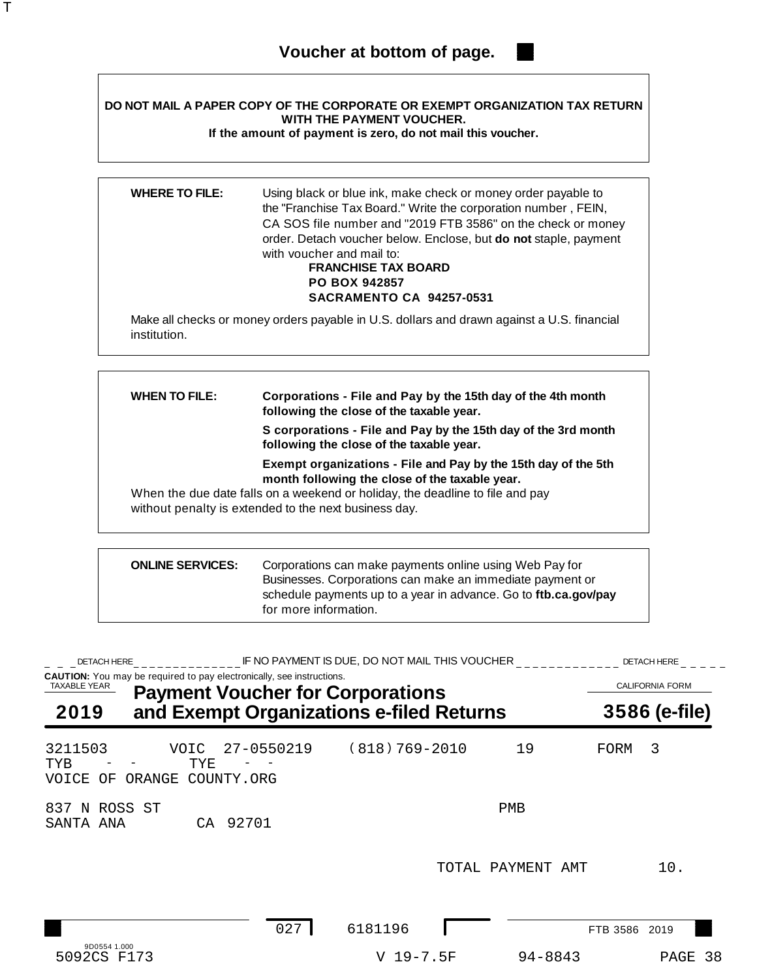**DO NOT MAIL A PAPER COPY OF THE CORPORATE OR EXEMPT ORGANIZATION TAX RETURN WITH THE PAYMENT VOUCHER.**

**If the amount of payment is zero, do not mail this voucher.**

**WHERE TO FILE:** Using black or blue ink, make check or money order payable to the "Franchise Tax Board." Write the corporation number , FEIN, CA SOS file number and "2019 FTB 3586" on the check or money order. Detach voucher below. Enclose, but **do not** staple, payment with voucher and mail to: **FRANCHISE TAX BOARD PO BOX 942857**

# **SACRAMENTO CA 94257-0531**

Make all checks or money orders payable in U.S. dollars and drawn against a U.S. financial institution.

**WHEN TO FILE: Corporations - File and Pay by the 15th day of the 4th month following the close of the taxable year. S corporations -File and Pay by the 15th day of the 3rd month following the close of the taxable year. Exempt organizations -File and Pay by the 15th day of the 5th month following the close of the taxable year.** When the due date falls on a weekend or holiday, the deadline to file and pay without penalty is extended to the next business day.

| <b>ONLINE SERVICES:</b> | Corporations can make payments online using Web Pay for<br>Businesses. Corporations can make an immediate payment or<br>schedule payments up to a year in advance. Go to ftb.ca.gov/pay<br>for more information. |
|-------------------------|------------------------------------------------------------------------------------------------------------------------------------------------------------------------------------------------------------------|
|                         |                                                                                                                                                                                                                  |

| <b>DETACH HERE</b>                      |                                                                                                                                                                     | IF NO PAYMENT IS DUE, DO NOT MAIL THIS VOUCHER |                   | <b>DETACH HERE</b>                      |
|-----------------------------------------|---------------------------------------------------------------------------------------------------------------------------------------------------------------------|------------------------------------------------|-------------------|-----------------------------------------|
| <b>TAXABLE YEAR</b><br>2019             | <b>CAUTION:</b> You may be required to pay electronically, see instructions.<br><b>Payment Voucher for Corporations</b><br>and Exempt Organizations e-filed Returns |                                                |                   | <b>CALIFORNIA FORM</b><br>3586 (e-file) |
| 3211503<br>TYB<br>VOICE<br>ORANGE<br>ΟF | 27-0550219<br>VOIC<br>TYE<br>COUNTY.ORG                                                                                                                             | (818)769-2010                                  | 19                | FORM<br>-3                              |
| 837 N ROSS ST<br>SANTA ANA              | CA 92701                                                                                                                                                            |                                                | PMB               |                                         |
|                                         |                                                                                                                                                                     |                                                | TOTAL PAYMENT AMT | 10.                                     |
| 9D0554 1.000                            | 027                                                                                                                                                                 | 6181196                                        |                   | FTB 3586<br>2019                        |
| 5092CS F173                             |                                                                                                                                                                     | $V$ 19-7.5F                                    | 94-8843           | PAGE<br>38                              |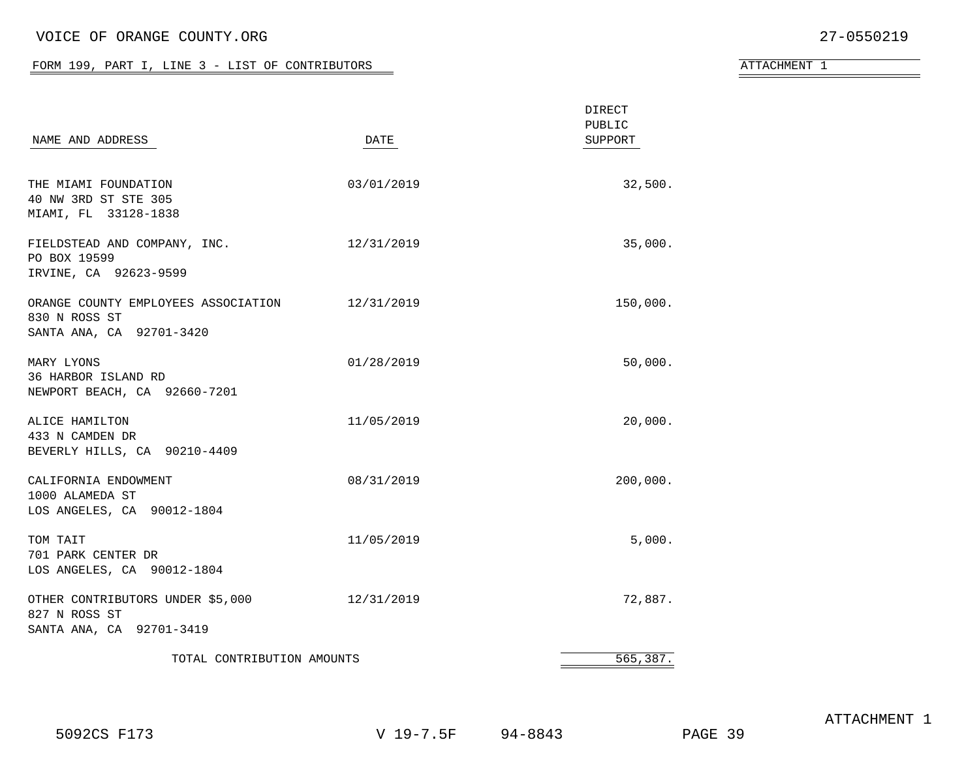## VOICE OF ORANGE COUNTY.ORG 27-0550219

#### FORM 199, PART I, LINE  $3$  - LIST OF CONTRIBUTORS

|  | ATTACHMENT |  |  |  |
|--|------------|--|--|--|
|--|------------|--|--|--|

<span id="page-35-0"></span>

| NAME AND ADDRESS                                                                 | DATE       | DIRECT<br>PUBLIC<br>SUPPORT |
|----------------------------------------------------------------------------------|------------|-----------------------------|
| THE MIAMI FOUNDATION<br>40 NW 3RD ST STE 305<br>MIAMI, FL 33128-1838             | 03/01/2019 | 32,500.                     |
| FIELDSTEAD AND COMPANY, INC.<br>PO BOX 19599<br>IRVINE, CA 92623-9599            | 12/31/2019 | 35,000.                     |
| ORANGE COUNTY EMPLOYEES ASSOCIATION<br>830 N ROSS ST<br>SANTA ANA, CA 92701-3420 | 12/31/2019 | 150,000.                    |
| MARY LYONS<br>36 HARBOR ISLAND RD<br>NEWPORT BEACH, CA 92660-7201                | 01/28/2019 | 50,000.                     |
| ALICE HAMILTON<br>433 N CAMDEN DR<br>BEVERLY HILLS, CA 90210-4409                | 11/05/2019 | 20,000.                     |
| CALIFORNIA ENDOWMENT<br>1000 ALAMEDA ST<br>LOS ANGELES, CA 90012-1804            | 08/31/2019 | 200,000.                    |
| TOM TAIT<br>701 PARK CENTER DR<br>LOS ANGELES, CA 90012-1804                     | 11/05/2019 | 5,000.                      |
| OTHER CONTRIBUTORS UNDER \$5,000<br>827 N ROSS ST<br>SANTA ANA, CA 92701-3419    | 12/31/2019 | 72,887.                     |
| TOTAL CONTRIBUTION AMOUNTS                                                       |            | 565,387.                    |

5092CS F173 V 19-7.5F 94-8843 PAGE 39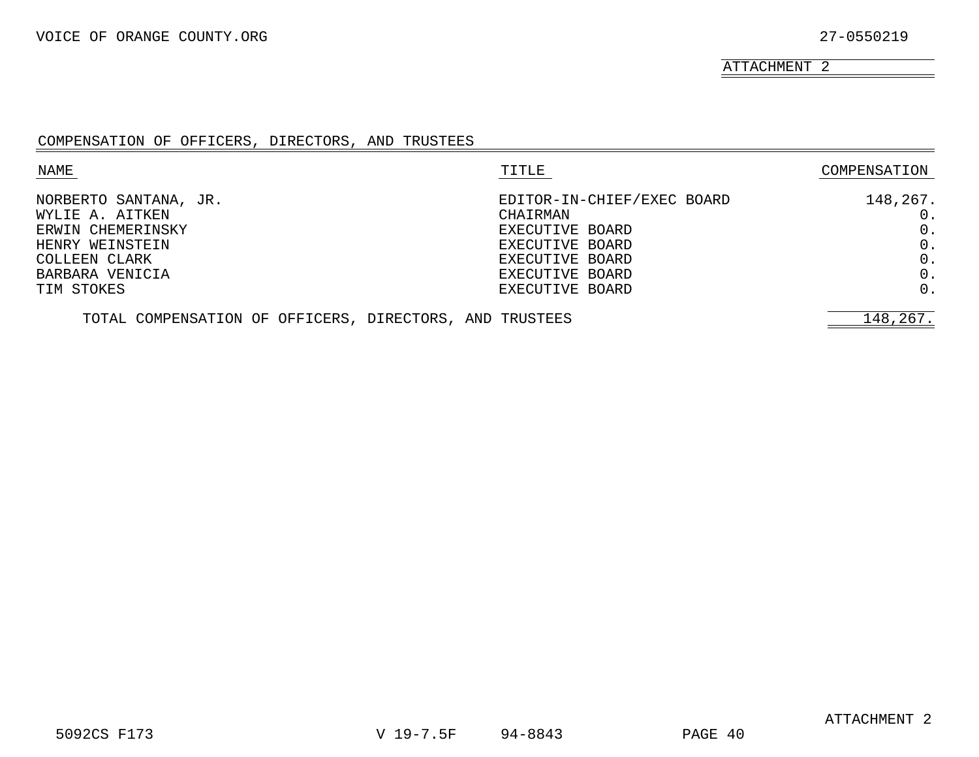ATTACHMENT 2

#### COMPENSATION OF OFFICERS, DIRECTORS, AND TRUSTEES

<span id="page-36-0"></span>

| NAME                                                    | TITLE                      | COMPENSATION |
|---------------------------------------------------------|----------------------------|--------------|
| NORBERTO SANTANA, JR.                                   | EDITOR-IN-CHIEF/EXEC BOARD | 148,267.     |
| WYLIE A. AITKEN                                         | CHAIRMAN                   |              |
| ERWIN CHEMERINSKY                                       | EXECUTIVE BOARD            | 0.           |
| HENRY WEINSTEIN                                         | EXECUTIVE BOARD            | 0.           |
| COLLEEN CLARK                                           | EXECUTIVE BOARD            | $0$ .        |
| BARBARA VENICIA                                         | EXECUTIVE BOARD            | 0.           |
| TIM STOKES                                              | EXECUTIVE BOARD            | 0.           |
| TOTAL COMPENSATION OF OFFICERS, DIRECTORS, AND TRUSTEES |                            | 148,267.     |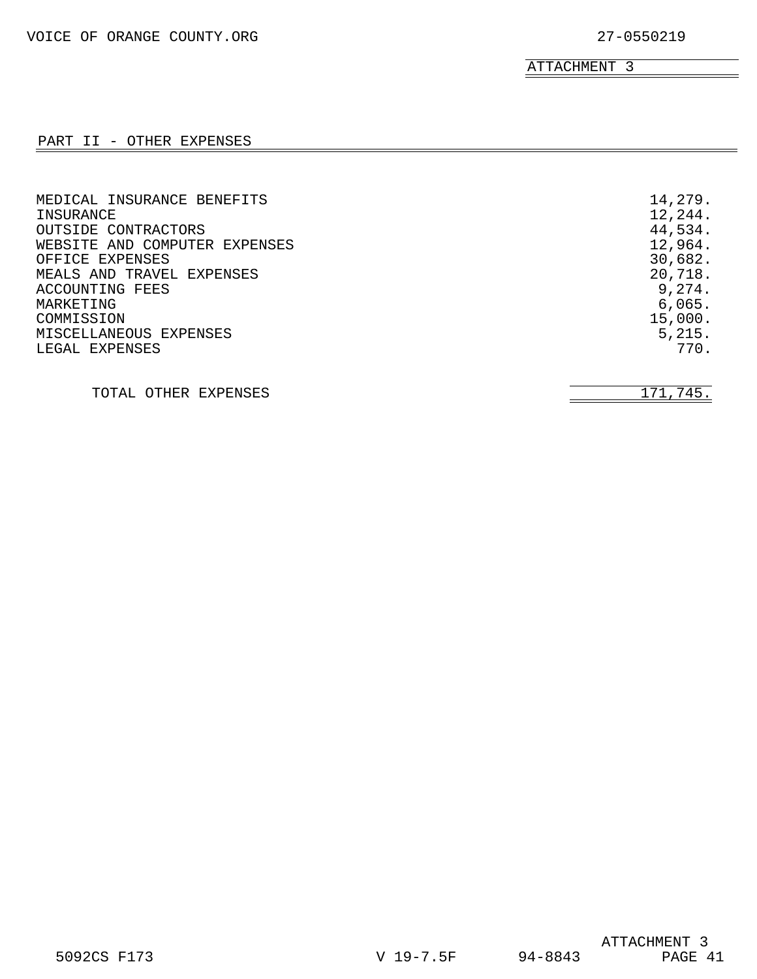$=$ 

ATTACHMENT 3

#### <span id="page-37-0"></span>PART II - OTHER EXPENSES

| MEDICAL INSURANCE BENEFITS                                           | 14,279.                    |
|----------------------------------------------------------------------|----------------------------|
| INSURANCE                                                            | 12,244.                    |
| OUTSIDE CONTRACTORS                                                  | 44,534.                    |
| WEBSITE AND COMPUTER EXPENSES                                        | 12,964.                    |
| OFFICE EXPENSES                                                      | 30,682.                    |
| MEALS AND TRAVEL EXPENSES                                            | 20,718.                    |
| ACCOUNTING FEES                                                      | 9,274.                     |
| MARKETING                                                            | 6,065.                     |
| COMMISSION                                                           | 15,000.                    |
| MISCELLANEOUS EXPENSES<br>LEGAL EXPENSES<br>OTHER EXPENSES<br>TOTAL. | 5, 215.<br>770.<br>171,745 |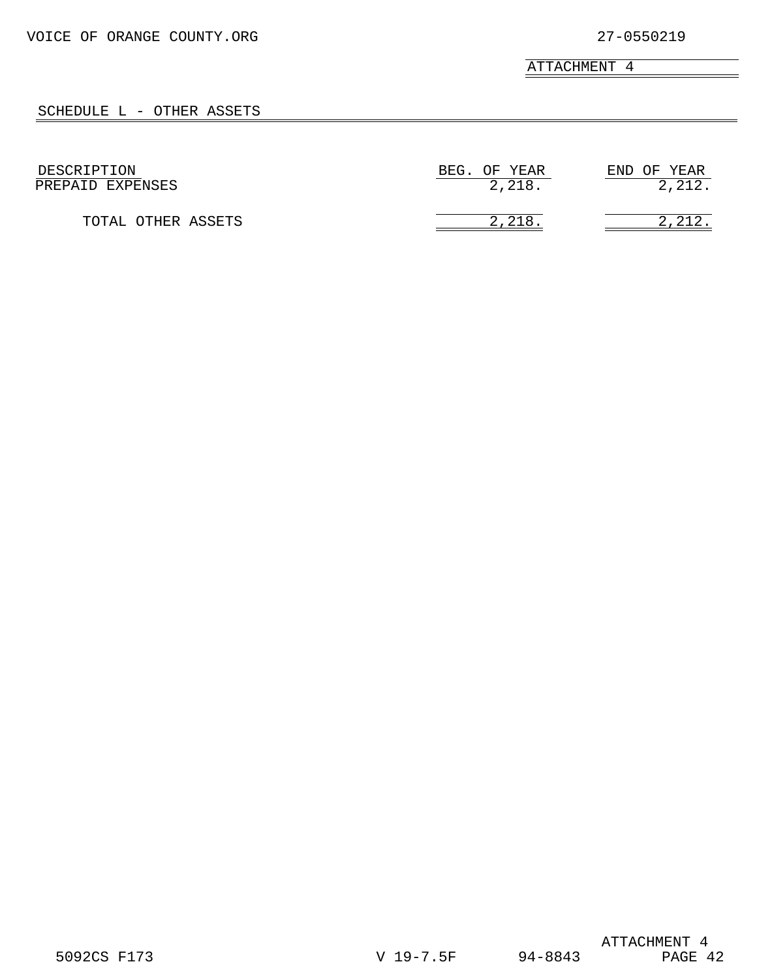ATTACHMENT 4

#### <span id="page-38-0"></span>SCHEDULE L - OTHER ASSETS

| DESCRIPTION        | BEG. OF YEAR | END OF YEAR |
|--------------------|--------------|-------------|
| PREPAID EXPENSES   | 2,218.       | 2,212.      |
| TOTAL OTHER ASSETS | 2.218        |             |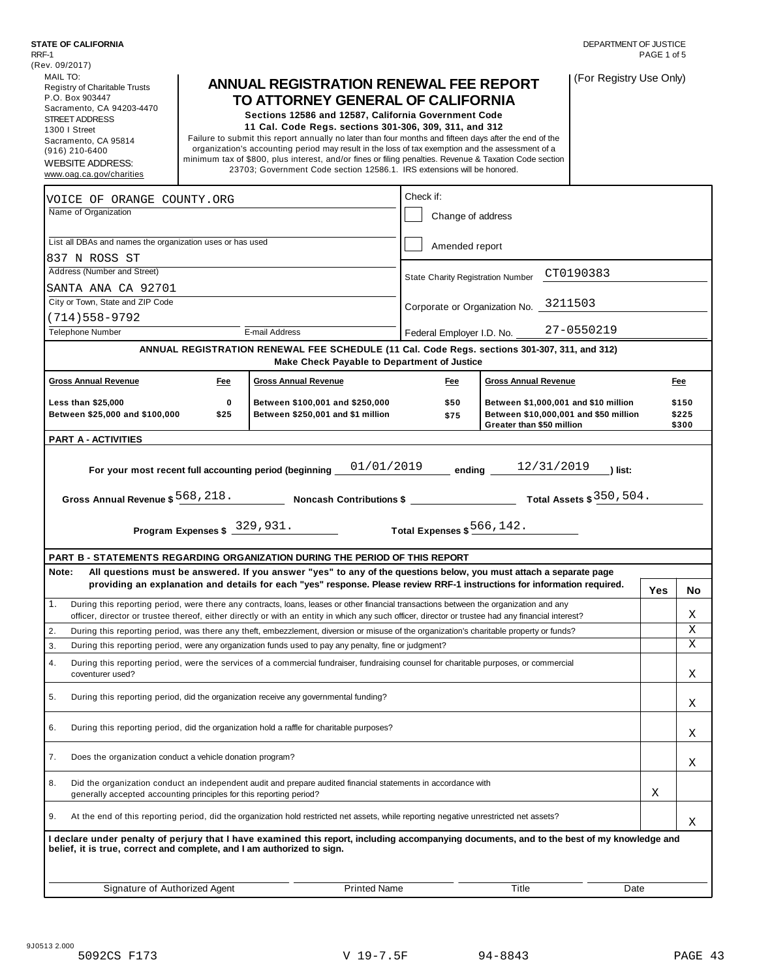| (Rev. 09/2017)<br>MAIL TO:<br>(For Registry Use Only)<br><b>ANNUAL REGISTRATION RENEWAL FEE REPORT</b><br>Registry of Charitable Trusts<br>P.O. Box 903447<br>TO ATTORNEY GENERAL OF CALIFORNIA<br>Sacramento, CA 94203-4470<br>Sections 12586 and 12587, California Government Code<br><b>STREET ADDRESS</b><br>11 Cal. Code Regs. sections 301-306, 309, 311, and 312<br>1300   Street<br>Failure to submit this report annually no later than four months and fifteen days after the end of the<br>Sacramento, CA 95814<br>organization's accounting period may result in the loss of tax exemption and the assessment of a<br>$(916)$ 210-6400<br>minimum tax of \$800, plus interest, and/or fines or filing penalties. Revenue & Taxation Code section<br><b>WEBSITE ADDRESS:</b><br>23703; Government Code section 12586.1. IRS extensions will be honored.<br>www.oag.ca.gov/charities<br>Check if:<br>VOICE OF ORANGE COUNTY.ORG<br>Name of Organization<br>Change of address<br>List all DBAs and names the organization uses or has used<br>Amended report<br>837 N ROSS ST<br>Address (Number and Street)<br>CT0190383<br><b>State Charity Registration Number</b><br>SANTA ANA CA 92701<br>City or Town, State and ZIP Code<br>Corporate or Organization No. 3211503<br>$(714)558-9792$<br>27-0550219<br><b>Telephone Number</b><br>E-mail Address<br>Federal Employer I.D. No.<br>ANNUAL REGISTRATION RENEWAL FEE SCHEDULE (11 Cal. Code Regs. sections 301-307, 311, and 312)<br>Make Check Payable to Department of Justice<br><b>Gross Annual Revenue</b><br><b>Gross Annual Revenue</b><br><b>Gross Annual Revenue</b><br><b>Fee</b><br>Fee<br><b>Less than \$25,000</b><br>0<br>Between \$100,001 and \$250,000<br>\$50<br>Between \$1,000,001 and \$10 million<br>Between \$25,000 and \$100,000<br>Between \$250,001 and \$1 million<br>\$25<br>Between \$10,000,001 and \$50 million<br>\$75<br>Greater than \$50 million<br><b>PART A - ACTIVITIES</b><br>$01/01/2019$ ending $12/31/2019$<br>) list:<br>For your most recent full accounting period (beginning<br>Total Expenses $$566, 142.$<br>Program Expenses \$ 329, 931.<br>PART B - STATEMENTS REGARDING ORGANIZATION DURING THE PERIOD OF THIS REPORT | PAGE 1 of 5 | Fee<br>\$150<br>\$225<br>\$300 |
|---------------------------------------------------------------------------------------------------------------------------------------------------------------------------------------------------------------------------------------------------------------------------------------------------------------------------------------------------------------------------------------------------------------------------------------------------------------------------------------------------------------------------------------------------------------------------------------------------------------------------------------------------------------------------------------------------------------------------------------------------------------------------------------------------------------------------------------------------------------------------------------------------------------------------------------------------------------------------------------------------------------------------------------------------------------------------------------------------------------------------------------------------------------------------------------------------------------------------------------------------------------------------------------------------------------------------------------------------------------------------------------------------------------------------------------------------------------------------------------------------------------------------------------------------------------------------------------------------------------------------------------------------------------------------------------------------------------------------------------------------------------------------------------------------------------------------------------------------------------------------------------------------------------------------------------------------------------------------------------------------------------------------------------------------------------------------------------------------------------------------------------------------------------------------------------------------------------------------------------|-------------|--------------------------------|
|                                                                                                                                                                                                                                                                                                                                                                                                                                                                                                                                                                                                                                                                                                                                                                                                                                                                                                                                                                                                                                                                                                                                                                                                                                                                                                                                                                                                                                                                                                                                                                                                                                                                                                                                                                                                                                                                                                                                                                                                                                                                                                                                                                                                                                       |             |                                |
|                                                                                                                                                                                                                                                                                                                                                                                                                                                                                                                                                                                                                                                                                                                                                                                                                                                                                                                                                                                                                                                                                                                                                                                                                                                                                                                                                                                                                                                                                                                                                                                                                                                                                                                                                                                                                                                                                                                                                                                                                                                                                                                                                                                                                                       |             |                                |
|                                                                                                                                                                                                                                                                                                                                                                                                                                                                                                                                                                                                                                                                                                                                                                                                                                                                                                                                                                                                                                                                                                                                                                                                                                                                                                                                                                                                                                                                                                                                                                                                                                                                                                                                                                                                                                                                                                                                                                                                                                                                                                                                                                                                                                       |             |                                |
|                                                                                                                                                                                                                                                                                                                                                                                                                                                                                                                                                                                                                                                                                                                                                                                                                                                                                                                                                                                                                                                                                                                                                                                                                                                                                                                                                                                                                                                                                                                                                                                                                                                                                                                                                                                                                                                                                                                                                                                                                                                                                                                                                                                                                                       |             |                                |
|                                                                                                                                                                                                                                                                                                                                                                                                                                                                                                                                                                                                                                                                                                                                                                                                                                                                                                                                                                                                                                                                                                                                                                                                                                                                                                                                                                                                                                                                                                                                                                                                                                                                                                                                                                                                                                                                                                                                                                                                                                                                                                                                                                                                                                       |             |                                |
|                                                                                                                                                                                                                                                                                                                                                                                                                                                                                                                                                                                                                                                                                                                                                                                                                                                                                                                                                                                                                                                                                                                                                                                                                                                                                                                                                                                                                                                                                                                                                                                                                                                                                                                                                                                                                                                                                                                                                                                                                                                                                                                                                                                                                                       |             |                                |
|                                                                                                                                                                                                                                                                                                                                                                                                                                                                                                                                                                                                                                                                                                                                                                                                                                                                                                                                                                                                                                                                                                                                                                                                                                                                                                                                                                                                                                                                                                                                                                                                                                                                                                                                                                                                                                                                                                                                                                                                                                                                                                                                                                                                                                       |             |                                |
|                                                                                                                                                                                                                                                                                                                                                                                                                                                                                                                                                                                                                                                                                                                                                                                                                                                                                                                                                                                                                                                                                                                                                                                                                                                                                                                                                                                                                                                                                                                                                                                                                                                                                                                                                                                                                                                                                                                                                                                                                                                                                                                                                                                                                                       |             |                                |
|                                                                                                                                                                                                                                                                                                                                                                                                                                                                                                                                                                                                                                                                                                                                                                                                                                                                                                                                                                                                                                                                                                                                                                                                                                                                                                                                                                                                                                                                                                                                                                                                                                                                                                                                                                                                                                                                                                                                                                                                                                                                                                                                                                                                                                       |             |                                |
|                                                                                                                                                                                                                                                                                                                                                                                                                                                                                                                                                                                                                                                                                                                                                                                                                                                                                                                                                                                                                                                                                                                                                                                                                                                                                                                                                                                                                                                                                                                                                                                                                                                                                                                                                                                                                                                                                                                                                                                                                                                                                                                                                                                                                                       |             |                                |
|                                                                                                                                                                                                                                                                                                                                                                                                                                                                                                                                                                                                                                                                                                                                                                                                                                                                                                                                                                                                                                                                                                                                                                                                                                                                                                                                                                                                                                                                                                                                                                                                                                                                                                                                                                                                                                                                                                                                                                                                                                                                                                                                                                                                                                       |             |                                |
|                                                                                                                                                                                                                                                                                                                                                                                                                                                                                                                                                                                                                                                                                                                                                                                                                                                                                                                                                                                                                                                                                                                                                                                                                                                                                                                                                                                                                                                                                                                                                                                                                                                                                                                                                                                                                                                                                                                                                                                                                                                                                                                                                                                                                                       |             |                                |
|                                                                                                                                                                                                                                                                                                                                                                                                                                                                                                                                                                                                                                                                                                                                                                                                                                                                                                                                                                                                                                                                                                                                                                                                                                                                                                                                                                                                                                                                                                                                                                                                                                                                                                                                                                                                                                                                                                                                                                                                                                                                                                                                                                                                                                       |             |                                |
|                                                                                                                                                                                                                                                                                                                                                                                                                                                                                                                                                                                                                                                                                                                                                                                                                                                                                                                                                                                                                                                                                                                                                                                                                                                                                                                                                                                                                                                                                                                                                                                                                                                                                                                                                                                                                                                                                                                                                                                                                                                                                                                                                                                                                                       |             |                                |
|                                                                                                                                                                                                                                                                                                                                                                                                                                                                                                                                                                                                                                                                                                                                                                                                                                                                                                                                                                                                                                                                                                                                                                                                                                                                                                                                                                                                                                                                                                                                                                                                                                                                                                                                                                                                                                                                                                                                                                                                                                                                                                                                                                                                                                       |             |                                |
|                                                                                                                                                                                                                                                                                                                                                                                                                                                                                                                                                                                                                                                                                                                                                                                                                                                                                                                                                                                                                                                                                                                                                                                                                                                                                                                                                                                                                                                                                                                                                                                                                                                                                                                                                                                                                                                                                                                                                                                                                                                                                                                                                                                                                                       |             |                                |
|                                                                                                                                                                                                                                                                                                                                                                                                                                                                                                                                                                                                                                                                                                                                                                                                                                                                                                                                                                                                                                                                                                                                                                                                                                                                                                                                                                                                                                                                                                                                                                                                                                                                                                                                                                                                                                                                                                                                                                                                                                                                                                                                                                                                                                       |             |                                |
|                                                                                                                                                                                                                                                                                                                                                                                                                                                                                                                                                                                                                                                                                                                                                                                                                                                                                                                                                                                                                                                                                                                                                                                                                                                                                                                                                                                                                                                                                                                                                                                                                                                                                                                                                                                                                                                                                                                                                                                                                                                                                                                                                                                                                                       |             |                                |
|                                                                                                                                                                                                                                                                                                                                                                                                                                                                                                                                                                                                                                                                                                                                                                                                                                                                                                                                                                                                                                                                                                                                                                                                                                                                                                                                                                                                                                                                                                                                                                                                                                                                                                                                                                                                                                                                                                                                                                                                                                                                                                                                                                                                                                       |             |                                |
|                                                                                                                                                                                                                                                                                                                                                                                                                                                                                                                                                                                                                                                                                                                                                                                                                                                                                                                                                                                                                                                                                                                                                                                                                                                                                                                                                                                                                                                                                                                                                                                                                                                                                                                                                                                                                                                                                                                                                                                                                                                                                                                                                                                                                                       |             |                                |
|                                                                                                                                                                                                                                                                                                                                                                                                                                                                                                                                                                                                                                                                                                                                                                                                                                                                                                                                                                                                                                                                                                                                                                                                                                                                                                                                                                                                                                                                                                                                                                                                                                                                                                                                                                                                                                                                                                                                                                                                                                                                                                                                                                                                                                       |             |                                |
| All questions must be answered. If you answer "yes" to any of the questions below, you must attach a separate page<br>Note:                                                                                                                                                                                                                                                                                                                                                                                                                                                                                                                                                                                                                                                                                                                                                                                                                                                                                                                                                                                                                                                                                                                                                                                                                                                                                                                                                                                                                                                                                                                                                                                                                                                                                                                                                                                                                                                                                                                                                                                                                                                                                                           |             |                                |
| providing an explanation and details for each "yes" response. Please review RRF-1 instructions for information required.                                                                                                                                                                                                                                                                                                                                                                                                                                                                                                                                                                                                                                                                                                                                                                                                                                                                                                                                                                                                                                                                                                                                                                                                                                                                                                                                                                                                                                                                                                                                                                                                                                                                                                                                                                                                                                                                                                                                                                                                                                                                                                              | Yes         | No                             |
| 1.<br>During this reporting period, were there any contracts, loans, leases or other financial transactions between the organization and any<br>officer, director or trustee thereof, either directly or with an entity in which any such officer, director or trustee had any financial interest?                                                                                                                                                                                                                                                                                                                                                                                                                                                                                                                                                                                                                                                                                                                                                                                                                                                                                                                                                                                                                                                                                                                                                                                                                                                                                                                                                                                                                                                                                                                                                                                                                                                                                                                                                                                                                                                                                                                                    |             | Χ                              |
| 2.<br>During this reporting period, was there any theft, embezzlement, diversion or misuse of the organization's charitable property or funds?                                                                                                                                                                                                                                                                                                                                                                                                                                                                                                                                                                                                                                                                                                                                                                                                                                                                                                                                                                                                                                                                                                                                                                                                                                                                                                                                                                                                                                                                                                                                                                                                                                                                                                                                                                                                                                                                                                                                                                                                                                                                                        |             | Χ                              |
| 3.<br>During this reporting period, were any organization funds used to pay any penalty, fine or judgment?                                                                                                                                                                                                                                                                                                                                                                                                                                                                                                                                                                                                                                                                                                                                                                                                                                                                                                                                                                                                                                                                                                                                                                                                                                                                                                                                                                                                                                                                                                                                                                                                                                                                                                                                                                                                                                                                                                                                                                                                                                                                                                                            |             | Χ                              |
| During this reporting period, were the services of a commercial fundraiser, fundraising counsel for charitable purposes, or commercial<br>4.<br>coventurer used?                                                                                                                                                                                                                                                                                                                                                                                                                                                                                                                                                                                                                                                                                                                                                                                                                                                                                                                                                                                                                                                                                                                                                                                                                                                                                                                                                                                                                                                                                                                                                                                                                                                                                                                                                                                                                                                                                                                                                                                                                                                                      |             | Χ                              |
| During this reporting period, did the organization receive any governmental funding?<br>5.                                                                                                                                                                                                                                                                                                                                                                                                                                                                                                                                                                                                                                                                                                                                                                                                                                                                                                                                                                                                                                                                                                                                                                                                                                                                                                                                                                                                                                                                                                                                                                                                                                                                                                                                                                                                                                                                                                                                                                                                                                                                                                                                            |             | Χ                              |
| 6.<br>During this reporting period, did the organization hold a raffle for charitable purposes?                                                                                                                                                                                                                                                                                                                                                                                                                                                                                                                                                                                                                                                                                                                                                                                                                                                                                                                                                                                                                                                                                                                                                                                                                                                                                                                                                                                                                                                                                                                                                                                                                                                                                                                                                                                                                                                                                                                                                                                                                                                                                                                                       |             | Χ                              |
| 7.<br>Does the organization conduct a vehicle donation program?                                                                                                                                                                                                                                                                                                                                                                                                                                                                                                                                                                                                                                                                                                                                                                                                                                                                                                                                                                                                                                                                                                                                                                                                                                                                                                                                                                                                                                                                                                                                                                                                                                                                                                                                                                                                                                                                                                                                                                                                                                                                                                                                                                       |             |                                |
| 8.<br>Did the organization conduct an independent audit and prepare audited financial statements in accordance with                                                                                                                                                                                                                                                                                                                                                                                                                                                                                                                                                                                                                                                                                                                                                                                                                                                                                                                                                                                                                                                                                                                                                                                                                                                                                                                                                                                                                                                                                                                                                                                                                                                                                                                                                                                                                                                                                                                                                                                                                                                                                                                   |             | Χ                              |
| generally accepted accounting principles for this reporting period?<br>9.<br>At the end of this reporting period, did the organization hold restricted net assets, while reporting negative unrestricted net assets?                                                                                                                                                                                                                                                                                                                                                                                                                                                                                                                                                                                                                                                                                                                                                                                                                                                                                                                                                                                                                                                                                                                                                                                                                                                                                                                                                                                                                                                                                                                                                                                                                                                                                                                                                                                                                                                                                                                                                                                                                  | Χ           |                                |
| I declare under penalty of perjury that I have examined this report, including accompanying documents, and to the best of my knowledge and                                                                                                                                                                                                                                                                                                                                                                                                                                                                                                                                                                                                                                                                                                                                                                                                                                                                                                                                                                                                                                                                                                                                                                                                                                                                                                                                                                                                                                                                                                                                                                                                                                                                                                                                                                                                                                                                                                                                                                                                                                                                                            |             |                                |
|                                                                                                                                                                                                                                                                                                                                                                                                                                                                                                                                                                                                                                                                                                                                                                                                                                                                                                                                                                                                                                                                                                                                                                                                                                                                                                                                                                                                                                                                                                                                                                                                                                                                                                                                                                                                                                                                                                                                                                                                                                                                                                                                                                                                                                       |             | Χ                              |
| belief, it is true, correct and complete, and I am authorized to sign.                                                                                                                                                                                                                                                                                                                                                                                                                                                                                                                                                                                                                                                                                                                                                                                                                                                                                                                                                                                                                                                                                                                                                                                                                                                                                                                                                                                                                                                                                                                                                                                                                                                                                                                                                                                                                                                                                                                                                                                                                                                                                                                                                                |             |                                |